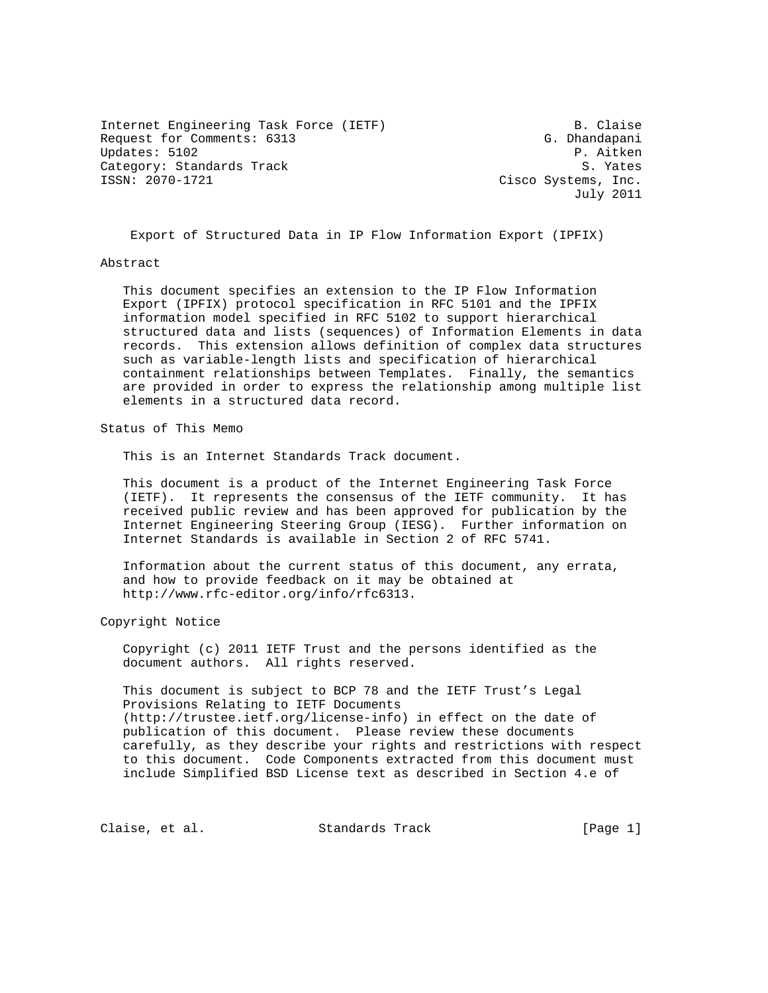Internet Engineering Task Force (IETF) B. Claise Request for Comments: 6313 G. Dhandapani Updates: 5102 P. Aitken Category: Standards Track and S. Yates<br>1990-1721 (SSN: 2070-1721) Cisco Systems, Inc.

Cisco Systems, Inc. July 2011

Export of Structured Data in IP Flow Information Export (IPFIX)

## Abstract

 This document specifies an extension to the IP Flow Information Export (IPFIX) protocol specification in RFC 5101 and the IPFIX information model specified in RFC 5102 to support hierarchical structured data and lists (sequences) of Information Elements in data records. This extension allows definition of complex data structures such as variable-length lists and specification of hierarchical containment relationships between Templates. Finally, the semantics are provided in order to express the relationship among multiple list elements in a structured data record.

Status of This Memo

This is an Internet Standards Track document.

 This document is a product of the Internet Engineering Task Force (IETF). It represents the consensus of the IETF community. It has received public review and has been approved for publication by the Internet Engineering Steering Group (IESG). Further information on Internet Standards is available in Section 2 of RFC 5741.

 Information about the current status of this document, any errata, and how to provide feedback on it may be obtained at http://www.rfc-editor.org/info/rfc6313.

Copyright Notice

 Copyright (c) 2011 IETF Trust and the persons identified as the document authors. All rights reserved.

 This document is subject to BCP 78 and the IETF Trust's Legal Provisions Relating to IETF Documents (http://trustee.ietf.org/license-info) in effect on the date of publication of this document. Please review these documents carefully, as they describe your rights and restrictions with respect to this document. Code Components extracted from this document must include Simplified BSD License text as described in Section 4.e of

Claise, et al. Standards Track [Page 1]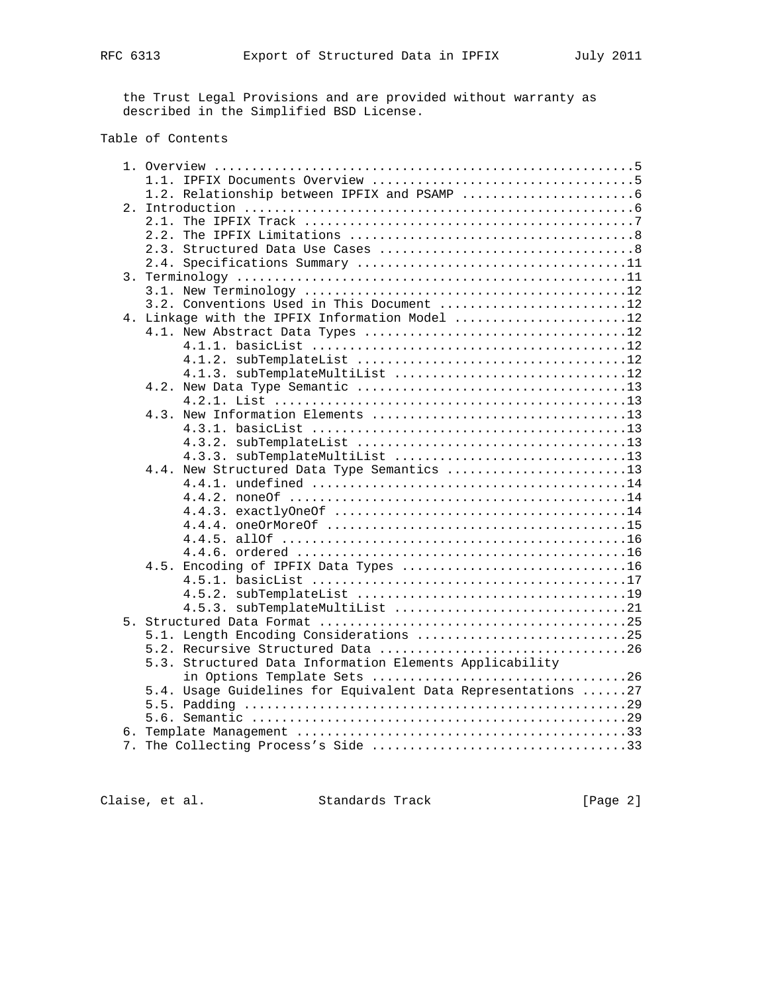the Trust Legal Provisions and are provided without warranty as described in the Simplified BSD License.

## Table of Contents

| 2.                                                           |
|--------------------------------------------------------------|
|                                                              |
|                                                              |
|                                                              |
|                                                              |
|                                                              |
|                                                              |
| 3.2. Conventions Used in This Document 12                    |
| 4. Linkage with the IPFIX Information Model 12               |
|                                                              |
|                                                              |
|                                                              |
| 4.1.3. subTemplateMultiList 12                               |
|                                                              |
|                                                              |
|                                                              |
|                                                              |
|                                                              |
|                                                              |
| 4.4. New Structured Data Type Semantics 13                   |
|                                                              |
|                                                              |
|                                                              |
|                                                              |
|                                                              |
|                                                              |
| 4.5. Encoding of IPFIX Data Types 16                         |
|                                                              |
|                                                              |
|                                                              |
|                                                              |
| 5.1. Length Encoding Considerations 25                       |
|                                                              |
| 5.3. Structured Data Information Elements Applicability      |
|                                                              |
| 5.4. Usage Guidelines for Equivalent Data Representations 27 |
|                                                              |
|                                                              |
|                                                              |
|                                                              |
|                                                              |

Claise, et al. Standards Track [Page 2]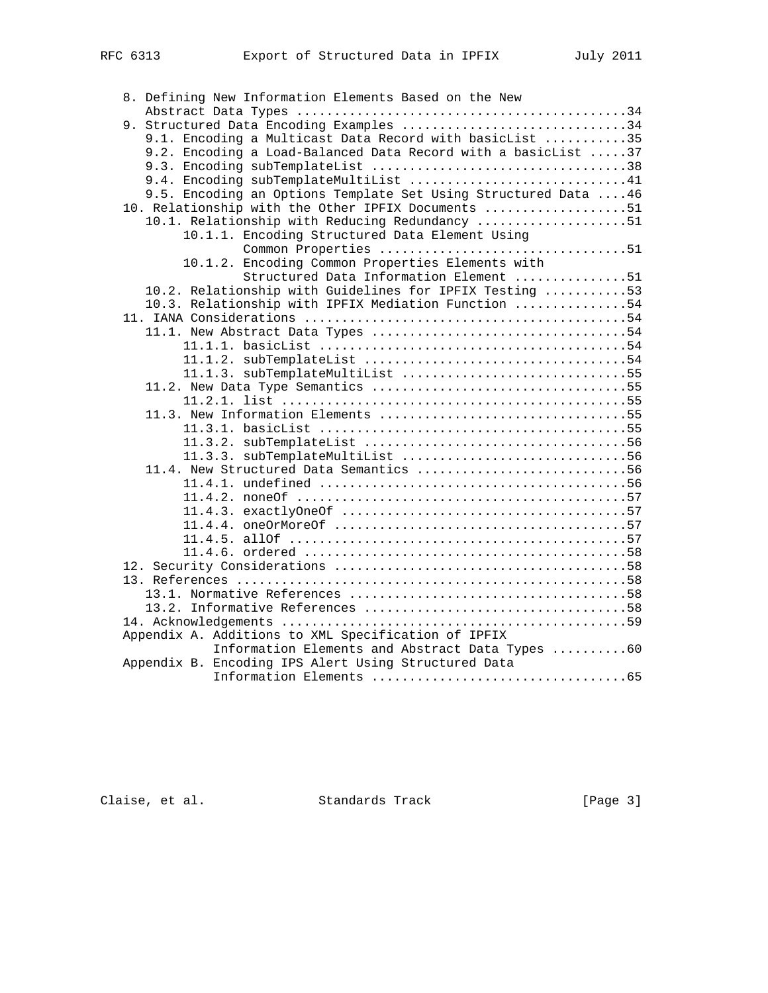|  | 8. Defining New Information Elements Based on the New           |
|--|-----------------------------------------------------------------|
|  |                                                                 |
|  | 9. Structured Data Encoding Examples 34                         |
|  | 9.1. Encoding a Multicast Data Record with basicList 35         |
|  | 9.2. Encoding a Load-Balanced Data Record with a basicList 37   |
|  |                                                                 |
|  | 9.4. Encoding subTemplateMultiList 41                           |
|  | 9.5. Encoding an Options Template Set Using Structured Data  46 |
|  | 10. Relationship with the Other IPFIX Documents 51              |
|  | 10.1. Relationship with Reducing Redundancy 51                  |
|  | 10.1.1. Encoding Structured Data Element Using                  |
|  | Common Properties 51                                            |
|  | 10.1.2. Encoding Common Properties Elements with                |
|  | Structured Data Information Element 51                          |
|  | 10.2. Relationship with Guidelines for IPFIX Testing 53         |
|  | 10.3. Relationship with IPFIX Mediation Function 54             |
|  |                                                                 |
|  |                                                                 |
|  |                                                                 |
|  |                                                                 |
|  | 11.1.3. subTemplateMultiList 55                                 |
|  |                                                                 |
|  |                                                                 |
|  | 11.3. New Information Elements 55                               |
|  |                                                                 |
|  |                                                                 |
|  | 11.3.3. subTemplateMultiList 56                                 |
|  | 11.4. New Structured Data Semantics 56                          |
|  |                                                                 |
|  |                                                                 |
|  |                                                                 |
|  |                                                                 |
|  |                                                                 |
|  |                                                                 |
|  |                                                                 |
|  |                                                                 |
|  |                                                                 |
|  |                                                                 |
|  |                                                                 |
|  | Appendix A. Additions to XML Specification of IPFIX             |
|  | Information Elements and Abstract Data Types 60                 |
|  | Appendix B. Encoding IPS Alert Using Structured Data            |
|  |                                                                 |

Claise, et al. Standards Track [Page 3]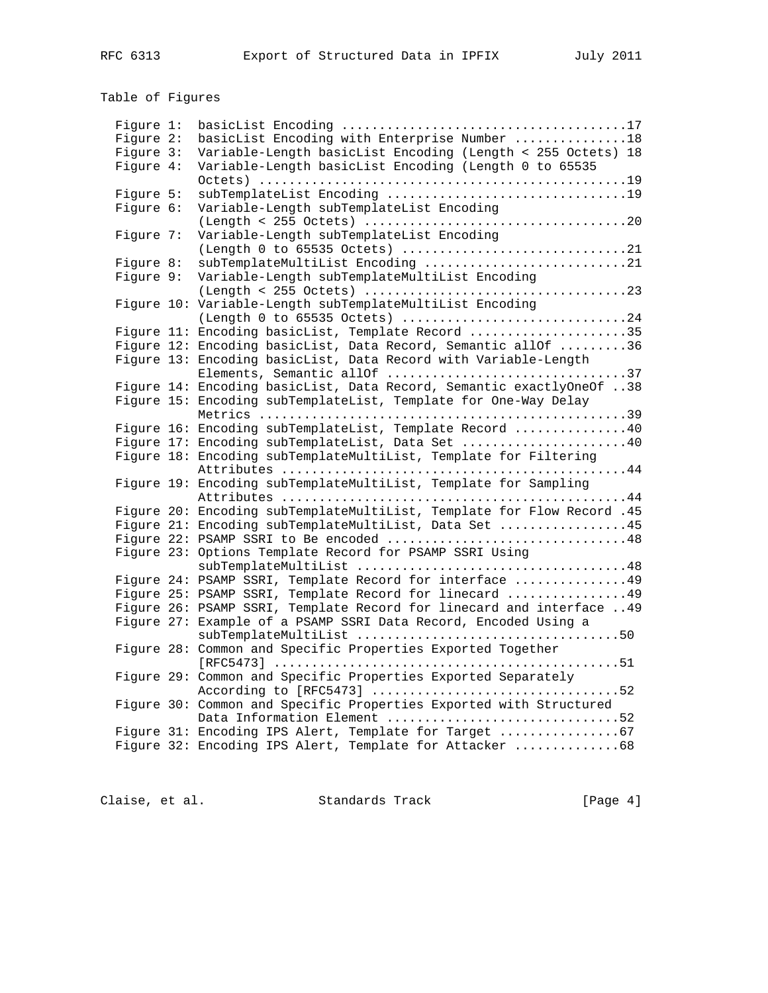# Table of Figures

| Fiqure 1: |                                                                                                                  |
|-----------|------------------------------------------------------------------------------------------------------------------|
| Figure 2: | basicList Encoding with Enterprise Number 18                                                                     |
| Figure 3: | Variable-Length basicList Encoding (Length < 255 Octets) 18                                                      |
| Figure 4: | Variable-Length basicList Encoding (Length 0 to 65535                                                            |
|           |                                                                                                                  |
| Fiqure 5: |                                                                                                                  |
| Figure 6: | Variable-Length subTemplateList Encoding                                                                         |
|           |                                                                                                                  |
| Figure 7: | Variable-Length subTemplateList Encoding                                                                         |
|           | (Length 0 to 65535 Octets) 21                                                                                    |
| Figure 8: | subTemplateMultiList Encoding 21                                                                                 |
| Figure 9: | Variable-Length subTemplateMultiList Encoding                                                                    |
|           |                                                                                                                  |
|           | Figure 10: Variable-Length subTemplateMultiList Encoding                                                         |
|           | (Length 0 to 65535 Octets) 24                                                                                    |
|           | Figure 11: Encoding basicList, Template Record 35                                                                |
|           | Figure 12: Encoding basicList, Data Record, Semantic allOf 36                                                    |
|           | Figure 13: Encoding basicList, Data Record with Variable-Length                                                  |
|           | Elements, Semantic allOf 37                                                                                      |
|           | Figure 14: Encoding basicList, Data Record, Semantic exactlyOneOf 38                                             |
|           | Figure 15: Encoding subTemplateList, Template for One-Way Delay                                                  |
|           |                                                                                                                  |
|           | Figure 16: Encoding subTemplateList, Template Record 40                                                          |
|           | Figure 17: Encoding subTemplateList, Data Set 40                                                                 |
|           | Figure 18: Encoding subTemplateMultiList, Template for Filtering                                                 |
|           |                                                                                                                  |
|           | Figure 19: Encoding subTemplateMultiList, Template for Sampling                                                  |
|           |                                                                                                                  |
|           | Figure 20: Encoding subTemplateMultiList, Template for Flow Record .45                                           |
|           | Figure 21: Encoding subTemplateMultiList, Data Set 45                                                            |
|           | Figure 22: PSAMP SSRI to Be encoded 48                                                                           |
|           | Figure 23: Options Template Record for PSAMP SSRI Using                                                          |
|           |                                                                                                                  |
|           | Figure 24: PSAMP SSRI, Template Record for interface  49                                                         |
|           | Figure 25: PSAMP SSRI, Template Record for linecard  49                                                          |
|           | Figure 26: PSAMP SSRI, Template Record for linecard and interface  49                                            |
|           | Figure 27: Example of a PSAMP SSRI Data Record, Encoded Using a                                                  |
|           |                                                                                                                  |
|           | Figure 28: Common and Specific Properties Exported Together                                                      |
|           |                                                                                                                  |
|           | Figure 29: Common and Specific Properties Exported Separately                                                    |
|           |                                                                                                                  |
|           | Figure 30: Common and Specific Properties Exported with Structured                                               |
|           | Data Information Element 52                                                                                      |
|           | Figure 31: Encoding IPS Alert, Template for Target 67<br>Figure 32: Encoding IPS Alert, Template for Attacker 68 |
|           |                                                                                                                  |
|           |                                                                                                                  |

Claise, et al. Standards Track [Page 4]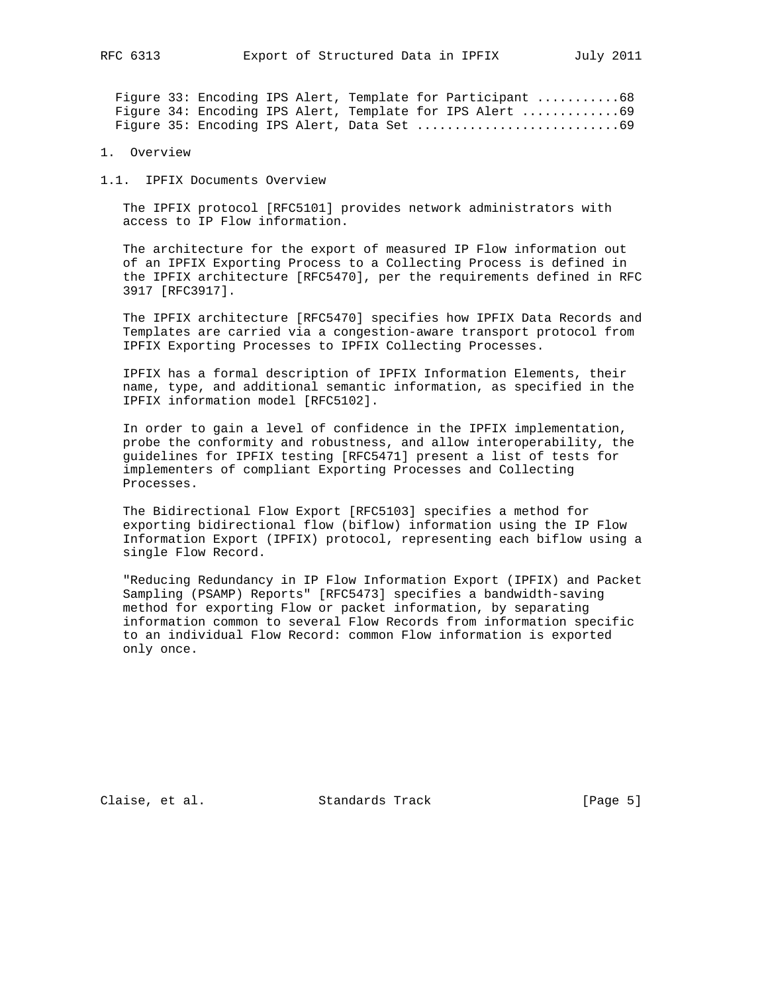Figure 33: Encoding IPS Alert, Template for Participant ...........68 Figure 34: Encoding IPS Alert, Template for IPS Alert ..............69 Figure 35: Encoding IPS Alert, Data Set ...........................69

1. Overview

1.1. IPFIX Documents Overview

 The IPFIX protocol [RFC5101] provides network administrators with access to IP Flow information.

 The architecture for the export of measured IP Flow information out of an IPFIX Exporting Process to a Collecting Process is defined in the IPFIX architecture [RFC5470], per the requirements defined in RFC 3917 [RFC3917].

 The IPFIX architecture [RFC5470] specifies how IPFIX Data Records and Templates are carried via a congestion-aware transport protocol from IPFIX Exporting Processes to IPFIX Collecting Processes.

 IPFIX has a formal description of IPFIX Information Elements, their name, type, and additional semantic information, as specified in the IPFIX information model [RFC5102].

 In order to gain a level of confidence in the IPFIX implementation, probe the conformity and robustness, and allow interoperability, the guidelines for IPFIX testing [RFC5471] present a list of tests for implementers of compliant Exporting Processes and Collecting Processes.

 The Bidirectional Flow Export [RFC5103] specifies a method for exporting bidirectional flow (biflow) information using the IP Flow Information Export (IPFIX) protocol, representing each biflow using a single Flow Record.

 "Reducing Redundancy in IP Flow Information Export (IPFIX) and Packet Sampling (PSAMP) Reports" [RFC5473] specifies a bandwidth-saving method for exporting Flow or packet information, by separating information common to several Flow Records from information specific to an individual Flow Record: common Flow information is exported only once.

Claise, et al. Standards Track [Page 5]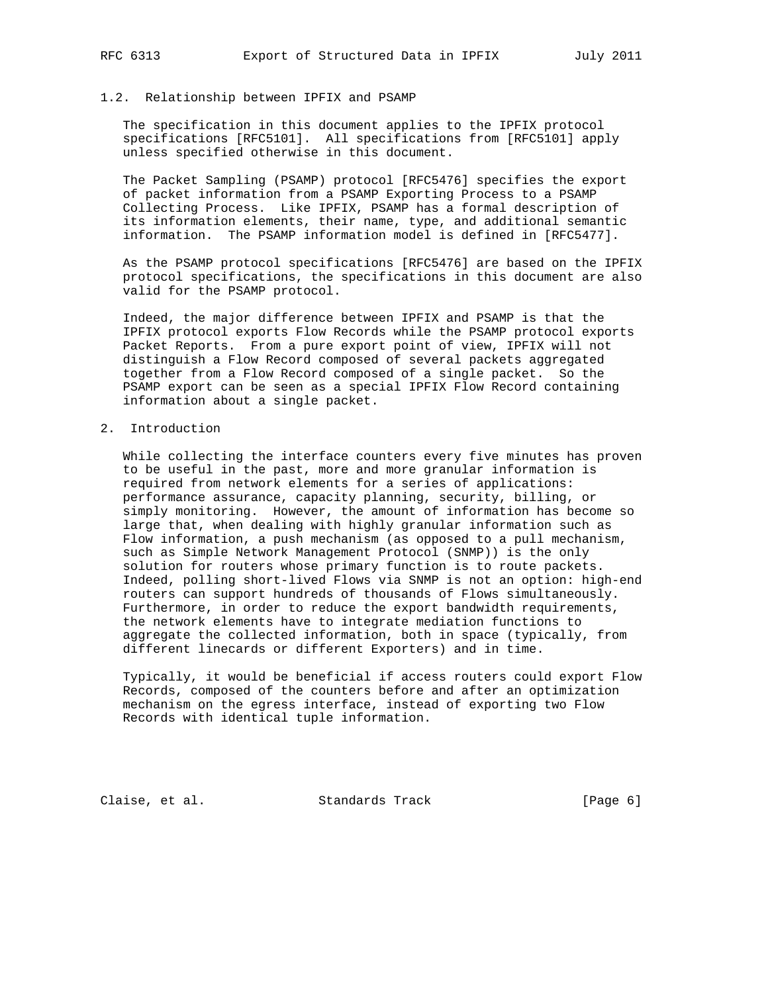## 1.2. Relationship between IPFIX and PSAMP

 The specification in this document applies to the IPFIX protocol specifications [RFC5101]. All specifications from [RFC5101] apply unless specified otherwise in this document.

 The Packet Sampling (PSAMP) protocol [RFC5476] specifies the export of packet information from a PSAMP Exporting Process to a PSAMP Collecting Process. Like IPFIX, PSAMP has a formal description of its information elements, their name, type, and additional semantic information. The PSAMP information model is defined in [RFC5477].

 As the PSAMP protocol specifications [RFC5476] are based on the IPFIX protocol specifications, the specifications in this document are also valid for the PSAMP protocol.

 Indeed, the major difference between IPFIX and PSAMP is that the IPFIX protocol exports Flow Records while the PSAMP protocol exports Packet Reports. From a pure export point of view, IPFIX will not distinguish a Flow Record composed of several packets aggregated together from a Flow Record composed of a single packet. So the PSAMP export can be seen as a special IPFIX Flow Record containing information about a single packet.

## 2. Introduction

 While collecting the interface counters every five minutes has proven to be useful in the past, more and more granular information is required from network elements for a series of applications: performance assurance, capacity planning, security, billing, or simply monitoring. However, the amount of information has become so large that, when dealing with highly granular information such as Flow information, a push mechanism (as opposed to a pull mechanism, such as Simple Network Management Protocol (SNMP)) is the only solution for routers whose primary function is to route packets. Indeed, polling short-lived Flows via SNMP is not an option: high-end routers can support hundreds of thousands of Flows simultaneously. Furthermore, in order to reduce the export bandwidth requirements, the network elements have to integrate mediation functions to aggregate the collected information, both in space (typically, from different linecards or different Exporters) and in time.

 Typically, it would be beneficial if access routers could export Flow Records, composed of the counters before and after an optimization mechanism on the egress interface, instead of exporting two Flow Records with identical tuple information.

Claise, et al. Standards Track [Page 6]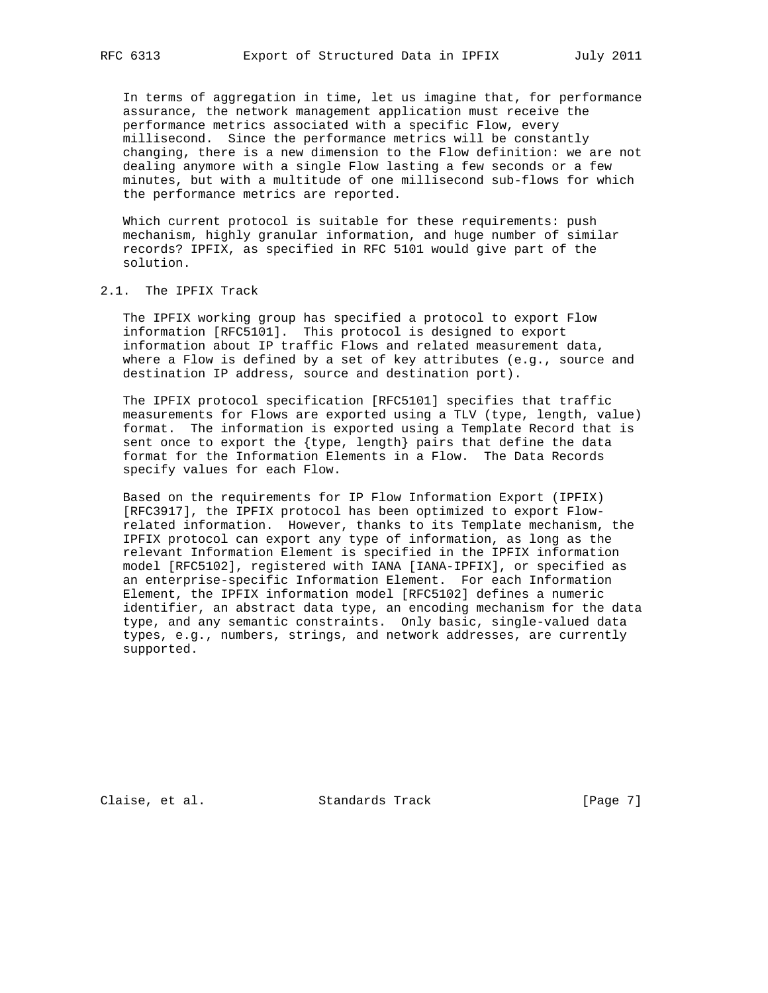In terms of aggregation in time, let us imagine that, for performance assurance, the network management application must receive the performance metrics associated with a specific Flow, every millisecond. Since the performance metrics will be constantly changing, there is a new dimension to the Flow definition: we are not dealing anymore with a single Flow lasting a few seconds or a few minutes, but with a multitude of one millisecond sub-flows for which the performance metrics are reported.

 Which current protocol is suitable for these requirements: push mechanism, highly granular information, and huge number of similar records? IPFIX, as specified in RFC 5101 would give part of the solution.

## 2.1. The IPFIX Track

 The IPFIX working group has specified a protocol to export Flow information [RFC5101]. This protocol is designed to export information about IP traffic Flows and related measurement data, where a Flow is defined by a set of key attributes (e.g., source and destination IP address, source and destination port).

 The IPFIX protocol specification [RFC5101] specifies that traffic measurements for Flows are exported using a TLV (type, length, value) format. The information is exported using a Template Record that is sent once to export the {type, length} pairs that define the data format for the Information Elements in a Flow. The Data Records specify values for each Flow.

 Based on the requirements for IP Flow Information Export (IPFIX) [RFC3917], the IPFIX protocol has been optimized to export Flow related information. However, thanks to its Template mechanism, the IPFIX protocol can export any type of information, as long as the relevant Information Element is specified in the IPFIX information model [RFC5102], registered with IANA [IANA-IPFIX], or specified as an enterprise-specific Information Element. For each Information Element, the IPFIX information model [RFC5102] defines a numeric identifier, an abstract data type, an encoding mechanism for the data type, and any semantic constraints. Only basic, single-valued data types, e.g., numbers, strings, and network addresses, are currently supported.

Claise, et al. Standards Track [Page 7]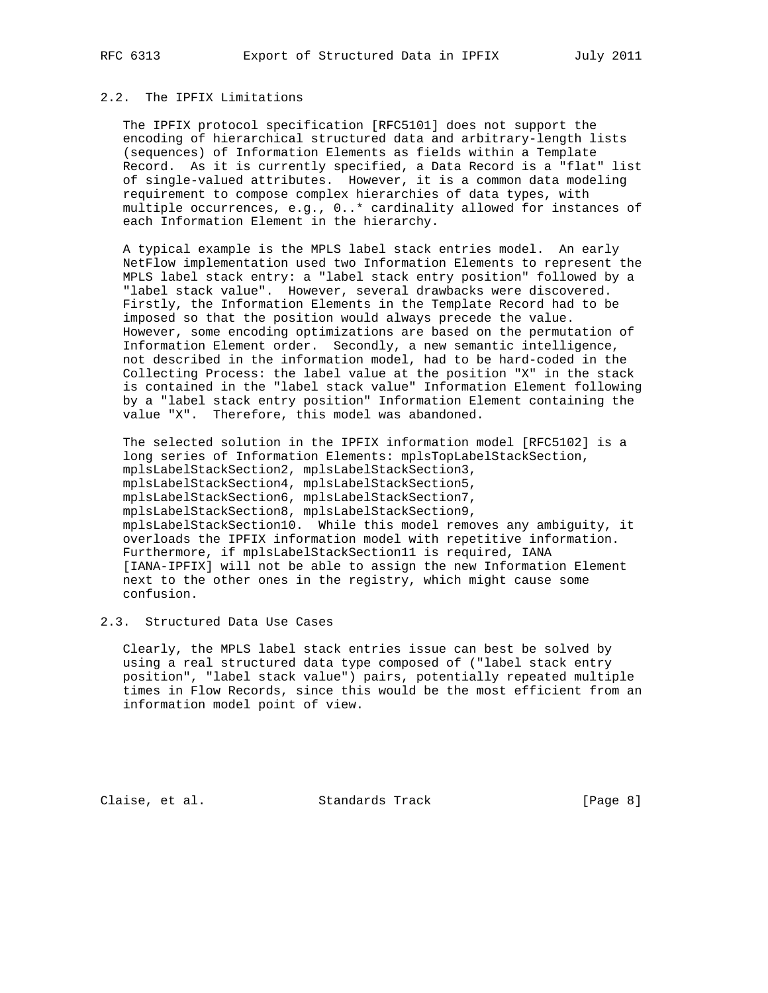## 2.2. The IPFIX Limitations

 The IPFIX protocol specification [RFC5101] does not support the encoding of hierarchical structured data and arbitrary-length lists (sequences) of Information Elements as fields within a Template Record. As it is currently specified, a Data Record is a "flat" list of single-valued attributes. However, it is a common data modeling requirement to compose complex hierarchies of data types, with multiple occurrences, e.g., 0..\* cardinality allowed for instances of each Information Element in the hierarchy.

 A typical example is the MPLS label stack entries model. An early NetFlow implementation used two Information Elements to represent the MPLS label stack entry: a "label stack entry position" followed by a "label stack value". However, several drawbacks were discovered. Firstly, the Information Elements in the Template Record had to be imposed so that the position would always precede the value. However, some encoding optimizations are based on the permutation of Information Element order. Secondly, a new semantic intelligence, not described in the information model, had to be hard-coded in the Collecting Process: the label value at the position "X" in the stack is contained in the "label stack value" Information Element following by a "label stack entry position" Information Element containing the value "X". Therefore, this model was abandoned.

 The selected solution in the IPFIX information model [RFC5102] is a long series of Information Elements: mplsTopLabelStackSection, mplsLabelStackSection2, mplsLabelStackSection3, mplsLabelStackSection4, mplsLabelStackSection5, mplsLabelStackSection6, mplsLabelStackSection7, mplsLabelStackSection8, mplsLabelStackSection9, mplsLabelStackSection10. While this model removes any ambiguity, it overloads the IPFIX information model with repetitive information. Furthermore, if mplsLabelStackSection11 is required, IANA [IANA-IPFIX] will not be able to assign the new Information Element next to the other ones in the registry, which might cause some confusion.

# 2.3. Structured Data Use Cases

 Clearly, the MPLS label stack entries issue can best be solved by using a real structured data type composed of ("label stack entry position", "label stack value") pairs, potentially repeated multiple times in Flow Records, since this would be the most efficient from an information model point of view.

Claise, et al. Standards Track [Page 8]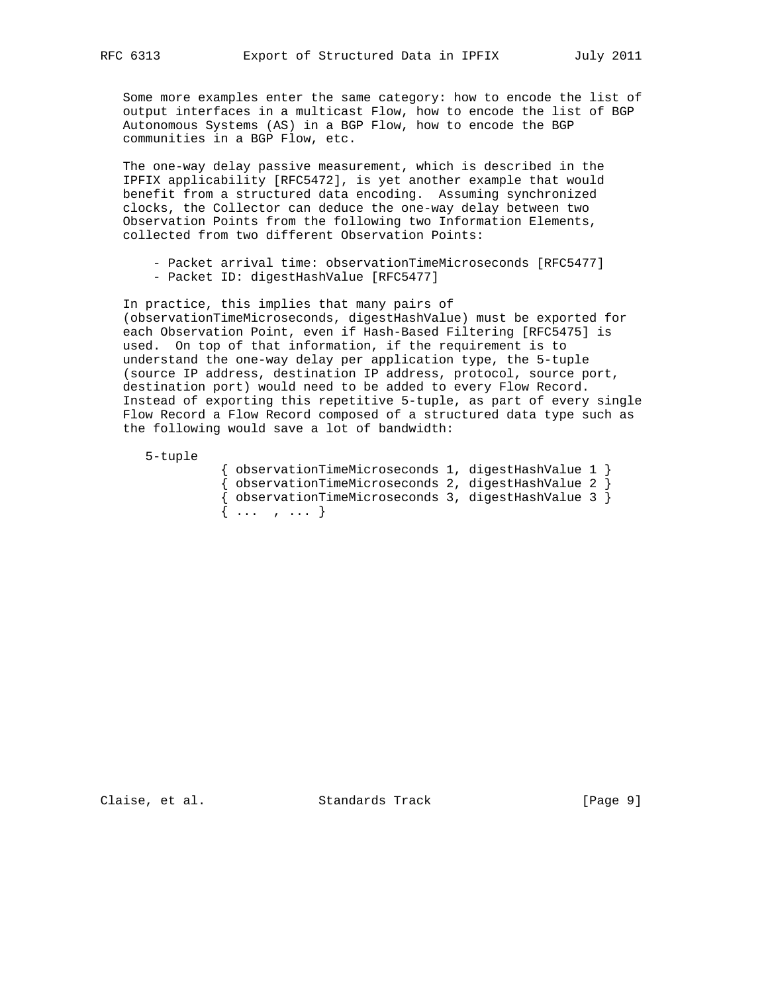Some more examples enter the same category: how to encode the list of output interfaces in a multicast Flow, how to encode the list of BGP Autonomous Systems (AS) in a BGP Flow, how to encode the BGP communities in a BGP Flow, etc.

 The one-way delay passive measurement, which is described in the IPFIX applicability [RFC5472], is yet another example that would benefit from a structured data encoding. Assuming synchronized clocks, the Collector can deduce the one-way delay between two Observation Points from the following two Information Elements, collected from two different Observation Points:

 - Packet arrival time: observationTimeMicroseconds [RFC5477] - Packet ID: digestHashValue [RFC5477]

 In practice, this implies that many pairs of (observationTimeMicroseconds, digestHashValue) must be exported for each Observation Point, even if Hash-Based Filtering [RFC5475] is used. On top of that information, if the requirement is to understand the one-way delay per application type, the 5-tuple (source IP address, destination IP address, protocol, source port, destination port) would need to be added to every Flow Record. Instead of exporting this repetitive 5-tuple, as part of every single Flow Record a Flow Record composed of a structured data type such as the following would save a lot of bandwidth:

5-tuple

| { observationTimeMicroseconds 1, digestHashValue 1 }       |  |  |
|------------------------------------------------------------|--|--|
| { observationTimeMicroseconds 2, digestHashValue 2 }       |  |  |
| $\{$ observationTimeMicroseconds 3, digestHashValue 3 $\}$ |  |  |
| $\{ \ldots, \ldots \}$                                     |  |  |

Claise, et al. Standards Track [Page 9]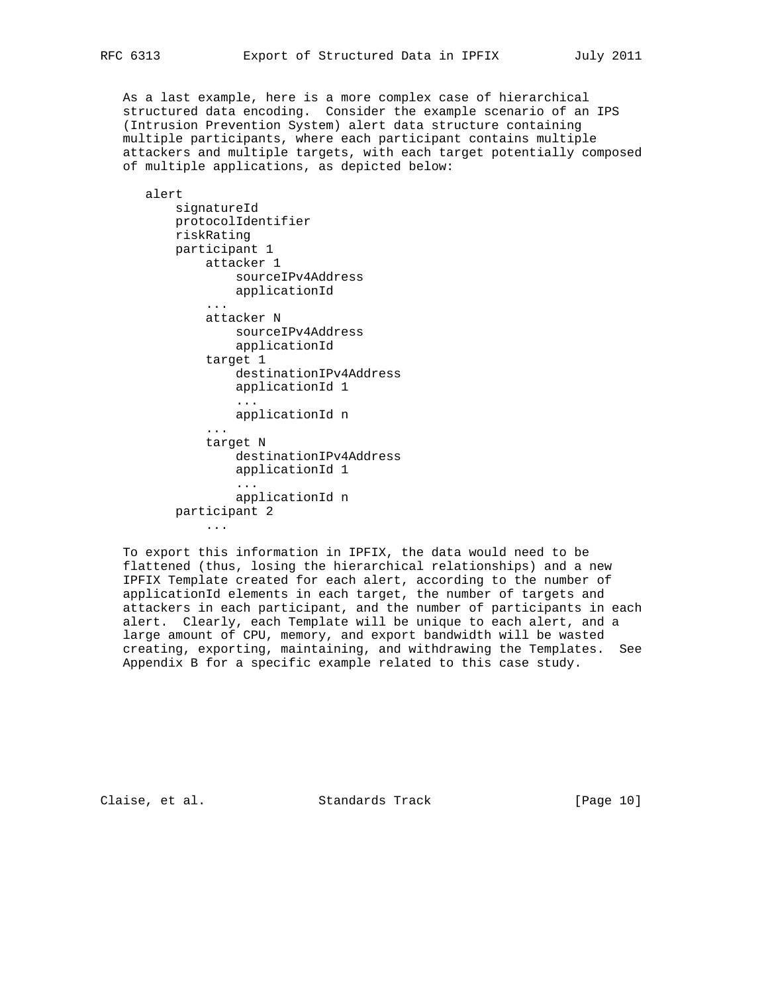As a last example, here is a more complex case of hierarchical structured data encoding. Consider the example scenario of an IPS (Intrusion Prevention System) alert data structure containing multiple participants, where each participant contains multiple attackers and multiple targets, with each target potentially composed of multiple applications, as depicted below:

 alert signatureId protocolIdentifier riskRating participant 1 attacker 1 sourceIPv4Address applicationId ... attacker N sourceIPv4Address applicationId target 1 destinationIPv4Address applicationId 1 ... applicationId n ... target N destinationIPv4Address applicationId 1 ... applicationId n participant 2 ...

 To export this information in IPFIX, the data would need to be flattened (thus, losing the hierarchical relationships) and a new IPFIX Template created for each alert, according to the number of applicationId elements in each target, the number of targets and attackers in each participant, and the number of participants in each alert. Clearly, each Template will be unique to each alert, and a large amount of CPU, memory, and export bandwidth will be wasted creating, exporting, maintaining, and withdrawing the Templates. See Appendix B for a specific example related to this case study.

Claise, et al. Standards Track [Page 10]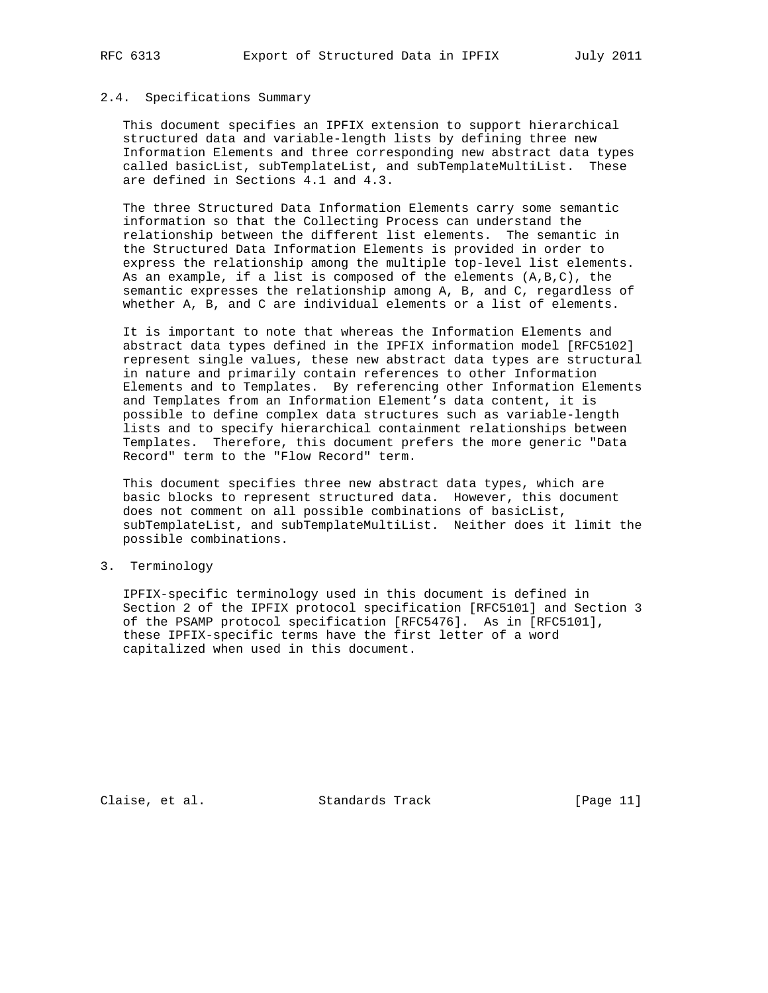## 2.4. Specifications Summary

 This document specifies an IPFIX extension to support hierarchical structured data and variable-length lists by defining three new Information Elements and three corresponding new abstract data types called basicList, subTemplateList, and subTemplateMultiList. These are defined in Sections 4.1 and 4.3.

 The three Structured Data Information Elements carry some semantic information so that the Collecting Process can understand the relationship between the different list elements. The semantic in the Structured Data Information Elements is provided in order to express the relationship among the multiple top-level list elements. As an example, if a list is composed of the elements  $(A, B, C)$ , the semantic expresses the relationship among A, B, and C, regardless of whether A, B, and C are individual elements or a list of elements.

 It is important to note that whereas the Information Elements and abstract data types defined in the IPFIX information model [RFC5102] represent single values, these new abstract data types are structural in nature and primarily contain references to other Information Elements and to Templates. By referencing other Information Elements and Templates from an Information Element's data content, it is possible to define complex data structures such as variable-length lists and to specify hierarchical containment relationships between Templates. Therefore, this document prefers the more generic "Data Record" term to the "Flow Record" term.

 This document specifies three new abstract data types, which are basic blocks to represent structured data. However, this document does not comment on all possible combinations of basicList, subTemplateList, and subTemplateMultiList. Neither does it limit the possible combinations.

3. Terminology

 IPFIX-specific terminology used in this document is defined in Section 2 of the IPFIX protocol specification [RFC5101] and Section 3 of the PSAMP protocol specification [RFC5476]. As in [RFC5101], these IPFIX-specific terms have the first letter of a word capitalized when used in this document.

Claise, et al. Standards Track [Page 11]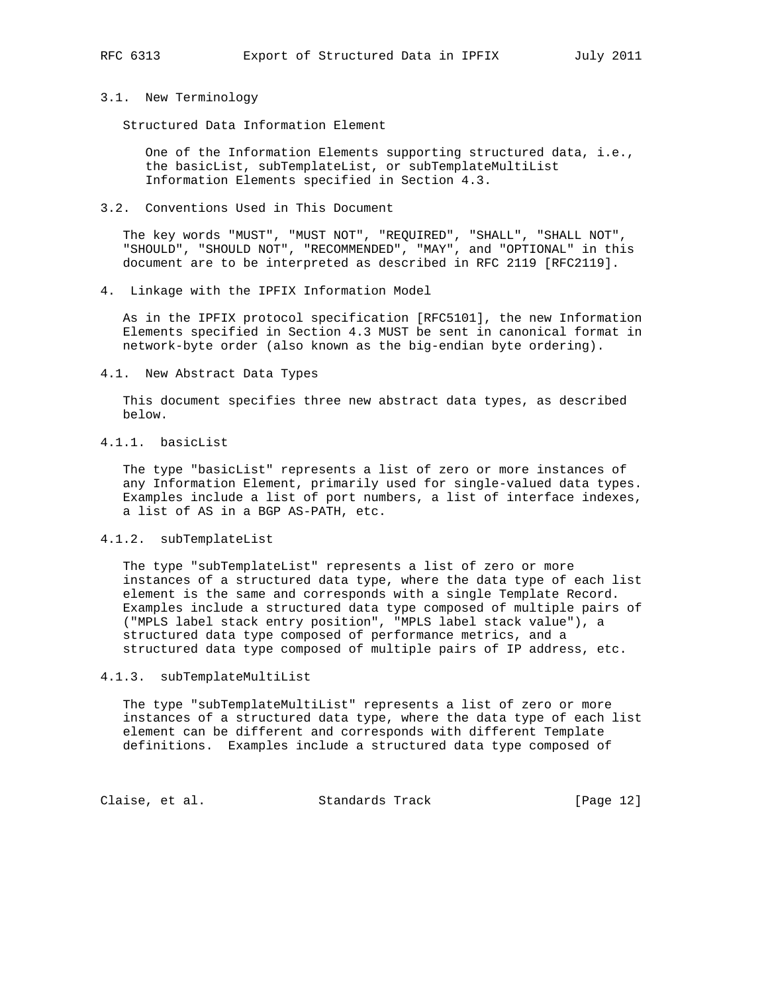# 3.1. New Terminology

Structured Data Information Element

 One of the Information Elements supporting structured data, i.e., the basicList, subTemplateList, or subTemplateMultiList Information Elements specified in Section 4.3.

3.2. Conventions Used in This Document

 The key words "MUST", "MUST NOT", "REQUIRED", "SHALL", "SHALL NOT", "SHOULD", "SHOULD NOT", "RECOMMENDED", "MAY", and "OPTIONAL" in this document are to be interpreted as described in RFC 2119 [RFC2119].

4. Linkage with the IPFIX Information Model

 As in the IPFIX protocol specification [RFC5101], the new Information Elements specified in Section 4.3 MUST be sent in canonical format in network-byte order (also known as the big-endian byte ordering).

4.1. New Abstract Data Types

 This document specifies three new abstract data types, as described below.

4.1.1. basicList

 The type "basicList" represents a list of zero or more instances of any Information Element, primarily used for single-valued data types. Examples include a list of port numbers, a list of interface indexes, a list of AS in a BGP AS-PATH, etc.

## 4.1.2. subTemplateList

 The type "subTemplateList" represents a list of zero or more instances of a structured data type, where the data type of each list element is the same and corresponds with a single Template Record. Examples include a structured data type composed of multiple pairs of ("MPLS label stack entry position", "MPLS label stack value"), a structured data type composed of performance metrics, and a structured data type composed of multiple pairs of IP address, etc.

### 4.1.3. subTemplateMultiList

The type "subTemplateMultiList" represents a list of zero or more instances of a structured data type, where the data type of each list element can be different and corresponds with different Template definitions. Examples include a structured data type composed of

Claise, et al. Standards Track [Page 12]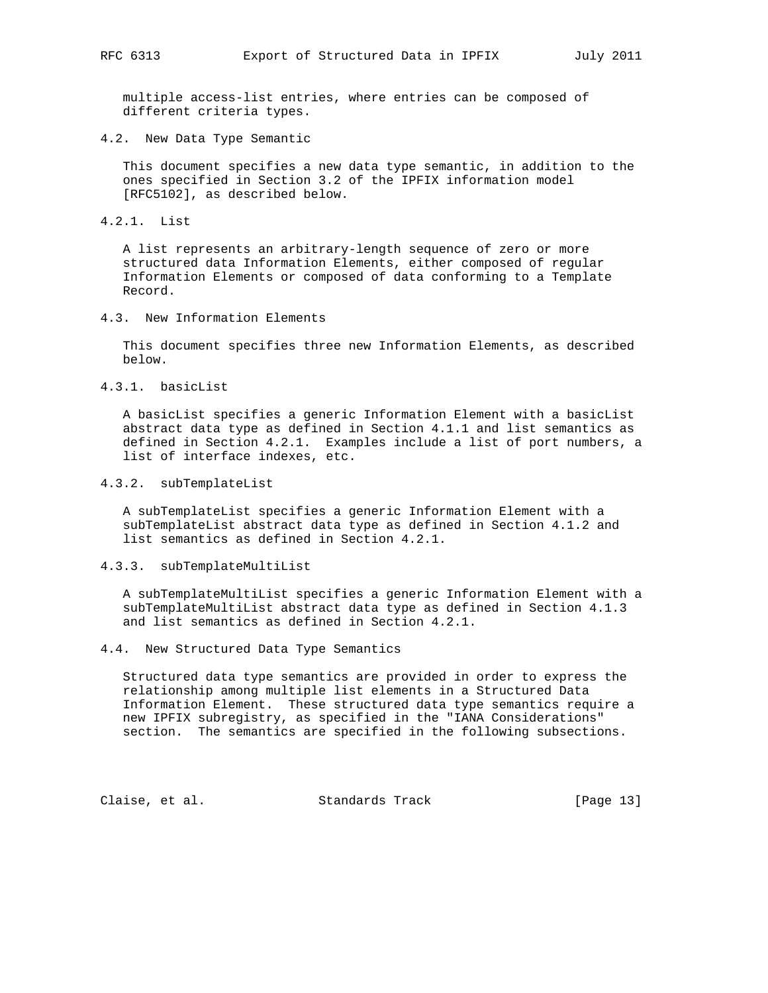multiple access-list entries, where entries can be composed of different criteria types.

4.2. New Data Type Semantic

 This document specifies a new data type semantic, in addition to the ones specified in Section 3.2 of the IPFIX information model [RFC5102], as described below.

4.2.1. List

 A list represents an arbitrary-length sequence of zero or more structured data Information Elements, either composed of regular Information Elements or composed of data conforming to a Template Record.

4.3. New Information Elements

 This document specifies three new Information Elements, as described below.

4.3.1. basicList

 A basicList specifies a generic Information Element with a basicList abstract data type as defined in Section 4.1.1 and list semantics as defined in Section 4.2.1. Examples include a list of port numbers, a list of interface indexes, etc.

4.3.2. subTemplateList

 A subTemplateList specifies a generic Information Element with a subTemplateList abstract data type as defined in Section 4.1.2 and list semantics as defined in Section 4.2.1.

## 4.3.3. subTemplateMultiList

 A subTemplateMultiList specifies a generic Information Element with a subTemplateMultiList abstract data type as defined in Section 4.1.3 and list semantics as defined in Section 4.2.1.

4.4. New Structured Data Type Semantics

 Structured data type semantics are provided in order to express the relationship among multiple list elements in a Structured Data Information Element. These structured data type semantics require a new IPFIX subregistry, as specified in the "IANA Considerations" section. The semantics are specified in the following subsections.

Claise, et al. Standards Track [Page 13]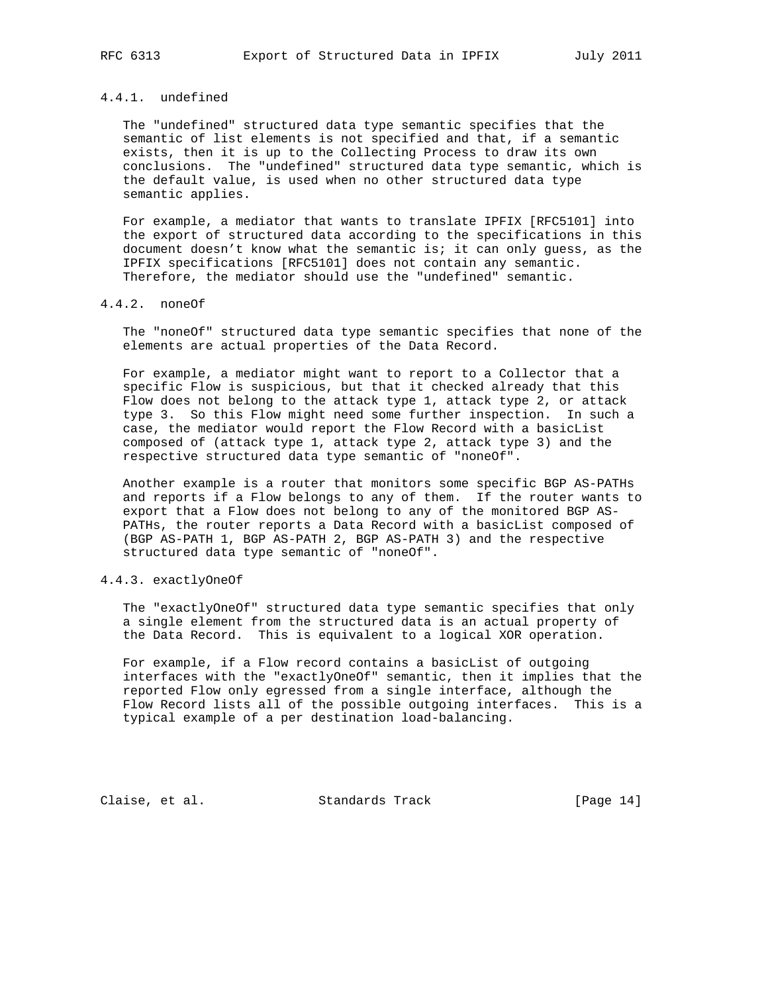# 4.4.1. undefined

 The "undefined" structured data type semantic specifies that the semantic of list elements is not specified and that, if a semantic exists, then it is up to the Collecting Process to draw its own conclusions. The "undefined" structured data type semantic, which is the default value, is used when no other structured data type semantic applies.

 For example, a mediator that wants to translate IPFIX [RFC5101] into the export of structured data according to the specifications in this document doesn't know what the semantic is; it can only guess, as the IPFIX specifications [RFC5101] does not contain any semantic. Therefore, the mediator should use the "undefined" semantic.

## 4.4.2. noneOf

 The "noneOf" structured data type semantic specifies that none of the elements are actual properties of the Data Record.

 For example, a mediator might want to report to a Collector that a specific Flow is suspicious, but that it checked already that this Flow does not belong to the attack type 1, attack type 2, or attack type 3. So this Flow might need some further inspection. In such a case, the mediator would report the Flow Record with a basicList composed of (attack type 1, attack type 2, attack type 3) and the respective structured data type semantic of "noneOf".

 Another example is a router that monitors some specific BGP AS-PATHs and reports if a Flow belongs to any of them. If the router wants to export that a Flow does not belong to any of the monitored BGP AS- PATHs, the router reports a Data Record with a basicList composed of (BGP AS-PATH 1, BGP AS-PATH 2, BGP AS-PATH 3) and the respective structured data type semantic of "noneOf".

## 4.4.3. exactlyOneOf

 The "exactlyOneOf" structured data type semantic specifies that only a single element from the structured data is an actual property of the Data Record. This is equivalent to a logical XOR operation.

For example, if a Flow record contains a basicList of outgoing interfaces with the "exactlyOneOf" semantic, then it implies that the reported Flow only egressed from a single interface, although the Flow Record lists all of the possible outgoing interfaces. This is a typical example of a per destination load-balancing.

Claise, et al. Standards Track [Page 14]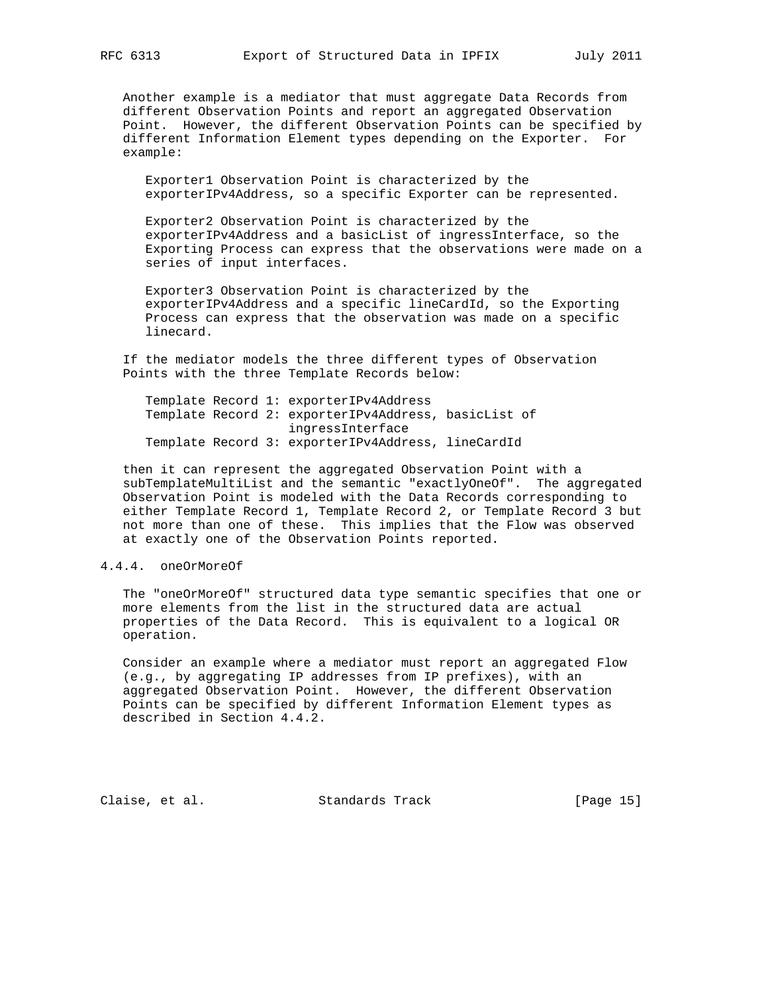Another example is a mediator that must aggregate Data Records from different Observation Points and report an aggregated Observation Point. However, the different Observation Points can be specified by different Information Element types depending on the Exporter. For example:

 Exporter1 Observation Point is characterized by the exporterIPv4Address, so a specific Exporter can be represented.

 Exporter2 Observation Point is characterized by the exporterIPv4Address and a basicList of ingressInterface, so the Exporting Process can express that the observations were made on a series of input interfaces.

 Exporter3 Observation Point is characterized by the exporterIPv4Address and a specific lineCardId, so the Exporting Process can express that the observation was made on a specific linecard.

 If the mediator models the three different types of Observation Points with the three Template Records below:

 Template Record 1: exporterIPv4Address Template Record 2: exporterIPv4Address, basicList of ingressInterface Template Record 3: exporterIPv4Address, lineCardId

 then it can represent the aggregated Observation Point with a subTemplateMultiList and the semantic "exactlyOneOf". The aggregated Observation Point is modeled with the Data Records corresponding to either Template Record 1, Template Record 2, or Template Record 3 but not more than one of these. This implies that the Flow was observed at exactly one of the Observation Points reported.

## 4.4.4. oneOrMoreOf

 The "oneOrMoreOf" structured data type semantic specifies that one or more elements from the list in the structured data are actual properties of the Data Record. This is equivalent to a logical OR operation.

 Consider an example where a mediator must report an aggregated Flow (e.g., by aggregating IP addresses from IP prefixes), with an aggregated Observation Point. However, the different Observation Points can be specified by different Information Element types as described in Section 4.4.2.

Claise, et al. Standards Track [Page 15]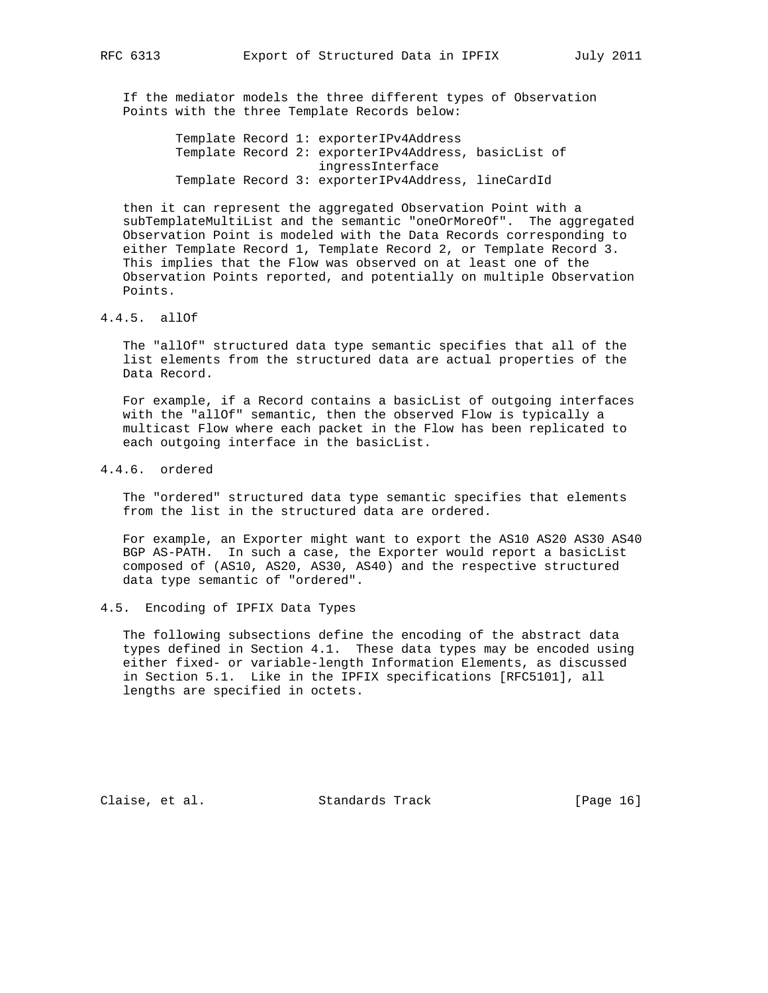If the mediator models the three different types of Observation Points with the three Template Records below:

> Template Record 1: exporterIPv4Address Template Record 2: exporterIPv4Address, basicList of ingressInterface Template Record 3: exporterIPv4Address, lineCardId

 then it can represent the aggregated Observation Point with a subTemplateMultiList and the semantic "oneOrMoreOf". The aggregated Observation Point is modeled with the Data Records corresponding to either Template Record 1, Template Record 2, or Template Record 3. This implies that the Flow was observed on at least one of the Observation Points reported, and potentially on multiple Observation Points.

## 4.4.5. allOf

 The "allOf" structured data type semantic specifies that all of the list elements from the structured data are actual properties of the Data Record.

For example, if a Record contains a basicList of outgoing interfaces with the "allOf" semantic, then the observed Flow is typically a multicast Flow where each packet in the Flow has been replicated to each outgoing interface in the basicList.

## 4.4.6. ordered

 The "ordered" structured data type semantic specifies that elements from the list in the structured data are ordered.

 For example, an Exporter might want to export the AS10 AS20 AS30 AS40 BGP AS-PATH. In such a case, the Exporter would report a basicList composed of (AS10, AS20, AS30, AS40) and the respective structured data type semantic of "ordered".

#### 4.5. Encoding of IPFIX Data Types

 The following subsections define the encoding of the abstract data types defined in Section 4.1. These data types may be encoded using either fixed- or variable-length Information Elements, as discussed in Section 5.1. Like in the IPFIX specifications [RFC5101], all lengths are specified in octets.

Claise, et al. Standards Track [Page 16]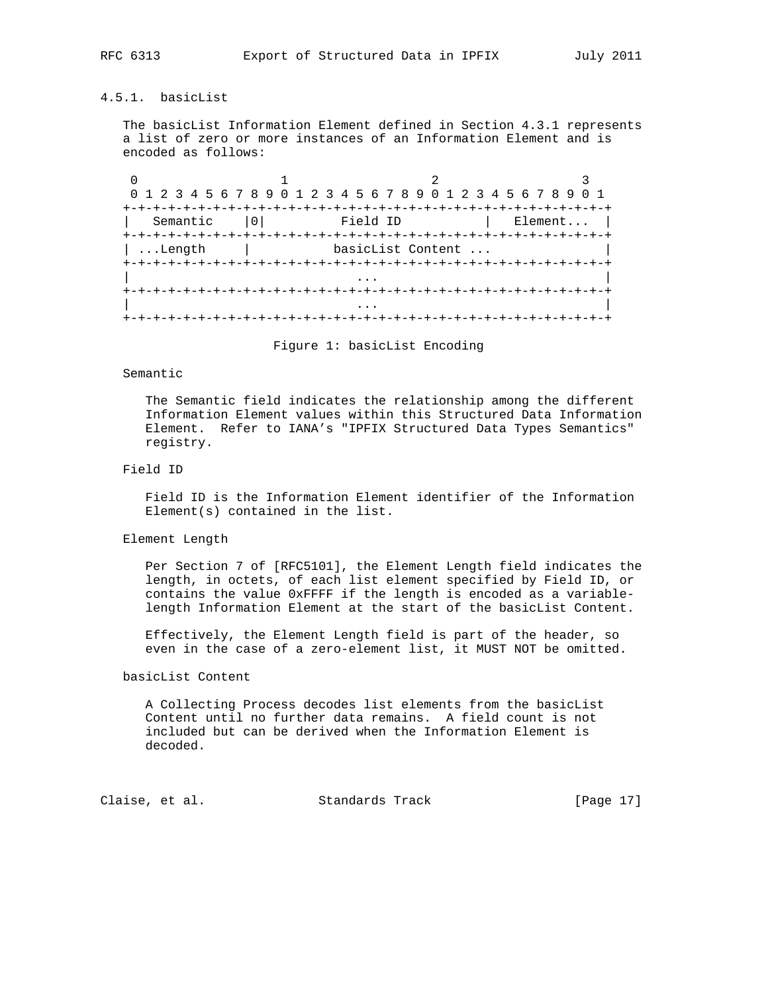## 4.5.1. basicList

 The basicList Information Element defined in Section 4.3.1 represents a list of zero or more instances of an Information Element and is encoded as follows:

0  $1$  2 3 0 1 2 3 4 5 6 7 8 9 0 1 2 3 4 5 6 7 8 9 0 1 2 3 4 5 6 7 8 9 0 1 +-+-+-+-+-+-+-+-+-+-+-+-+-+-+-+-+-+-+-+-+-+-+-+-+-+-+-+-+-+-+-+-+ | Semantic |0| Field ID | Element... | +-+-+-+-+-+-+-+-+-+-+-+-+-+-+-+-+-+-+-+-+-+-+-+-+-+-+-+-+-+-+-+-+ | ...Length | basicList Content ... +-+-+-+-+-+-+-+-+-+-+-+-+-+-+-+-+-+-+-+-+-+-+-+-+-+-+-+-+-+-+-+-+ | ... | ... | ... | ... | ... | ... | ... | ... | ... | ... | ... | ... | ... | ... | ... | ... | ... | ... | . +-+-+-+-+-+-+-+-+-+-+-+-+-+-+-+-+-+-+-+-+-+-+-+-+-+-+-+-+-+-+-+-+ | ... | ... | ... | ... | ... | ... | ... | ... | ... | ... | ... | ... | ... | ... | ... | ... | ... | ... | . +-+-+-+-+-+-+-+-+-+-+-+-+-+-+-+-+-+-+-+-+-+-+-+-+-+-+-+-+-+-+-+-+

Figure 1: basicList Encoding

#### Semantic

 The Semantic field indicates the relationship among the different Information Element values within this Structured Data Information Element. Refer to IANA's "IPFIX Structured Data Types Semantics" registry.

## Field ID

 Field ID is the Information Element identifier of the Information Element(s) contained in the list.

### Element Length

 Per Section 7 of [RFC5101], the Element Length field indicates the length, in octets, of each list element specified by Field ID, or contains the value 0xFFFF if the length is encoded as a variable length Information Element at the start of the basicList Content.

 Effectively, the Element Length field is part of the header, so even in the case of a zero-element list, it MUST NOT be omitted.

## basicList Content

 A Collecting Process decodes list elements from the basicList Content until no further data remains. A field count is not included but can be derived when the Information Element is decoded.

Claise, et al. Standards Track [Page 17]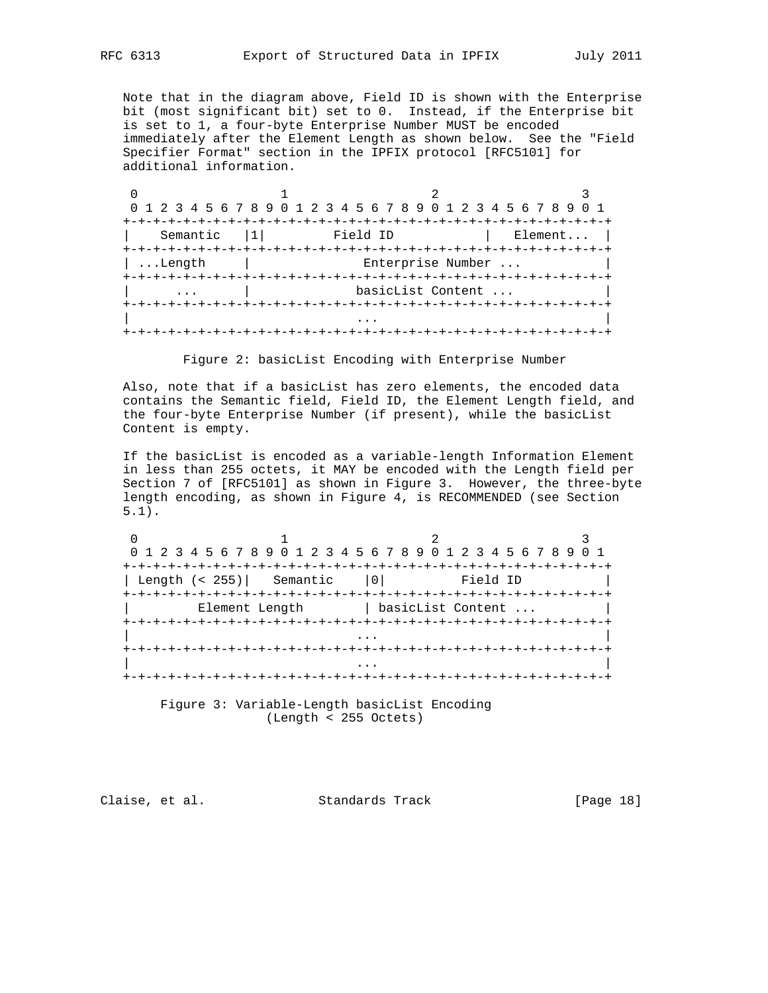Note that in the diagram above, Field ID is shown with the Enterprise bit (most significant bit) set to 0. Instead, if the Enterprise bit is set to 1, a four-byte Enterprise Number MUST be encoded immediately after the Element Length as shown below. See the "Field Specifier Format" section in the IPFIX protocol [RFC5101] for additional information.

|          |                                         | 0 1 2 3 4 5 6 7 8 9 0 1 2 3 4 5 6 7 8 9 0 1 2 3 4 5 6 7 8 9 0 1 |
|----------|-----------------------------------------|-----------------------------------------------------------------|
|          | -+-+-+-+-+-+-+-+-+-+-+-+-+-+-+-+-+-+-+- |                                                                 |
| Semantic | Field ID                                | Element                                                         |
|          |                                         |                                                                 |
| Length.  |                                         | Enterprise Number                                               |
|          |                                         |                                                                 |
|          |                                         | basicList Content                                               |
|          |                                         |                                                                 |
|          |                                         |                                                                 |
|          | +-+-+-+-+-+-+-+-+-+-+-+-+-+             |                                                                 |

Figure 2: basicList Encoding with Enterprise Number

 Also, note that if a basicList has zero elements, the encoded data contains the Semantic field, Field ID, the Element Length field, and the four-byte Enterprise Number (if present), while the basicList Content is empty.

 If the basicList is encoded as a variable-length Information Element in less than 255 octets, it MAY be encoded with the Length field per Section 7 of [RFC5101] as shown in Figure 3. However, the three-byte length encoding, as shown in Figure 4, is RECOMMENDED (see Section 5.1).

|                                          | 0 1 2 3 4 5 6 7 8 9 0 1 2 3 4 5 6 7 8 9 0 1 2 3 4 5 6 7 8 9 0 1 |
|------------------------------------------|-----------------------------------------------------------------|
|                                          |                                                                 |
| Length (< 255)   Semantic   0   Field ID |                                                                 |
|                                          |                                                                 |
| Element Length                           | basicList Content                                               |
|                                          |                                                                 |
|                                          |                                                                 |
|                                          |                                                                 |
|                                          |                                                                 |
|                                          |                                                                 |

 Figure 3: Variable-Length basicList Encoding (Length < 255 Octets)

Claise, et al. Standards Track [Page 18]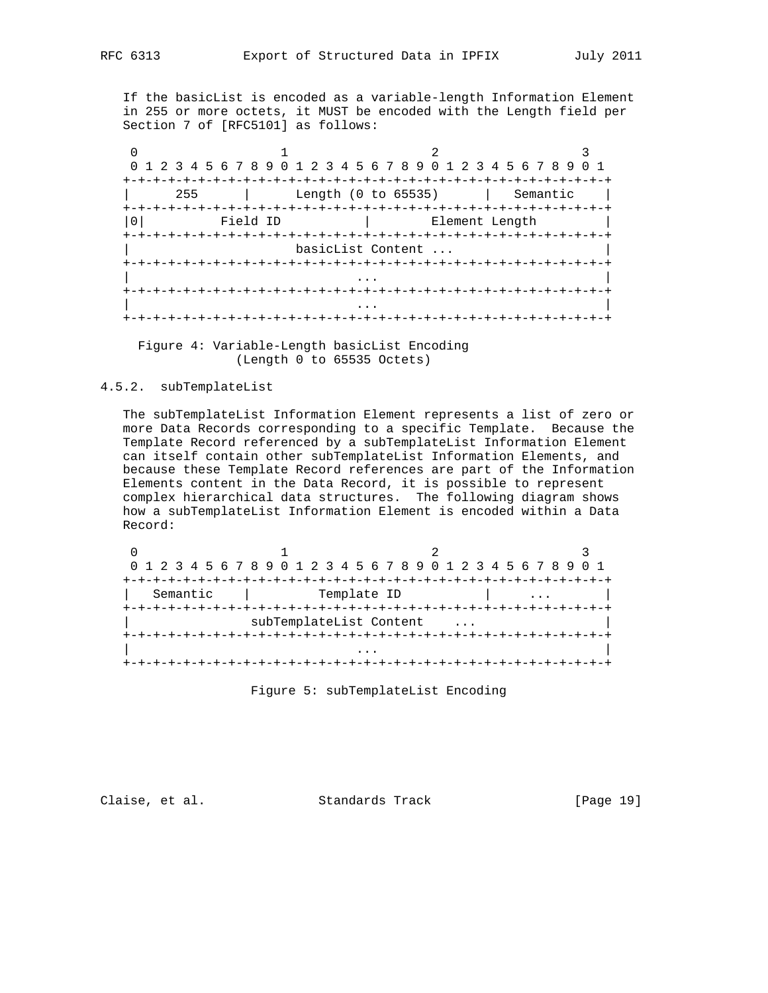If the basicList is encoded as a variable-length Information Element in 255 or more octets, it MUST be encoded with the Length field per Section 7 of [RFC5101] as follows:

0  $1$  2 3 0 1 2 3 4 5 6 7 8 9 0 1 2 3 4 5 6 7 8 9 0 1 2 3 4 5 6 7 8 9 0 1 +-+-+-+-+-+-+-+-+-+-+-+-+-+-+-+-+-+-+-+-+-+-+-+-+-+-+-+-+-+-+-+-+ | 255 | Length (0 to 65535) | Semantic | +-+-+-+-+-+-+-+-+-+-+-+-+-+-+-+-+-+-+-+-+-+-+-+-+-+-+-+-+-+-+-+-+ |0| Field ID | Element Length +-+-+-+-+-+-+-+-+-+-+-+-+-+-+-+-+-+-+-+-+-+-+-+-+-+-+-+-+-+-+-+-+ basicList Content ... +-+-+-+-+-+-+-+-+-+-+-+-+-+-+-+-+-+-+-+-+-+-+-+-+-+-+-+-+-+-+-+-+ | ... | ... | ... | ... | ... | ... | ... | ... | ... | ... | ... | ... | ... | ... | ... | ... | ... | ... | . +-+-+-+-+-+-+-+-+-+-+-+-+-+-+-+-+-+-+-+-+-+-+-+-+-+-+-+-+-+-+-+-+ | ... | ... | ... | ... | ... | ... | ... | ... | ... | ... | ... | ... | ... | ... | ... | ... | ... | ... | . +-+-+-+-+-+-+-+-+-+-+-+-+-+-+-+-+-+-+-+-+-+-+-+-+-+-+-+-+-+-+-+-+

 Figure 4: Variable-Length basicList Encoding (Length 0 to 65535 Octets)

## 4.5.2. subTemplateList

 The subTemplateList Information Element represents a list of zero or more Data Records corresponding to a specific Template. Because the Template Record referenced by a subTemplateList Information Element can itself contain other subTemplateList Information Elements, and because these Template Record references are part of the Information Elements content in the Data Record, it is possible to represent complex hierarchical data structures. The following diagram shows how a subTemplateList Information Element is encoded within a Data Record:

|          | 0 1 2 3 4 5 6 7 8 9 0 1 2 3 4 5 6 7 8 9 0 1 2 3 4 5 6 7 8 9 0 1 |                                        |  |
|----------|-----------------------------------------------------------------|----------------------------------------|--|
|          |                                                                 | +-+-+-+-+-+-+-+-+-+-+-+-+-+-+-+-+-+-+- |  |
| Semantic | Template ID                                                     |                                        |  |
|          | +-+-+-+-+-+-+-+-+-+-                                            |                                        |  |
|          | subTemplateList Content                                         |                                        |  |
|          |                                                                 |                                        |  |
|          |                                                                 |                                        |  |
|          |                                                                 |                                        |  |

Figure 5: subTemplateList Encoding

Claise, et al. Standards Track [Page 19]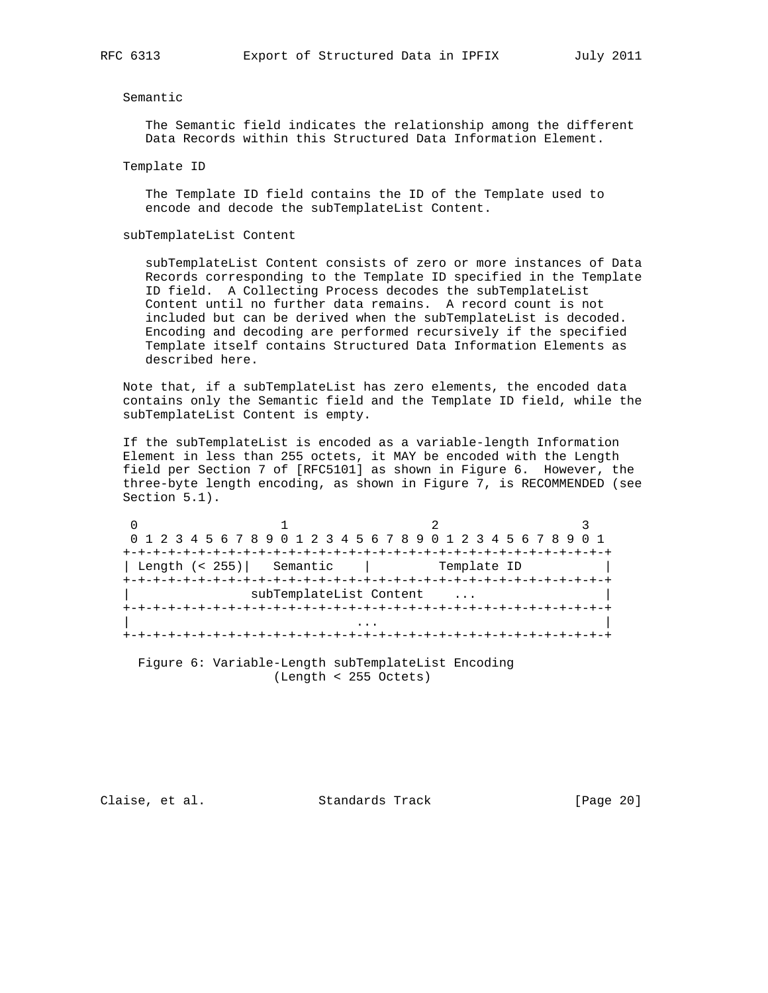## Semantic

 The Semantic field indicates the relationship among the different Data Records within this Structured Data Information Element.

Template ID

 The Template ID field contains the ID of the Template used to encode and decode the subTemplateList Content.

subTemplateList Content

 subTemplateList Content consists of zero or more instances of Data Records corresponding to the Template ID specified in the Template ID field. A Collecting Process decodes the subTemplateList Content until no further data remains. A record count is not included but can be derived when the subTemplateList is decoded. Encoding and decoding are performed recursively if the specified Template itself contains Structured Data Information Elements as described here.

 Note that, if a subTemplateList has zero elements, the encoded data contains only the Semantic field and the Template ID field, while the subTemplateList Content is empty.

 If the subTemplateList is encoded as a variable-length Information Element in less than 255 octets, it MAY be encoded with the Length field per Section 7 of [RFC5101] as shown in Figure 6. However, the three-byte length encoding, as shown in Figure 7, is RECOMMENDED (see Section 5.1).

|                | 0 1 2 3 4 5 6 7 8 9 0 1 2 3 4 5 6 7 8 9 0 1 2 3 4 5 6 7 8 9 0 1 |             |  |
|----------------|-----------------------------------------------------------------|-------------|--|
|                |                                                                 |             |  |
| Length (< 255) | Semantic                                                        | Template ID |  |
|                |                                                                 |             |  |
|                | subTemplateList Content                                         |             |  |
|                |                                                                 |             |  |
|                |                                                                 |             |  |
|                |                                                                 |             |  |

 Figure 6: Variable-Length subTemplateList Encoding (Length < 255 Octets)

Claise, et al. Standards Track [Page 20]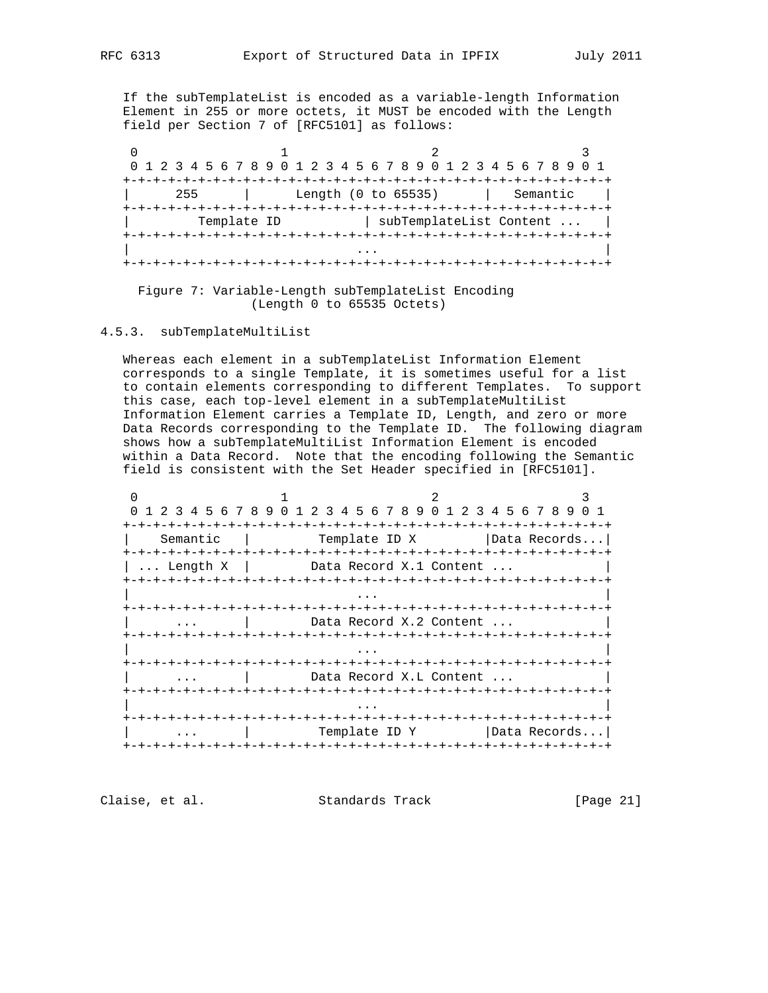If the subTemplateList is encoded as a variable-length Information Element in 255 or more octets, it MUST be encoded with the Length field per Section 7 of [RFC5101] as follows:

|     |             | 0 1 2 3 4 5 6 7 8 9 0 1 2 3 4 5 6 7 8 9 0 1 2 3 4 5 6 7 8 9 | 0 1 |
|-----|-------------|-------------------------------------------------------------|-----|
| 255 |             | Length (0 to 65535)<br>  Semantic                           |     |
|     | Template ID | subTemplateList Content                                     |     |
|     |             |                                                             |     |
|     |             |                                                             |     |

 Figure 7: Variable-Length subTemplateList Encoding (Length 0 to 65535 Octets)

4.5.3. subTemplateMultiList

 Whereas each element in a subTemplateList Information Element corresponds to a single Template, it is sometimes useful for a list to contain elements corresponding to different Templates. To support this case, each top-level element in a subTemplateMultiList Information Element carries a Template ID, Length, and zero or more Data Records corresponding to the Template ID. The following diagram shows how a subTemplateMultiList Information Element is encoded within a Data Record. Note that the encoding following the Semantic field is consistent with the Set Header specified in [RFC5101].

|          |                         | 0 1 2 3 4 5 6 7 8 9 0 1 2 3 4 5 6 7 8 9 0 1 2 3 4 5 6 7 8 9 0 1 |
|----------|-------------------------|-----------------------------------------------------------------|
|          | -+-+-+-+-+-+            | -+-+-+-+-+                                                      |
| Semantic | Template ID X           | Data Records                                                    |
| Length X | Data Record X.1 Content |                                                                 |
|          |                         |                                                                 |
|          |                         |                                                                 |
|          |                         |                                                                 |
|          | Data Record X.2 Content |                                                                 |
|          |                         |                                                                 |
|          |                         |                                                                 |
|          |                         |                                                                 |
|          | Data Record X.L Content |                                                                 |
|          |                         |                                                                 |
|          |                         |                                                                 |
|          |                         |                                                                 |
|          | Template ID Y           | Data Records                                                    |
|          |                         |                                                                 |

Claise, et al. Standards Track [Page 21]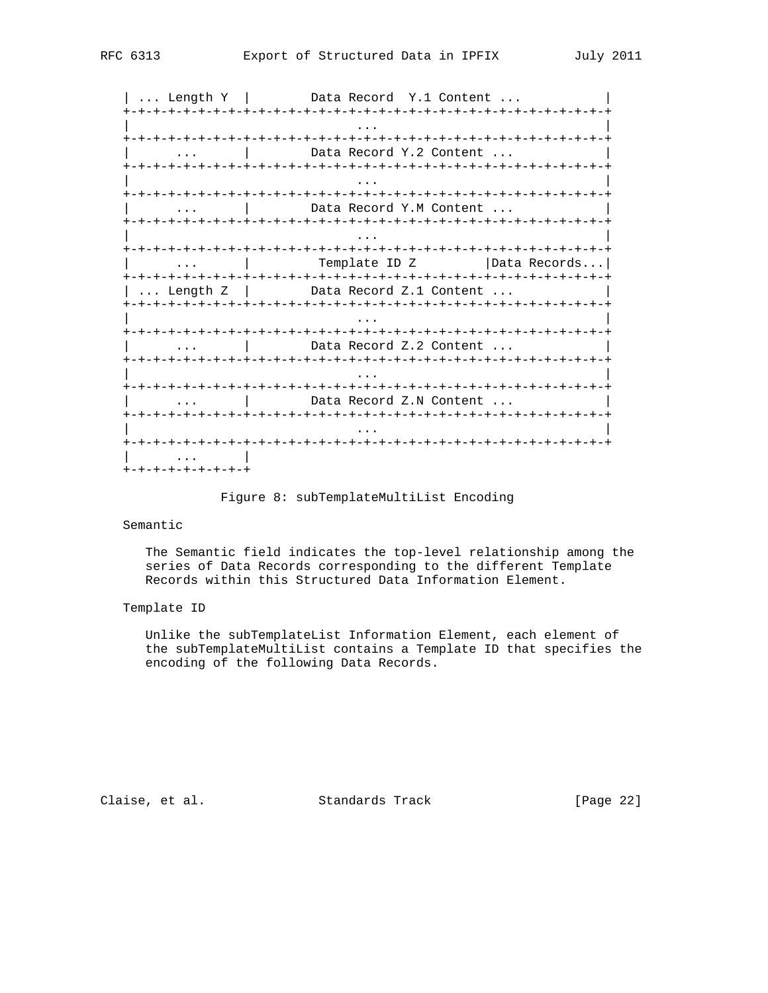| ... Length Y | Data Record Y.1 Content ... +-+-+-+-+-+-+-+-+-+-+-+-+-+-+-+-+-+-+-+-+-+-+-+-+-+-+-+-+-+-+-+-+ | ... | ... | ... | ... | ... | ... | ... | ... | ... | ... | ... | ... | ... | ... | ... | ... | ... | ... | . +-+-+-+-+-+-+-+-+-+-+-+-+-+-+-+-+-+-+-+-+-+-+-+-+-+-+-+-+-+-+-+-+ ... | Data Record Y.2 Content ... +-+-+-+-+-+-+-+-+-+-+-+-+-+-+-+-+-+-+-+-+-+-+-+-+-+-+-+-+-+-+-+-+ | ... | ... | ... | ... | ... | ... | ... | ... | ... | ... | ... | ... | ... | ... | ... | ... | ... | ... | . +-+-+-+-+-+-+-+-+-+-+-+-+-+-+-+-+-+-+-+-+-+-+-+-+-+-+-+-+-+-+-+-+ | ... | Data Record Y.M Content ... | +-+-+-+-+-+-+-+-+-+-+-+-+-+-+-+-+-+-+-+-+-+-+-+-+-+-+-+-+-+-+-+-+ | ... | ... | ... | ... | ... | ... | ... | ... | ... | ... | ... | ... | ... | ... | ... | ... | ... | ... | . +-+-+-+-+-+-+-+-+-+-+-+-+-+-+-+-+-+-+-+-+-+-+-+-+-+-+-+-+-+-+-+-+ ... | Template ID Z |Data Records... +-+-+-+-+-+-+-+-+-+-+-+-+-+-+-+-+-+-+-+-+-+-+-+-+-+-+-+-+-+-+-+-+ | ... Length Z | Data Record Z.1 Content ... +-+-+-+-+-+-+-+-+-+-+-+-+-+-+-+-+-+-+-+-+-+-+-+-+-+-+-+-+-+-+-+-+ | ... | ... | ... | ... | ... | ... | ... | ... | ... | ... | ... | ... | ... | ... | ... | ... | ... | ... | . +-+-+-+-+-+-+-+-+-+-+-+-+-+-+-+-+-+-+-+-+-+-+-+-+-+-+-+-+-+-+-+-+ | ... | Data Record Z.2 Content ... | +-+-+-+-+-+-+-+-+-+-+-+-+-+-+-+-+-+-+-+-+-+-+-+-+-+-+-+-+-+-+-+-+ | ... | ... | ... | ... | ... | ... | ... | ... | ... | ... | ... | ... | ... | ... | ... | ... | ... | ... | . +-+-+-+-+-+-+-+-+-+-+-+-+-+-+-+-+-+-+-+-+-+-+-+-+-+-+-+-+-+-+-+-+ | ... | Data Record Z.N Content ... | +-+-+-+-+-+-+-+-+-+-+-+-+-+-+-+-+-+-+-+-+-+-+-+-+-+-+-+-+-+-+-+-+ | ... | ... | ... | ... | ... | ... | ... | ... | ... | ... | ... | ... | ... | ... | ... | ... | ... | ... | . +-+-+-+-+-+-+-+-+-+-+-+-+-+-+-+-+-+-+-+-+-+-+-+-+-+-+-+-+-+-+-+-+  $\|$  ...  $\|$ +-+-+-+-+-+-+-+-+

Figure 8: subTemplateMultiList Encoding

## Semantic

 The Semantic field indicates the top-level relationship among the series of Data Records corresponding to the different Template Records within this Structured Data Information Element.

## Template ID

 Unlike the subTemplateList Information Element, each element of the subTemplateMultiList contains a Template ID that specifies the encoding of the following Data Records.

Claise, et al. Standards Track [Page 22]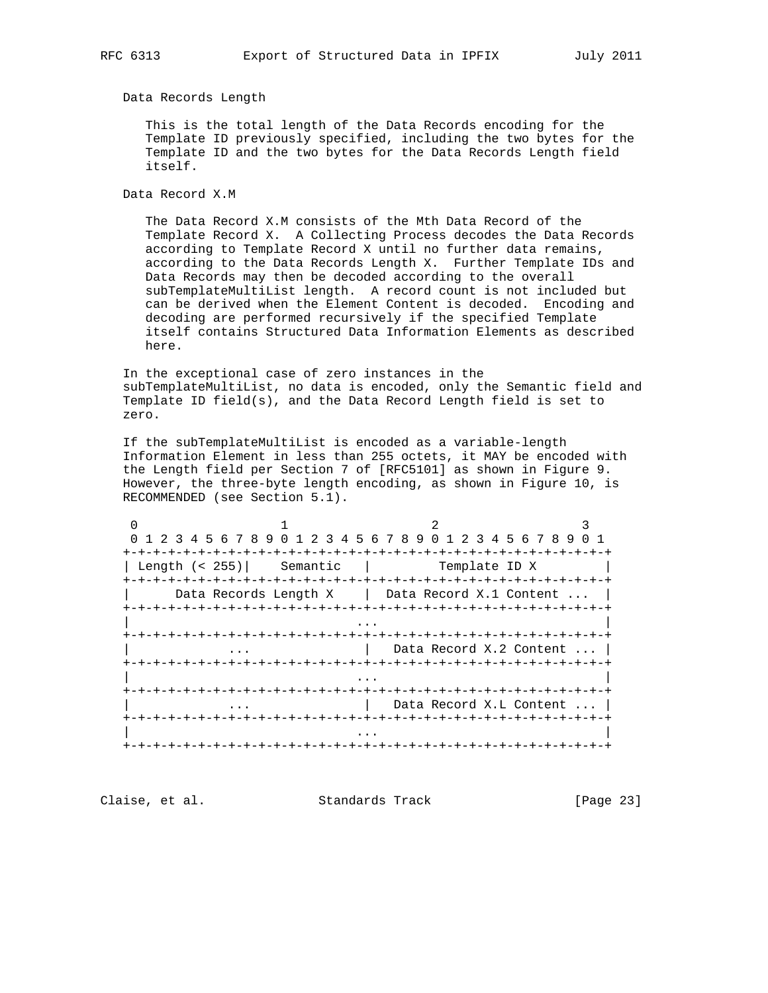Data Records Length

 This is the total length of the Data Records encoding for the Template ID previously specified, including the two bytes for the Template ID and the two bytes for the Data Records Length field itself.

Data Record X.M

 The Data Record X.M consists of the Mth Data Record of the Template Record X. A Collecting Process decodes the Data Records according to Template Record X until no further data remains, according to the Data Records Length X. Further Template IDs and Data Records may then be decoded according to the overall subTemplateMultiList length. A record count is not included but can be derived when the Element Content is decoded. Encoding and decoding are performed recursively if the specified Template itself contains Structured Data Information Elements as described here.

 In the exceptional case of zero instances in the subTemplateMultiList, no data is encoded, only the Semantic field and Template ID field(s), and the Data Record Length field is set to zero.

 If the subTemplateMultiList is encoded as a variable-length Information Element in less than 255 octets, it MAY be encoded with the Length field per Section 7 of [RFC5101] as shown in Figure 9. However, the three-byte length encoding, as shown in Figure 10, is RECOMMENDED (see Section 5.1).

|                  | 0 1 2 3 4 5 6 7 8 9 0 1 2 3 4 5 6 7 8 9 0 1 2 3 4 5 6 7 8 9 0 1 |               |                           |  |
|------------------|-----------------------------------------------------------------|---------------|---------------------------|--|
|                  |                                                                 |               |                           |  |
| Length $(< 255)$ | Semantic                                                        | Template ID X |                           |  |
|                  |                                                                 |               |                           |  |
|                  | Data Records Length X   Data Record X.1 Content                 |               |                           |  |
|                  |                                                                 |               |                           |  |
|                  |                                                                 |               |                           |  |
|                  |                                                                 |               |                           |  |
|                  |                                                                 |               | 1 Data Record X.2 Content |  |
|                  |                                                                 |               |                           |  |
|                  |                                                                 |               |                           |  |
|                  |                                                                 |               |                           |  |
|                  |                                                                 |               | Data Record X.L Content   |  |
|                  |                                                                 |               |                           |  |
|                  |                                                                 |               |                           |  |
|                  |                                                                 |               |                           |  |

Claise, et al. Standards Track [Page 23]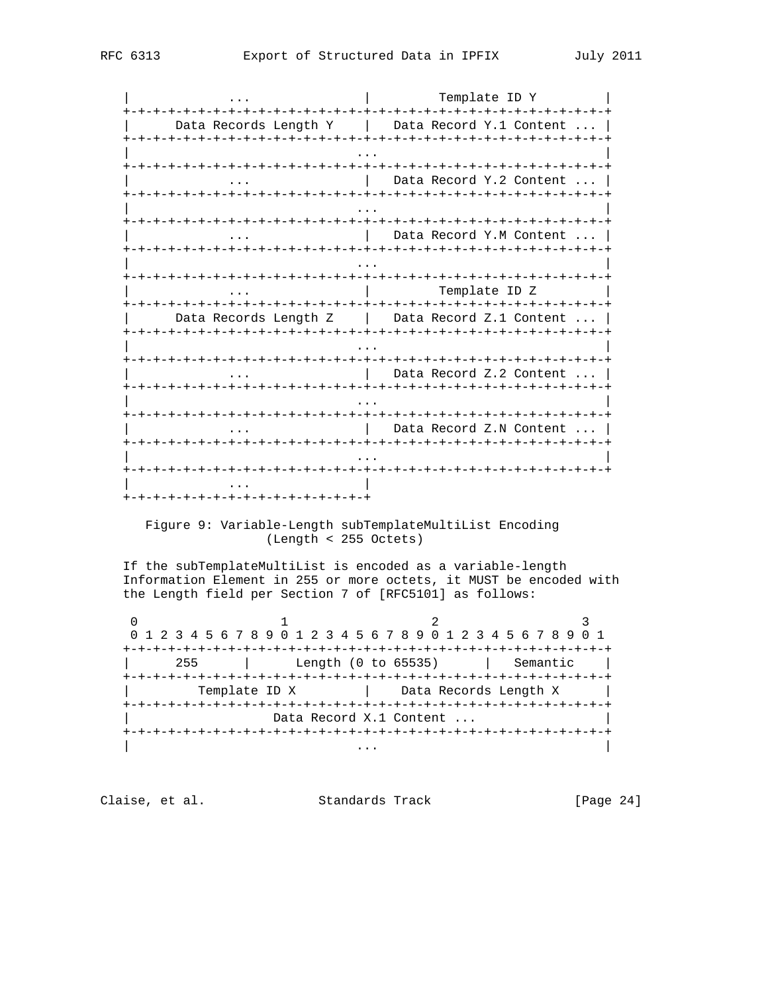| Template ID Y  $\mathbf{1}$  . The set of  $\mathbf{1}$ | Data Records Length Y | Data Record Y.1 Content ... | | Data Record Y.2 Content ... |  $\mathbb{R}$ Data Record Y.M Content  $\ldots$ **+-+-+-+-+-+-+** Template ID Z  $\cdot \cdot \cdot$ | Data Records Length Z | Data Record Z.1 Content ... | +-+-+-+-+-+-+-+-+-+-+-+-+- $\dots$   $\qquad$  Data Record Z.2 Content  $\dots$ ... | Data Record Z.N Content ... | +-+-+-+-+-+-+-+-+-+-+-+-+-+-+-+-+

## Figure 9: Variable-Length subTemplateMultiList Encoding (Length < 255 Octets)

If the subTemplateMultiList is encoded as a variable-length Information Element in 255 or more octets, it MUST be encoded with the Length field per Section 7 of [RFC5101] as follows:

 $\overline{0}$ 2  $\mathbf{1}$ 0 1 2 3 4 5 6 7 8 9 0 1 2 3 4 5 6 7 8 9 0 1 2 3 4 5 6 7 8 9 0 1 | 255 | Length (0 to 65535) | Semantic | Template ID X | Data Records Length X | Data Record X.1 Content ... 

Claise, et al. Standards Track

 $[Page 24]$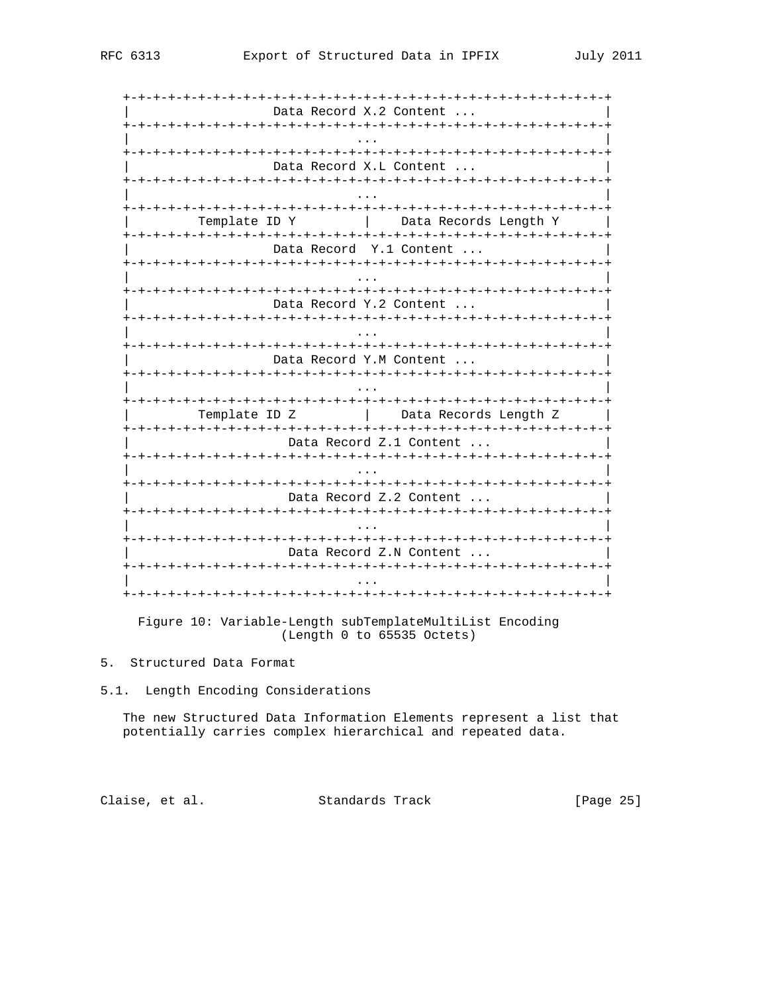| -+-+-+-+-+-+-+-+-+-+-+-+-+- | -+-+-+-+-+-+-+-+-+-+-+-+-+-+- |
|-----------------------------|-------------------------------|
|                             | Data Record X.2 Content       |
|                             |                               |
|                             | Data Record X.L Content       |
|                             |                               |
| Template ID Y               | Data Records Length Y         |
|                             | Data Record Y.1 Content       |
|                             |                               |
|                             | Data Record Y.2 Content       |
|                             |                               |
|                             | Data Record Y.M Content       |
|                             |                               |
| Template ID Z               | Data Records Length Z         |
|                             | Data Record Z.1 Content       |
|                             |                               |
|                             | Data Record Z.2 Content       |
|                             |                               |
|                             | Data Record Z.N Content       |
|                             |                               |
|                             |                               |

Figure 10: Variable-Length subTemplateMultiList Encoding (Length 0 to 65535 Octets)

# 5. Structured Data Format

5.1. Length Encoding Considerations

The new Structured Data Information Elements represent a list that potentially carries complex hierarchical and repeated data.

Claise, et al. Standards Track

[Page 25]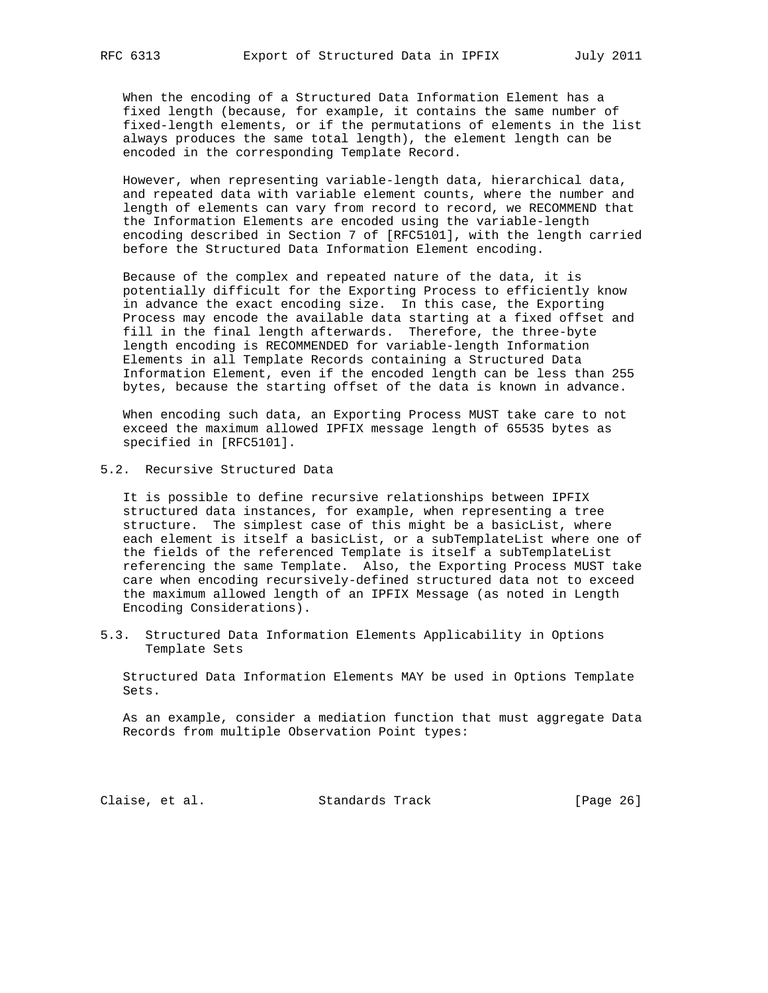When the encoding of a Structured Data Information Element has a fixed length (because, for example, it contains the same number of fixed-length elements, or if the permutations of elements in the list always produces the same total length), the element length can be encoded in the corresponding Template Record.

 However, when representing variable-length data, hierarchical data, and repeated data with variable element counts, where the number and length of elements can vary from record to record, we RECOMMEND that the Information Elements are encoded using the variable-length encoding described in Section 7 of [RFC5101], with the length carried before the Structured Data Information Element encoding.

 Because of the complex and repeated nature of the data, it is potentially difficult for the Exporting Process to efficiently know in advance the exact encoding size. In this case, the Exporting Process may encode the available data starting at a fixed offset and fill in the final length afterwards. Therefore, the three-byte length encoding is RECOMMENDED for variable-length Information Elements in all Template Records containing a Structured Data Information Element, even if the encoded length can be less than 255 bytes, because the starting offset of the data is known in advance.

 When encoding such data, an Exporting Process MUST take care to not exceed the maximum allowed IPFIX message length of 65535 bytes as specified in [RFC5101].

5.2. Recursive Structured Data

 It is possible to define recursive relationships between IPFIX structured data instances, for example, when representing a tree structure. The simplest case of this might be a basicList, where each element is itself a basicList, or a subTemplateList where one of the fields of the referenced Template is itself a subTemplateList referencing the same Template. Also, the Exporting Process MUST take care when encoding recursively-defined structured data not to exceed the maximum allowed length of an IPFIX Message (as noted in Length Encoding Considerations).

5.3. Structured Data Information Elements Applicability in Options Template Sets

 Structured Data Information Elements MAY be used in Options Template Sets.

 As an example, consider a mediation function that must aggregate Data Records from multiple Observation Point types:

Claise, et al. Standards Track [Page 26]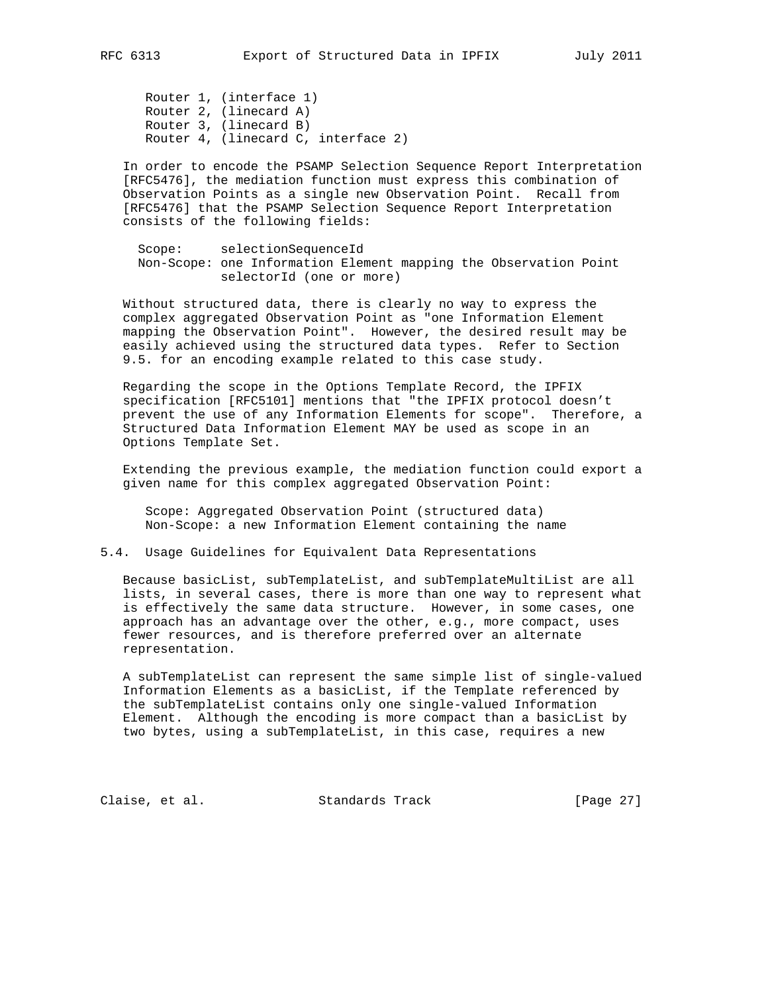Router 1, (interface 1) Router 2, (linecard A) Router 3, (linecard B) Router 4, (linecard C, interface 2)

 In order to encode the PSAMP Selection Sequence Report Interpretation [RFC5476], the mediation function must express this combination of Observation Points as a single new Observation Point. Recall from [RFC5476] that the PSAMP Selection Sequence Report Interpretation consists of the following fields:

 Scope: selectionSequenceId Non-Scope: one Information Element mapping the Observation Point selectorId (one or more)

 Without structured data, there is clearly no way to express the complex aggregated Observation Point as "one Information Element mapping the Observation Point". However, the desired result may be easily achieved using the structured data types. Refer to Section 9.5. for an encoding example related to this case study.

 Regarding the scope in the Options Template Record, the IPFIX specification [RFC5101] mentions that "the IPFIX protocol doesn't prevent the use of any Information Elements for scope". Therefore, a Structured Data Information Element MAY be used as scope in an Options Template Set.

 Extending the previous example, the mediation function could export a given name for this complex aggregated Observation Point:

 Scope: Aggregated Observation Point (structured data) Non-Scope: a new Information Element containing the name

## 5.4. Usage Guidelines for Equivalent Data Representations

 Because basicList, subTemplateList, and subTemplateMultiList are all lists, in several cases, there is more than one way to represent what is effectively the same data structure. However, in some cases, one approach has an advantage over the other, e.g., more compact, uses fewer resources, and is therefore preferred over an alternate representation.

 A subTemplateList can represent the same simple list of single-valued Information Elements as a basicList, if the Template referenced by the subTemplateList contains only one single-valued Information Element. Although the encoding is more compact than a basicList by two bytes, using a subTemplateList, in this case, requires a new

Claise, et al. Standards Track [Page 27]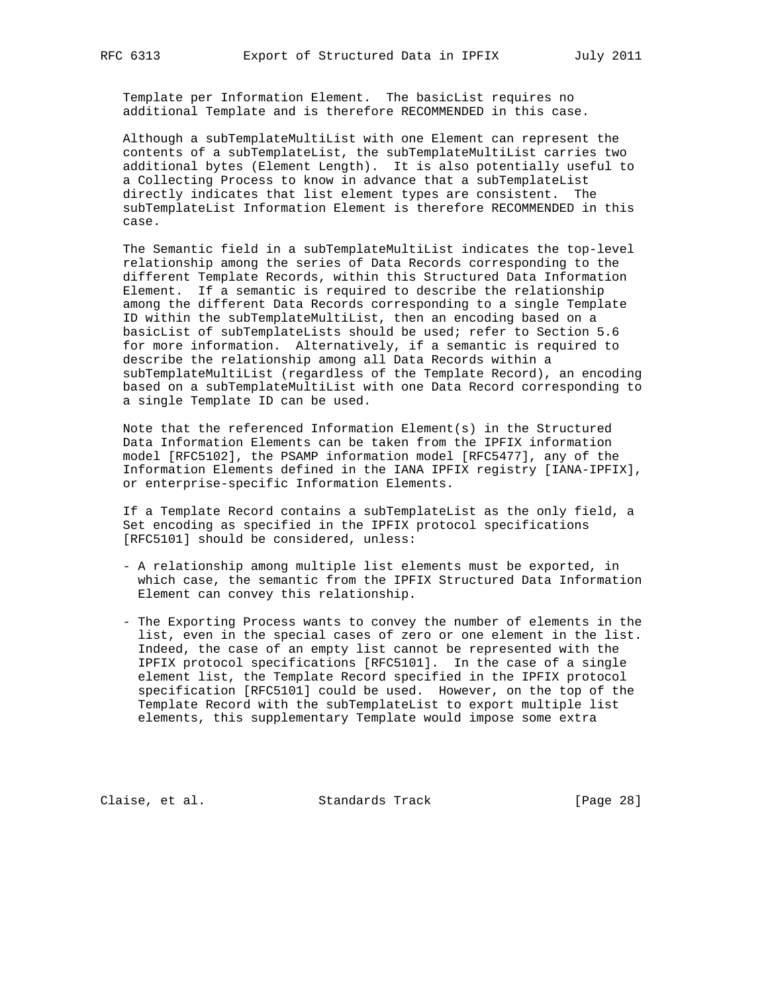Template per Information Element. The basicList requires no additional Template and is therefore RECOMMENDED in this case.

 Although a subTemplateMultiList with one Element can represent the contents of a subTemplateList, the subTemplateMultiList carries two additional bytes (Element Length). It is also potentially useful to a Collecting Process to know in advance that a subTemplateList directly indicates that list element types are consistent. The subTemplateList Information Element is therefore RECOMMENDED in this case.

 The Semantic field in a subTemplateMultiList indicates the top-level relationship among the series of Data Records corresponding to the different Template Records, within this Structured Data Information Element. If a semantic is required to describe the relationship among the different Data Records corresponding to a single Template ID within the subTemplateMultiList, then an encoding based on a basicList of subTemplateLists should be used; refer to Section 5.6 for more information. Alternatively, if a semantic is required to describe the relationship among all Data Records within a subTemplateMultiList (regardless of the Template Record), an encoding based on a subTemplateMultiList with one Data Record corresponding to a single Template ID can be used.

 Note that the referenced Information Element(s) in the Structured Data Information Elements can be taken from the IPFIX information model [RFC5102], the PSAMP information model [RFC5477], any of the Information Elements defined in the IANA IPFIX registry [IANA-IPFIX], or enterprise-specific Information Elements.

 If a Template Record contains a subTemplateList as the only field, a Set encoding as specified in the IPFIX protocol specifications [RFC5101] should be considered, unless:

- A relationship among multiple list elements must be exported, in which case, the semantic from the IPFIX Structured Data Information Element can convey this relationship.
- The Exporting Process wants to convey the number of elements in the list, even in the special cases of zero or one element in the list. Indeed, the case of an empty list cannot be represented with the IPFIX protocol specifications [RFC5101]. In the case of a single element list, the Template Record specified in the IPFIX protocol specification [RFC5101] could be used. However, on the top of the Template Record with the subTemplateList to export multiple list elements, this supplementary Template would impose some extra

Claise, et al. Standards Track [Page 28]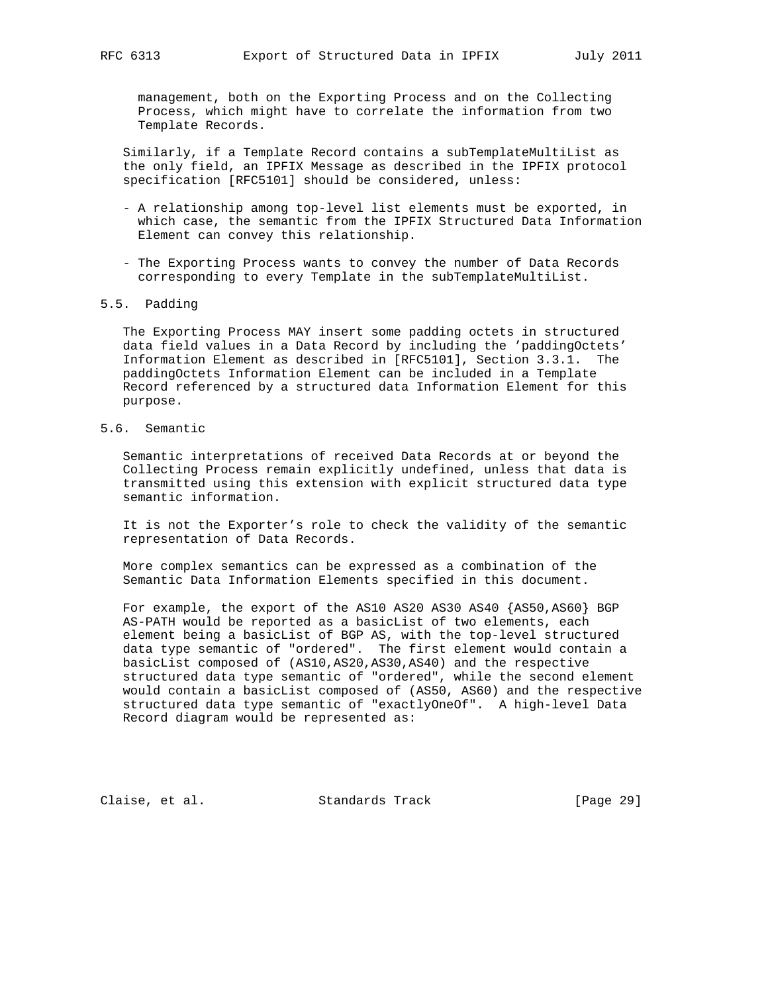management, both on the Exporting Process and on the Collecting Process, which might have to correlate the information from two Template Records.

 Similarly, if a Template Record contains a subTemplateMultiList as the only field, an IPFIX Message as described in the IPFIX protocol specification [RFC5101] should be considered, unless:

- A relationship among top-level list elements must be exported, in which case, the semantic from the IPFIX Structured Data Information Element can convey this relationship.
- The Exporting Process wants to convey the number of Data Records corresponding to every Template in the subTemplateMultiList.
- 5.5. Padding

 The Exporting Process MAY insert some padding octets in structured data field values in a Data Record by including the 'paddingOctets' Information Element as described in [RFC5101], Section 3.3.1. The paddingOctets Information Element can be included in a Template Record referenced by a structured data Information Element for this purpose.

5.6. Semantic

 Semantic interpretations of received Data Records at or beyond the Collecting Process remain explicitly undefined, unless that data is transmitted using this extension with explicit structured data type semantic information.

 It is not the Exporter's role to check the validity of the semantic representation of Data Records.

 More complex semantics can be expressed as a combination of the Semantic Data Information Elements specified in this document.

 For example, the export of the AS10 AS20 AS30 AS40 {AS50,AS60} BGP AS-PATH would be reported as a basicList of two elements, each element being a basicList of BGP AS, with the top-level structured data type semantic of "ordered". The first element would contain a basicList composed of (AS10,AS20,AS30,AS40) and the respective structured data type semantic of "ordered", while the second element would contain a basicList composed of (AS50, AS60) and the respective structured data type semantic of "exactlyOneOf". A high-level Data Record diagram would be represented as:

Claise, et al. Standards Track [Page 29]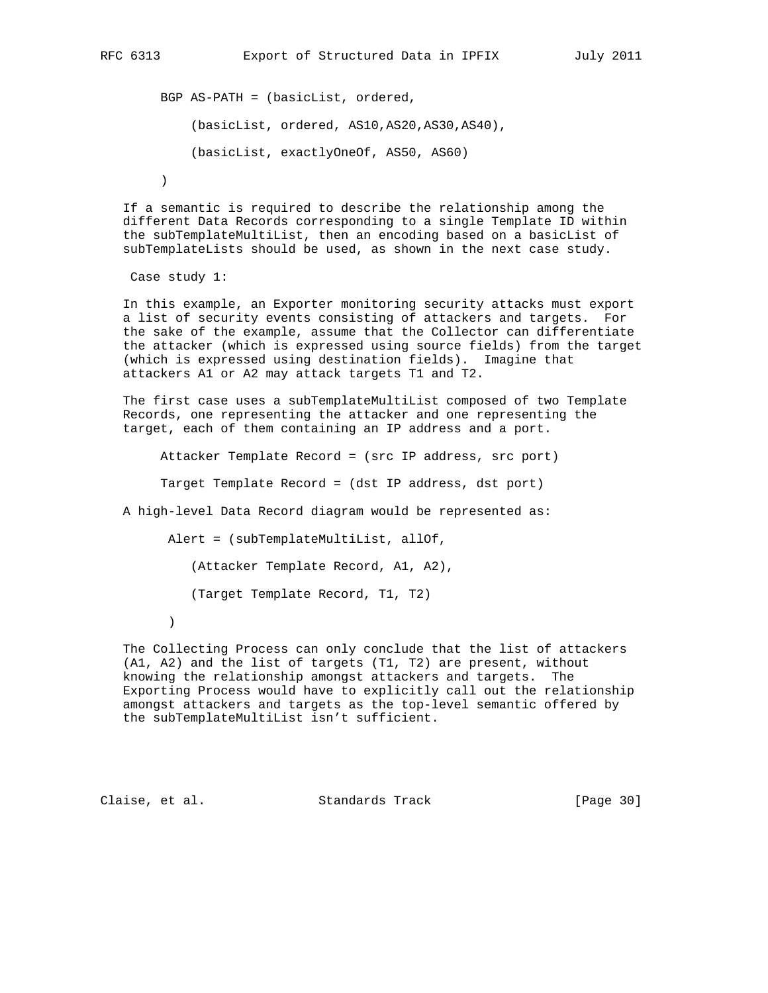BGP AS-PATH = (basicList, ordered, (basicList, ordered, AS10,AS20,AS30,AS40), (basicList, exactlyOneOf, AS50, AS60) )

 If a semantic is required to describe the relationship among the different Data Records corresponding to a single Template ID within the subTemplateMultiList, then an encoding based on a basicList of subTemplateLists should be used, as shown in the next case study.

Case study 1:

 In this example, an Exporter monitoring security attacks must export a list of security events consisting of attackers and targets. For the sake of the example, assume that the Collector can differentiate the attacker (which is expressed using source fields) from the target (which is expressed using destination fields). Imagine that attackers A1 or A2 may attack targets T1 and T2.

The first case uses a subTemplateMultiList composed of two Template Records, one representing the attacker and one representing the target, each of them containing an IP address and a port.

Attacker Template Record = (src IP address, src port)

Target Template Record = (dst IP address, dst port)

A high-level Data Record diagram would be represented as:

Alert = (subTemplateMultiList, allOf, (Attacker Template Record, A1, A2), (Target Template Record, T1, T2)  $)$ 

 The Collecting Process can only conclude that the list of attackers (A1, A2) and the list of targets (T1, T2) are present, without knowing the relationship amongst attackers and targets. The Exporting Process would have to explicitly call out the relationship amongst attackers and targets as the top-level semantic offered by the subTemplateMultiList isn't sufficient.

Claise, et al. Standards Track [Page 30]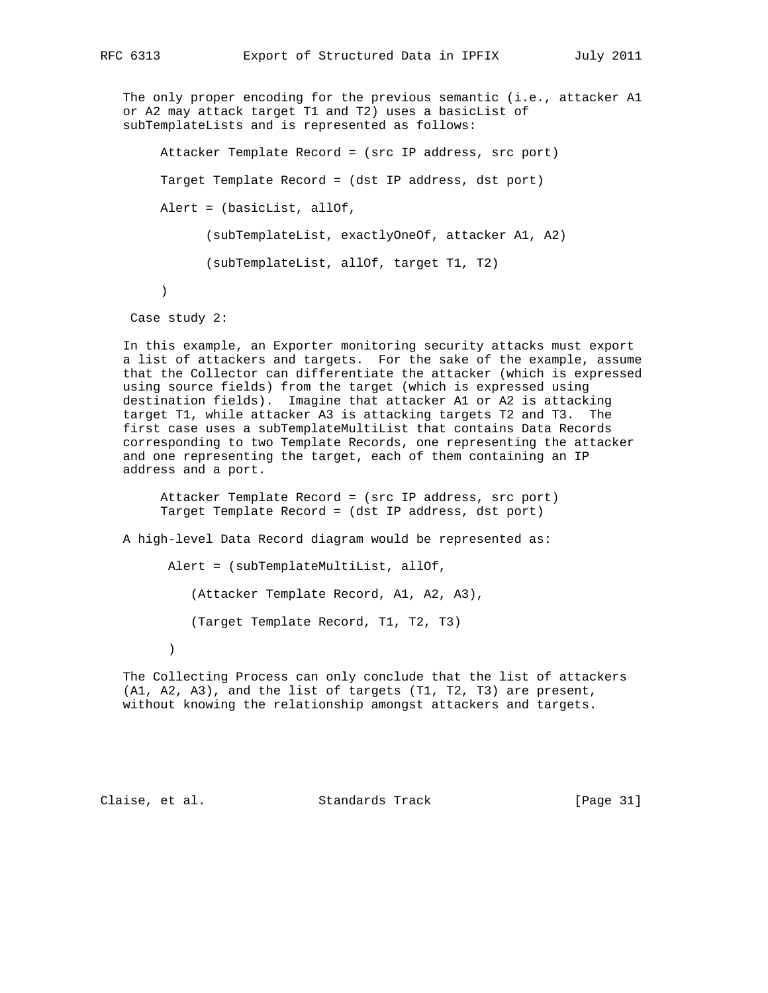The only proper encoding for the previous semantic (i.e., attacker A1 or A2 may attack target T1 and T2) uses a basicList of subTemplateLists and is represented as follows:

 Attacker Template Record = (src IP address, src port) Target Template Record = (dst IP address, dst port) Alert = (basicList, allOf, (subTemplateList, exactlyOneOf, attacker A1, A2) (subTemplateList, allOf, target T1, T2)  $\overline{\phantom{a}}$ 

Case study 2:

 In this example, an Exporter monitoring security attacks must export a list of attackers and targets. For the sake of the example, assume that the Collector can differentiate the attacker (which is expressed using source fields) from the target (which is expressed using destination fields). Imagine that attacker A1 or A2 is attacking target T1, while attacker A3 is attacking targets T2 and T3. The first case uses a subTemplateMultiList that contains Data Records corresponding to two Template Records, one representing the attacker and one representing the target, each of them containing an IP address and a port.

 Attacker Template Record = (src IP address, src port) Target Template Record = (dst IP address, dst port)

A high-level Data Record diagram would be represented as:

Alert = (subTemplateMultiList, allOf,

(Attacker Template Record, A1, A2, A3),

(Target Template Record, T1, T2, T3)

)

 The Collecting Process can only conclude that the list of attackers (A1, A2, A3), and the list of targets (T1, T2, T3) are present, without knowing the relationship amongst attackers and targets.

Claise, et al. Standards Track [Page 31]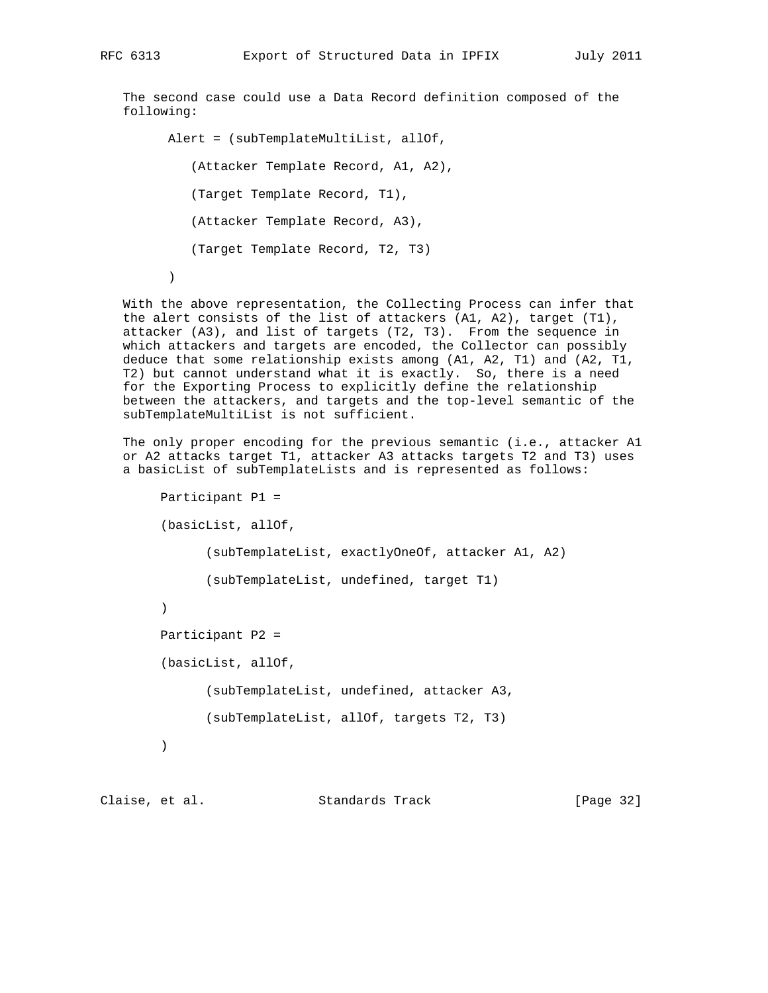The second case could use a Data Record definition composed of the following:

Alert = (subTemplateMultiList, allOf, (Attacker Template Record, A1, A2), (Target Template Record, T1), (Attacker Template Record, A3), (Target Template Record, T2, T3) )

 With the above representation, the Collecting Process can infer that the alert consists of the list of attackers (A1, A2), target (T1), attacker (A3), and list of targets (T2, T3). From the sequence in which attackers and targets are encoded, the Collector can possibly deduce that some relationship exists among (A1, A2, T1) and (A2, T1, T2) but cannot understand what it is exactly. So, there is a need for the Exporting Process to explicitly define the relationship between the attackers, and targets and the top-level semantic of the subTemplateMultiList is not sufficient.

 The only proper encoding for the previous semantic (i.e., attacker A1 or A2 attacks target T1, attacker A3 attacks targets T2 and T3) uses a basicList of subTemplateLists and is represented as follows:

```
 Participant P1 =
 (basicList, allOf,
       (subTemplateList, exactlyOneOf, attacker A1, A2)
       (subTemplateList, undefined, target T1)
 )
 Participant P2 =
 (basicList, allOf,
       (subTemplateList, undefined, attacker A3,
       (subTemplateList, allOf, targets T2, T3)
 )
```
Claise, et al. Standards Track [Page 32]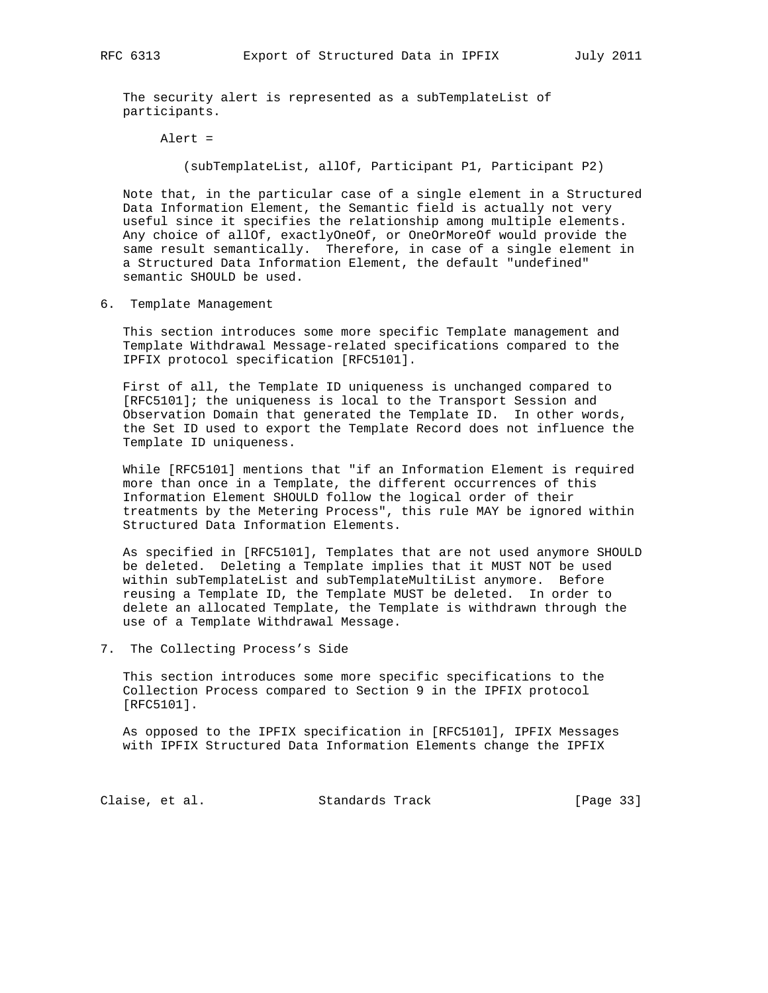The security alert is represented as a subTemplateList of participants.

Alert =

(subTemplateList, allOf, Participant P1, Participant P2)

 Note that, in the particular case of a single element in a Structured Data Information Element, the Semantic field is actually not very useful since it specifies the relationship among multiple elements. Any choice of allOf, exactlyOneOf, or OneOrMoreOf would provide the same result semantically. Therefore, in case of a single element in a Structured Data Information Element, the default "undefined" semantic SHOULD be used.

6. Template Management

 This section introduces some more specific Template management and Template Withdrawal Message-related specifications compared to the IPFIX protocol specification [RFC5101].

 First of all, the Template ID uniqueness is unchanged compared to [RFC5101]; the uniqueness is local to the Transport Session and Observation Domain that generated the Template ID. In other words, the Set ID used to export the Template Record does not influence the Template ID uniqueness.

 While [RFC5101] mentions that "if an Information Element is required more than once in a Template, the different occurrences of this Information Element SHOULD follow the logical order of their treatments by the Metering Process", this rule MAY be ignored within Structured Data Information Elements.

 As specified in [RFC5101], Templates that are not used anymore SHOULD be deleted. Deleting a Template implies that it MUST NOT be used within subTemplateList and subTemplateMultiList anymore. Before reusing a Template ID, the Template MUST be deleted. In order to delete an allocated Template, the Template is withdrawn through the use of a Template Withdrawal Message.

7. The Collecting Process's Side

 This section introduces some more specific specifications to the Collection Process compared to Section 9 in the IPFIX protocol [RFC5101].

 As opposed to the IPFIX specification in [RFC5101], IPFIX Messages with IPFIX Structured Data Information Elements change the IPFIX

Claise, et al. Standards Track [Page 33]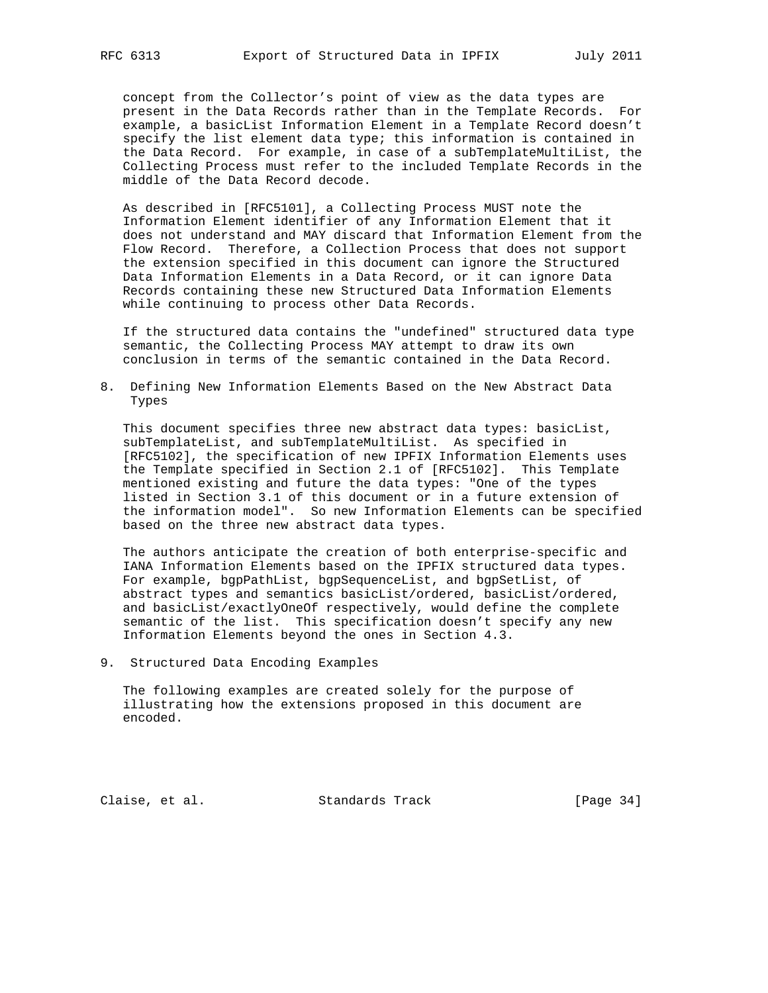concept from the Collector's point of view as the data types are present in the Data Records rather than in the Template Records. For example, a basicList Information Element in a Template Record doesn't specify the list element data type; this information is contained in the Data Record. For example, in case of a subTemplateMultiList, the Collecting Process must refer to the included Template Records in the middle of the Data Record decode.

 As described in [RFC5101], a Collecting Process MUST note the Information Element identifier of any Information Element that it does not understand and MAY discard that Information Element from the Flow Record. Therefore, a Collection Process that does not support the extension specified in this document can ignore the Structured Data Information Elements in a Data Record, or it can ignore Data Records containing these new Structured Data Information Elements while continuing to process other Data Records.

 If the structured data contains the "undefined" structured data type semantic, the Collecting Process MAY attempt to draw its own conclusion in terms of the semantic contained in the Data Record.

8. Defining New Information Elements Based on the New Abstract Data Types

This document specifies three new abstract data types: basicList, subTemplateList, and subTemplateMultiList. As specified in [RFC5102], the specification of new IPFIX Information Elements uses the Template specified in Section 2.1 of [RFC5102]. This Template mentioned existing and future the data types: "One of the types listed in Section 3.1 of this document or in a future extension of the information model". So new Information Elements can be specified based on the three new abstract data types.

 The authors anticipate the creation of both enterprise-specific and IANA Information Elements based on the IPFIX structured data types. For example, bgpPathList, bgpSequenceList, and bgpSetList, of abstract types and semantics basicList/ordered, basicList/ordered, and basicList/exactlyOneOf respectively, would define the complete semantic of the list. This specification doesn't specify any new Information Elements beyond the ones in Section 4.3.

9. Structured Data Encoding Examples

 The following examples are created solely for the purpose of illustrating how the extensions proposed in this document are encoded.

Claise, et al. Standards Track [Page 34]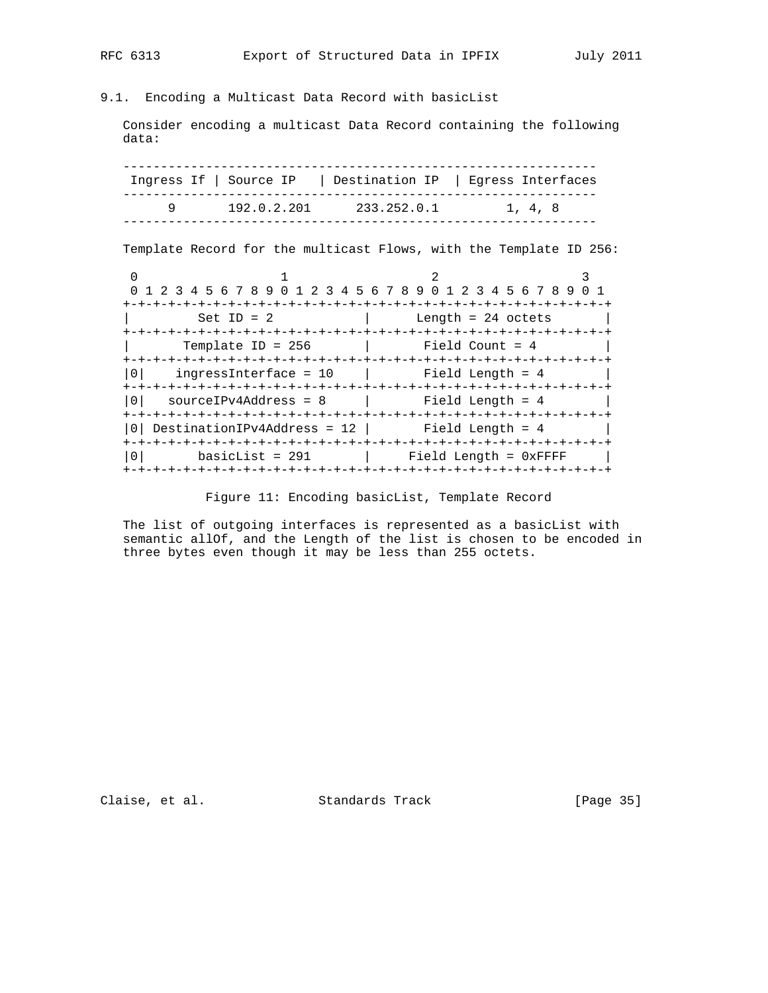# 9.1. Encoding a Multicast Data Record with basicList

 Consider encoding a multicast Data Record containing the following data:

 --------------------------------------------------------------- Ingress If | Source IP | Destination IP | Egress Interfaces --------------------------------------------------------------- 9 192.0.2.201 233.252.0.1 1, 4, 8 ---------------------------------------------------------------

Template Record for the multicast Flows, with the Template ID 256:

0  $1$  2 3 0 1 2 3 4 5 6 7 8 9 0 1 2 3 4 5 6 7 8 9 0 1 2 3 4 5 6 7 8 9 0 1 +-+-+-+-+-+-+-+-+-+-+-+-+-+-+-+-+-+-+-+-+-+-+-+-+-+-+-+-+-+-+-+-+ Set ID = 2  $\vert$  Length = 24 octets +-+-+-+-+-+-+-+-+-+-+-+-+-+-+-+-+-+-+-+-+-+-+-+-+-+-+-+-+-+-+-+-+  $T$ emplate ID = 256 | Field Count = 4 +-+-+-+-+-+-+-+-+-+-+-+-+-+-+-+-+-+-+-+-+-+-+-+-+-+-+-+-+-+-+-+-+  $|0|$  ingressInterface = 10  $|$  Field Length = 4  $|$  +-+-+-+-+-+-+-+-+-+-+-+-+-+-+-+-+-+-+-+-+-+-+-+-+-+-+-+-+-+-+-+-+ |0| sourceIPv4Address = 8 | Field Length = 4 +-+-+-+-+-+-+-+-+-+-+-+-+-+-+-+-+-+-+-+-+-+-+-+-+-+-+-+-+-+-+-+-+  $|0|$  DestinationIPv4Address = 12 | Field Length = 4 +-+-+-+-+-+-+-+-+-+-+-+-+-+-+-+-+-+-+-+-+-+-+-+-+-+-+-+-+-+-+-+-+ |0| basicList = 291 | Field Length = 0xFFFF | +-+-+-+-+-+-+-+-+-+-+-+-+-+-+-+-+-+-+-+-+-+-+-+-+-+-+-+-+-+-+-+-+

Figure 11: Encoding basicList, Template Record

The list of outgoing interfaces is represented as a basicList with semantic allOf, and the Length of the list is chosen to be encoded in three bytes even though it may be less than 255 octets.

Claise, et al. Standards Track [Page 35]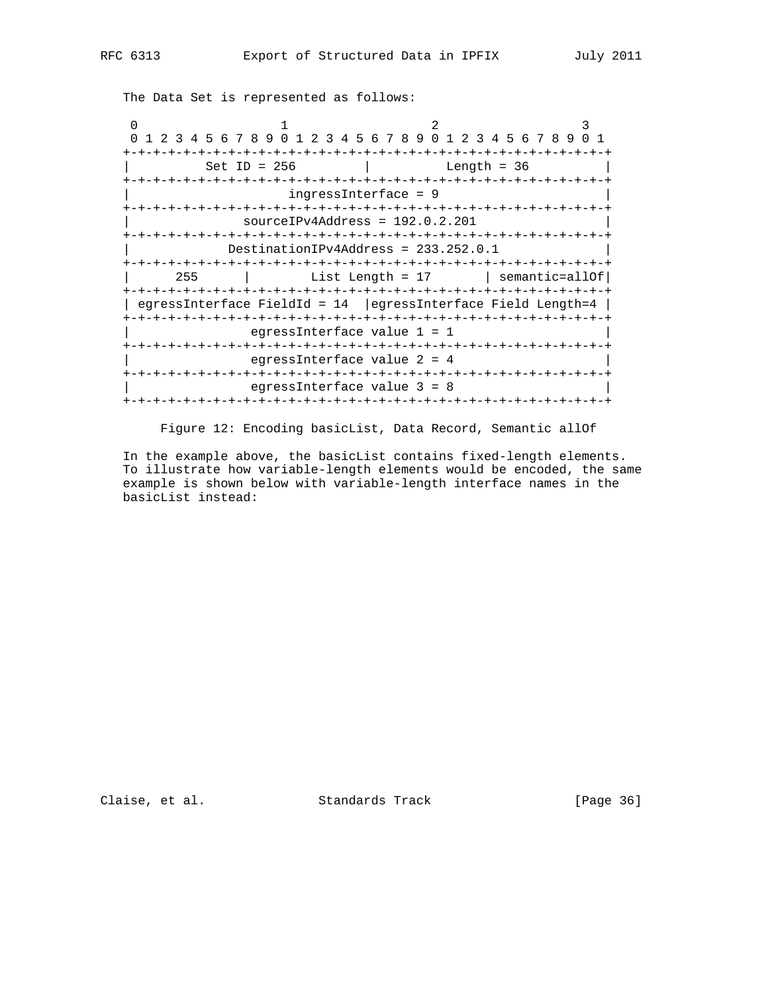The Data Set is represented as follows:

0  $1$  2 3 0 1 2 3 4 5 6 7 8 9 0 1 2 3 4 5 6 7 8 9 0 1 2 3 4 5 6 7 8 9 0 1 +-+-+-+-+-+-+-+-+-+-+-+-+-+-+-+-+-+-+-+-+-+-+-+-+-+-+-+-+-+-+-+-+ | Set ID = 256 | Length = 36 | +-+-+-+-+-+-+-+-+-+-+-+-+-+-+-+-+-+-+-+-+-+-+-+-+-+-+-+-+-+-+-+-+ | ingressInterface = 9 | +-+-+-+-+-+-+-+-+-+-+-+-+-+-+-+-+-+-+-+-+-+-+-+-+-+-+-+-+-+-+-+-+ | sourceIPv4Address = 192.0.2.201 | +-+-+-+-+-+-+-+-+-+-+-+-+-+-+-+-+-+-+-+-+-+-+-+-+-+-+-+-+-+-+-+-+ | DestinationIPv4Address = 233.252.0.1 | +-+-+-+-+-+-+-+-+-+-+-+-+-+-+-+-+-+-+-+-+-+-+-+-+-+-+-+-+-+-+-+-+ | 255 | List Length = 17 | semantic=allOf| +-+-+-+-+-+-+-+-+-+-+-+-+-+-+-+-+-+-+-+-+-+-+-+-+-+-+-+-+-+-+-+-+ | egressInterface FieldId = 14 |egressInterface Field Length=4 | +-+-+-+-+-+-+-+-+-+-+-+-+-+-+-+-+-+-+-+-+-+-+-+-+-+-+-+-+-+-+-+-+ egressInterface value 1 = 1 +-+-+-+-+-+-+-+-+-+-+-+-+-+-+-+-+-+-+-+-+-+-+-+-+-+-+-+-+-+-+-+-+ egressInterface value 2 = 4 +-+-+-+-+-+-+-+-+-+-+-+-+-+-+-+-+-+-+-+-+-+-+-+-+-+-+-+-+-+-+-+-+ | egressInterface value 3 = 8 | +-+-+-+-+-+-+-+-+-+-+-+-+-+-+-+-+-+-+-+-+-+-+-+-+-+-+-+-+-+-+-+-+

Figure 12: Encoding basicList, Data Record, Semantic allOf

 In the example above, the basicList contains fixed-length elements. To illustrate how variable-length elements would be encoded, the same example is shown below with variable-length interface names in the basicList instead:

Claise, et al. Standards Track [Page 36]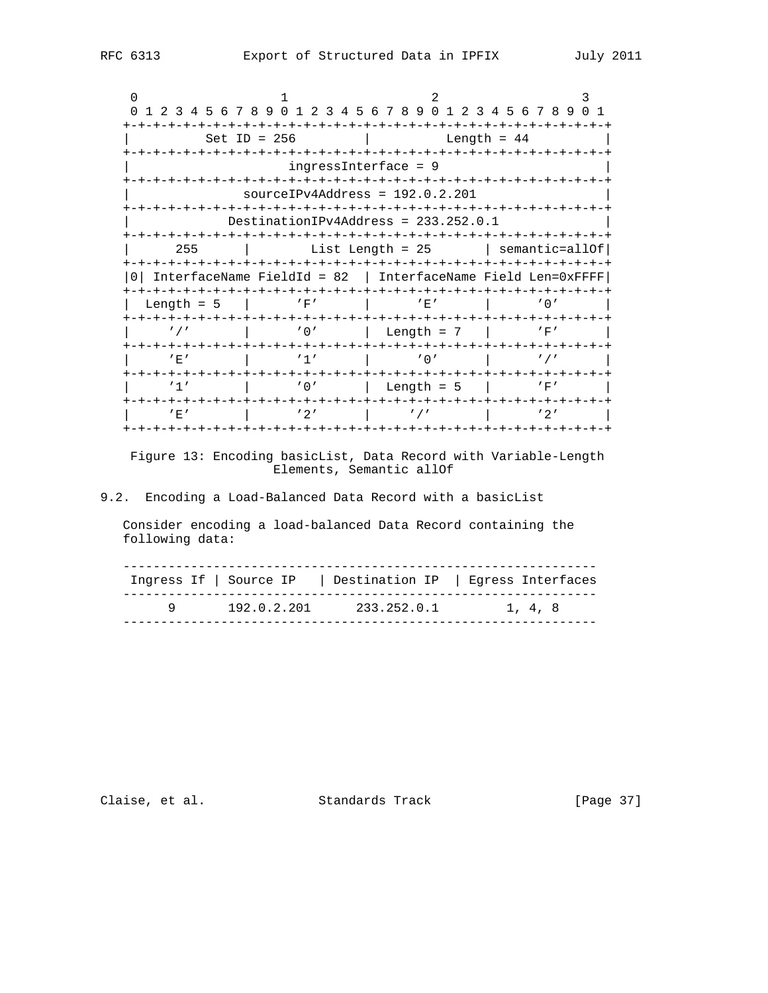0  $1$  2 3 0 1 2 3 4 5 6 7 8 9 0 1 2 3 4 5 6 7 8 9 0 1 2 3 4 5 6 7 8 9 0 1 +-+-+-+-+-+-+-+-+-+-+-+-+-+-+-+-+-+-+-+-+-+-+-+-+-+-+-+-+-+-+-+-+ Set ID = 256 | Length = 44 | +-+-+-+-+-+-+-+-+-+-+-+-+-+-+-+-+-+-+-+-+-+-+-+-+-+-+-+-+-+-+-+-+ ingressInterface = 9 +-+-+-+-+-+-+-+-+-+-+-+-+-+-+-+-+-+-+-+-+-+-+-+-+-+-+-+-+-+-+-+-+ | sourceIPv4Address = 192.0.2.201 | +-+-+-+-+-+-+-+-+-+-+-+-+-+-+-+-+-+-+-+-+-+-+-+-+-+-+-+-+-+-+-+-+ | DestinationIPv4Address = 233.252.0.1 | +-+-+-+-+-+-+-+-+-+-+-+-+-+-+-+-+-+-+-+-+-+-+-+-+-+-+-+-+-+-+-+-+ | 255 | List Length = 25 | semantic=allOf| +-+-+-+-+-+-+-+-+-+-+-+-+-+-+-+-+-+-+-+-+-+-+-+-+-+-+-+-+-+-+-+-+ |0| InterfaceName FieldId = 82 | InterfaceName Field Len=0xFFFF| +-+-+-+-+-+-+-+-+-+-+-+-+-+-+-+-+-+-+-+-+-+-+-+-+-+-+-+-+-+-+-+-+ | Length = 5 | 'F' | 'E' | '0' | +-+-+-+-+-+-+-+-+-+-+-+-+-+-+-+-+-+-+-+-+-+-+-+-+-+-+-+-+-+-+-+-+ | '/' | '0' | Length = 7 | 'F' | +-+-+-+-+-+-+-+-+-+-+-+-+-+-+-+-+-+-+-+-+-+-+-+-+-+-+-+-+-+-+-+-+  $|$  'E'  $|$  '1'  $|$  '0'  $|$  '/' +-+-+-+-+-+-+-+-+-+-+-+-+-+-+-+-+-+-+-+-+-+-+-+-+-+-+-+-+-+-+-+-+ | '1' | '0' | Length = 5 | 'F' | +-+-+-+-+-+-+-+-+-+-+-+-+-+-+-+-+-+-+-+-+-+-+-+-+-+-+-+-+-+-+-+-+  $|\t\t\t E' \t\t\t | \t\t\t '2' \t\t\t | \t\t\t '/' \t\t\t | \t\t\t '2' \t\t\t |$ +-+-+-+-+-+-+-+-+-+-+-+-+-+-+-+-+-+-+-+-+-+-+-+-+-+-+-+-+-+-+-+-+

 Figure 13: Encoding basicList, Data Record with Variable-Length Elements, Semantic allOf

## 9.2. Encoding a Load-Balanced Data Record with a basicList

 Consider encoding a load-balanced Data Record containing the following data:

|             |             | Ingress If   Source IP   Destination IP   Egress Interfaces |
|-------------|-------------|-------------------------------------------------------------|
| 192.0.2.201 | 233.252.0.1 | 1, 4, 8                                                     |

Claise, et al. Standards Track [Page 37]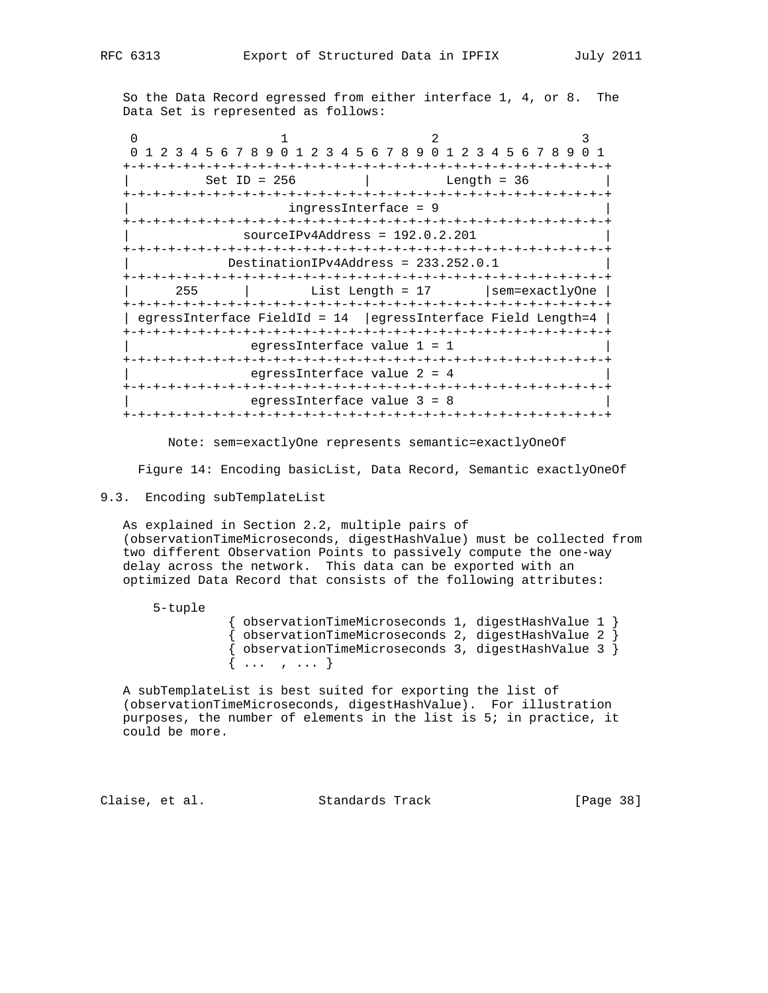So the Data Record egressed from either interface 1, 4, or 8. The Data Set is represented as follows:

| 0 1 2 3 4 5 6 7 8 9 0 1 2 3 4 5 6 7 8 9 0 1 2 3 4 5 6 7 8 9 |                                        |                                         |                                                                |
|-------------------------------------------------------------|----------------------------------------|-----------------------------------------|----------------------------------------------------------------|
|                                                             |                                        |                                         |                                                                |
|                                                             | $Set ID = 256$                         |                                         | Length = $36$                                                  |
|                                                             |                                        |                                         |                                                                |
|                                                             |                                        | $ingressInterface = 9$                  |                                                                |
|                                                             |                                        |                                         |                                                                |
|                                                             | $sourceIPv4Address = 192.0.2.201$      |                                         |                                                                |
| -+-+-+-+-+-+-+-+-+-+                                        |                                        | -+-+-+-+-+-+-+-+-+-+-+-+-+-+-+-+-+-+-+- |                                                                |
|                                                             | $DestinationIPv4Address = 233.252.0.1$ |                                         |                                                                |
|                                                             |                                        |                                         |                                                                |
| 255                                                         |                                        | List Length = $17$                      | sem=exactlyOne                                                 |
|                                                             |                                        |                                         |                                                                |
|                                                             |                                        |                                         | egressInterface FieldId = $14$  egressInterface Field Length=4 |
|                                                             |                                        |                                         |                                                                |
|                                                             | eqressInterface value $1 = 1$          |                                         |                                                                |
|                                                             |                                        |                                         |                                                                |
|                                                             | eqressInterface value $2 = 4$          |                                         |                                                                |
|                                                             |                                        |                                         |                                                                |
|                                                             | eqressInterface value $3 = 8$          |                                         |                                                                |
|                                                             |                                        |                                         |                                                                |

Note: sem=exactlyOne represents semantic=exactlyOneOf

Figure 14: Encoding basicList, Data Record, Semantic exactlyOneOf

## 9.3. Encoding subTemplateList

5-tuple

 As explained in Section 2.2, multiple pairs of (observationTimeMicroseconds, digestHashValue) must be collected from two different Observation Points to passively compute the one-way delay across the network. This data can be exported with an optimized Data Record that consists of the following attributes:

> { observationTimeMicroseconds 1, digestHashValue 1 }  $\{$  observationTimeMicroseconds 2, digestHashValue 2  $\}$  { observationTimeMicroseconds 3, digestHashValue 3 } { ... , ... }

 A subTemplateList is best suited for exporting the list of (observationTimeMicroseconds, digestHashValue). For illustration purposes, the number of elements in the list is 5; in practice, it could be more.

Claise, et al. Standards Track [Page 38]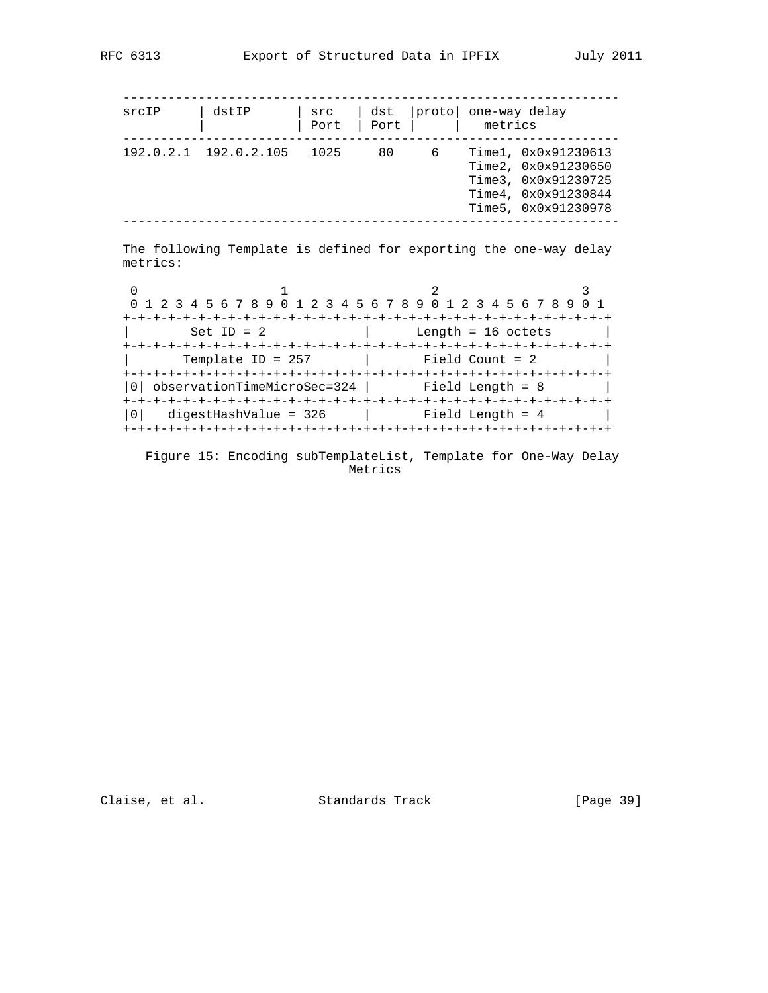| srcIP    | dstIP                                          | src<br>Port | dst<br>Port | protol | metrics              | one-way delay                                                                                                   |
|----------|------------------------------------------------|-------------|-------------|--------|----------------------|-----------------------------------------------------------------------------------------------------------------|
|          | 192.0.2.1 192.0.2.105                          | 1025        | 80          | 6      |                      | Time1, 0x0x91230613<br>Time2, 0x0x91230650<br>Time3, 0x0x91230725<br>Time4, 0x0x91230844<br>Time5, 0x0x91230978 |
|          |                                                |             |             |        |                      |                                                                                                                 |
| $\Omega$ | 2 3 4 5 6 7 8 9 0 1                            |             |             |        |                      | The following Template is defined for exporting the one-way delay<br>2 3 4 5 6 7 8 9 0 1 2 3 4 5 6 7 8 9        |
|          | $Set ID = 2$                                   |             |             |        | Length = $16$ octets |                                                                                                                 |
|          | Template ID = $257$                            |             |             |        | Field Count = 2      |                                                                                                                 |
| metrics: | observationTimeMicroSec=324   Field Length = 8 |             |             |        |                      |                                                                                                                 |

 Figure 15: Encoding subTemplateList, Template for One-Way Delay Metrics

+-+-+-+-+-+-+-+-+-+-+-+-+-+-+-+-+-+-+-+-+-+-+-+-+-+-+-+-+-+-+-+-+

Claise, et al. Standards Track [Page 39]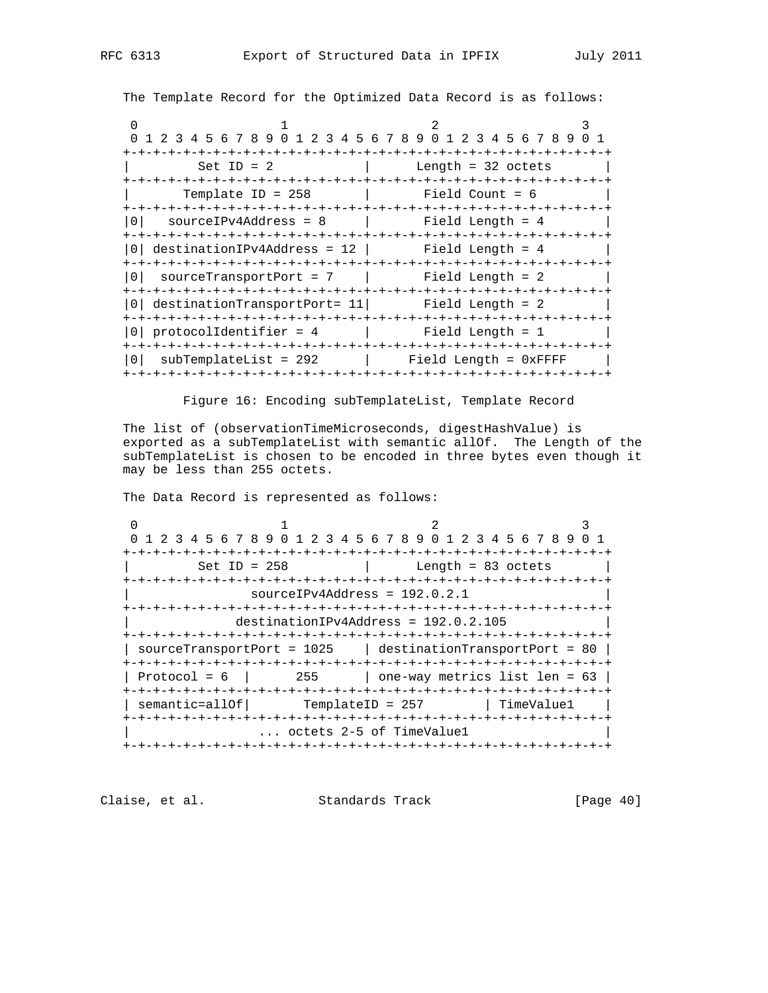The Template Record for the Optimized Data Record is as follows:

|              | 0 1 2 3 4 5 6 7 8 9 0 1 2 3 4 5 6 7 8 9 0 1 2 3 4 5 6 7 8 9 0 1        |  |
|--------------|------------------------------------------------------------------------|--|
| Set ID = $2$ | and the length = 32 octets                                             |  |
|              | $Template ID = 258$   Field Count = 6                                  |  |
| 1 O I        | $sourceIPv4Address = 8$   Field Length = 4                             |  |
|              | $\texttt{destinationIPv4Address} = 12$ Field Length = 4                |  |
|              | 0    sourceTransportPort  =  7                     Field  Length  =  2 |  |
|              | 0  destinationTransportPort= 11  Field Length = 2                      |  |
|              |                                                                        |  |
|              | 0   subTemplateList = 292   Field Length = 0xFFFF                      |  |

Figure 16: Encoding subTemplateList, Template Record

 The list of (observationTimeMicroseconds, digestHashValue) is exported as a subTemplateList with semantic allOf. The Length of the subTemplateList is chosen to be encoded in three bytes even though it may be less than 255 octets.

The Data Record is represented as follows:

0  $1$  2 3 0 1 2 3 4 5 6 7 8 9 0 1 2 3 4 5 6 7 8 9 0 1 2 3 4 5 6 7 8 9 0 1 +-+-+-+-+-+-+-+-+-+-+-+-+-+-+-+-+-+-+-+-+-+-+-+-+-+-+-+-+-+-+-+-+  $\text{Set ID} = 258$  | Length = 83 octets | +-+-+-+-+-+-+-+-+-+-+-+-+-+-+-+-+-+-+-+-+-+-+-+-+-+-+-+-+-+-+-+-+ | sourceIPv4Address = 192.0.2.1 | +-+-+-+-+-+-+-+-+-+-+-+-+-+-+-+-+-+-+-+-+-+-+-+-+-+-+-+-+-+-+-+-+ | destinationIPv4Address = 192.0.2.105 | +-+-+-+-+-+-+-+-+-+-+-+-+-+-+-+-+-+-+-+-+-+-+-+-+-+-+-+-+-+-+-+-+ | sourceTransportPort =  $1025$  | destinationTransportPort = 80 | +-+-+-+-+-+-+-+-+-+-+-+-+-+-+-+-+-+-+-+-+-+-+-+-+-+-+-+-+-+-+-+-+ | Protocol = 6 | 255 | one-way metrics list len = 63 | +-+-+-+-+-+-+-+-+-+-+-+-+-+-+-+-+-+-+-+-+-+-+-+-+-+-+-+-+-+-+-+-+  $\vert$  semantic=allOf  $\vert$  TemplateID = 257  $\vert$  TimeValue1  $\vert$  +-+-+-+-+-+-+-+-+-+-+-+-+-+-+-+-+-+-+-+-+-+-+-+-+-+-+-+-+-+-+-+-+ ... octets 2-5 of TimeValue1 +-+-+-+-+-+-+-+-+-+-+-+-+-+-+-+-+-+-+-+-+-+-+-+-+-+-+-+-+-+-+-+-+

Claise, et al. Standards Track [Page 40]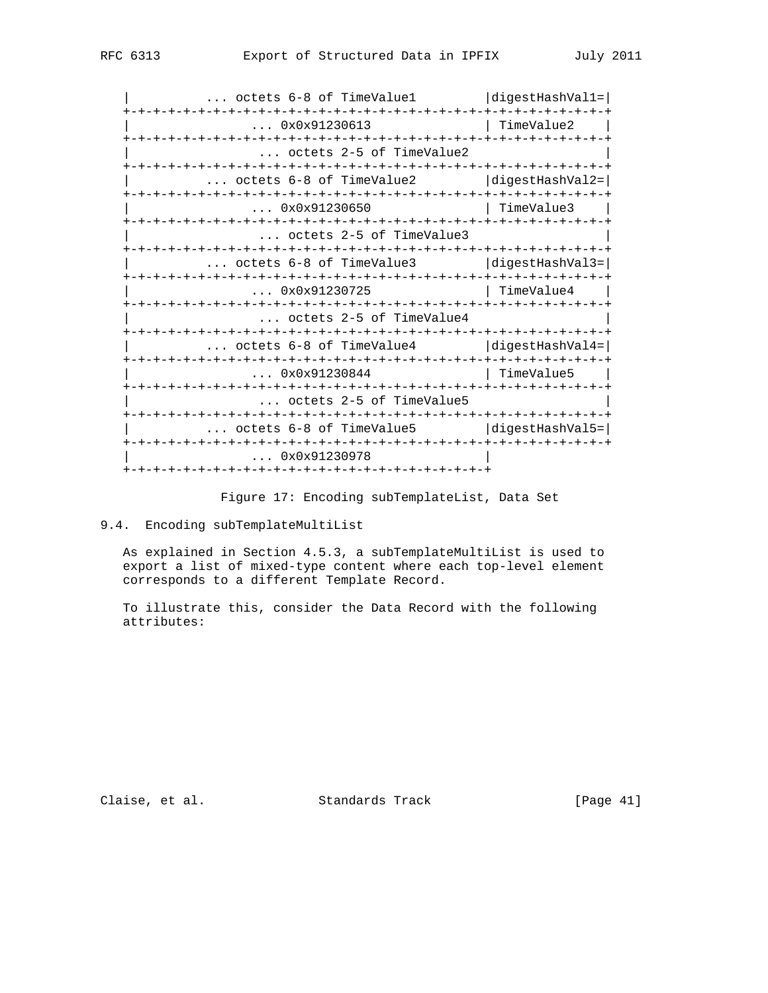| octets 6-8 of TimeValue1                              | diqestHashVal1= |
|-------------------------------------------------------|-----------------|
| 0x0x91230613                                          | TimeValue2      |
| octets 2-5 of TimeValue2                              |                 |
| octets 6-8 of TimeValue2              digestHashVal2= |                 |
| 0x0x91230650                                          | TimeValue3      |
| octets 2-5 of TimeValue3                              |                 |
| octets 6-8 of TimeValue3              diqestHashVal3= |                 |
| 0x0x91230725                                          | TimeValue4      |
| octets 2-5 of TimeValue4                              |                 |
| $\ldots$ octets 6-8 of TimeValue4 $\ldots$            | digestHashVal4= |
| 0x0x91230844                                          | TimeValue5      |
| octets 2-5 of TimeValue5                              |                 |
| octets 6-8 of TimeValue5                              | digestHashVal5= |
| 0x0x91230978                                          |                 |
|                                                       |                 |

Figure 17: Encoding subTemplateList, Data Set

9.4. Encoding subTemplateMultiList

 As explained in Section 4.5.3, a subTemplateMultiList is used to export a list of mixed-type content where each top-level element corresponds to a different Template Record.

 To illustrate this, consider the Data Record with the following attributes:

Claise, et al. Standards Track [Page 41]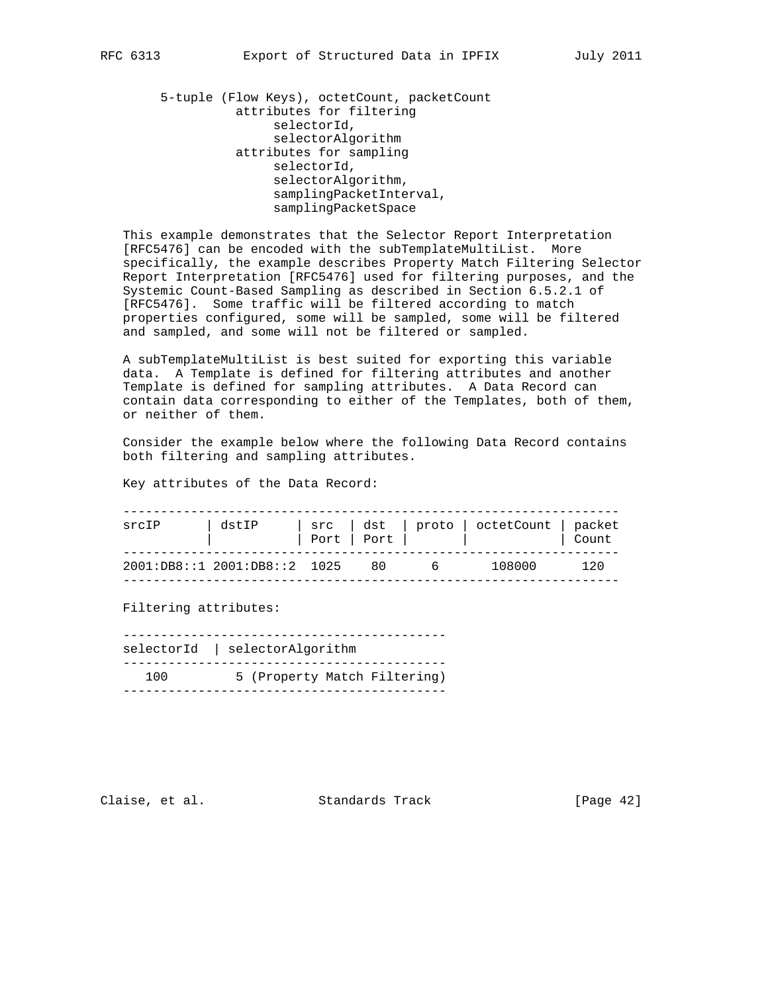5-tuple (Flow Keys), octetCount, packetCount attributes for filtering selectorId, selectorAlgorithm attributes for sampling selectorId, selectorAlgorithm, samplingPacketInterval, samplingPacketSpace

 This example demonstrates that the Selector Report Interpretation [RFC5476] can be encoded with the subTemplateMultiList. More specifically, the example describes Property Match Filtering Selector Report Interpretation [RFC5476] used for filtering purposes, and the Systemic Count-Based Sampling as described in Section 6.5.2.1 of [RFC5476]. Some traffic will be filtered according to match properties configured, some will be sampled, some will be filtered and sampled, and some will not be filtered or sampled.

 A subTemplateMultiList is best suited for exporting this variable data. A Template is defined for filtering attributes and another Template is defined for sampling attributes. A Data Record can contain data corresponding to either of the Templates, both of them, or neither of them.

 Consider the example below where the following Data Record contains both filtering and sampling attributes.

Key attributes of the Data Record:

| srcIP | dstIP                                 |  |          | src   dst   proto   octetCount   packet<br>Port $ $ Port $ $ $ $ | Count |
|-------|---------------------------------------|--|----------|------------------------------------------------------------------|-------|
|       | $2001:DB8::1$ $2001:DB8::2$ $1025$ 80 |  | $\sim$ 6 | 108000                                                           | 120   |

Filtering attributes:

 ------------------------------------------ selectorId | selectorAlgorithm ------------------------------------------- 100 5 (Property Match Filtering) -------------------------------------------

Claise, et al. Standards Track [Page 42]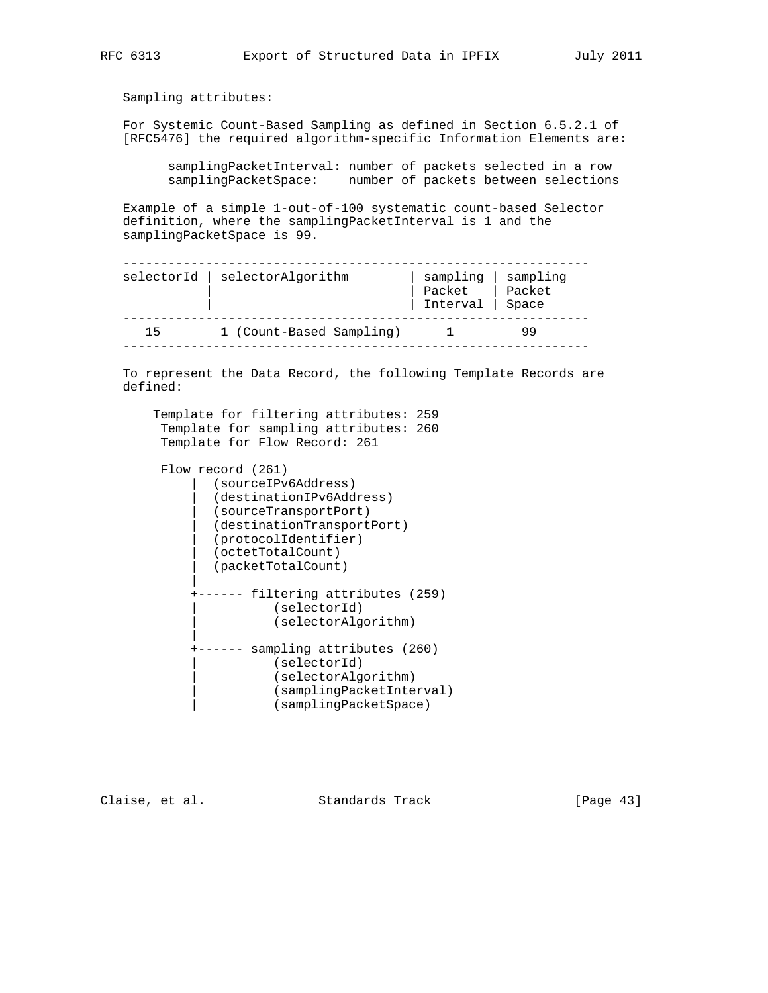Sampling attributes:

 For Systemic Count-Based Sampling as defined in Section 6.5.2.1 of [RFC5476] the required algorithm-specific Information Elements are:

 samplingPacketInterval: number of packets selected in a row samplingPacketSpace: number of packets between selections

 Example of a simple 1-out-of-100 systematic count-based Selector definition, where the samplingPacketInterval is 1 and the samplingPacketSpace is 99.

|    | selectorId   selectorAlgorithm | sampling   sampling<br>Packet   Packet<br>Interval   Space |  |
|----|--------------------------------|------------------------------------------------------------|--|
| 15 | 1 (Count-Based Sampling)       |                                                            |  |

 To represent the Data Record, the following Template Records are defined:

| Template for filtering attributes: 259<br>Template for sampling attributes: 260<br>Template for Flow Record: 261                                                                               |
|------------------------------------------------------------------------------------------------------------------------------------------------------------------------------------------------|
|                                                                                                                                                                                                |
| Flow record (261)<br>(sourceIPv6Address)<br>(destinationIPv6Address)<br>(sourceTransportPort)<br>(destinationTransportPort)<br>(protocolIdentifier)<br>(octetTotalCount)<br>(packetTotalCount) |
| filtering attributes (259)<br>(selectorId)<br>(selectorAlgorithm)                                                                                                                              |
| sampling attributes (260)<br>(selectorId)<br>(selectorAlgorithm)<br>(samplingPacketInterval)<br>(samplingPacketSpace)                                                                          |

Claise, et al. Standards Track [Page 43]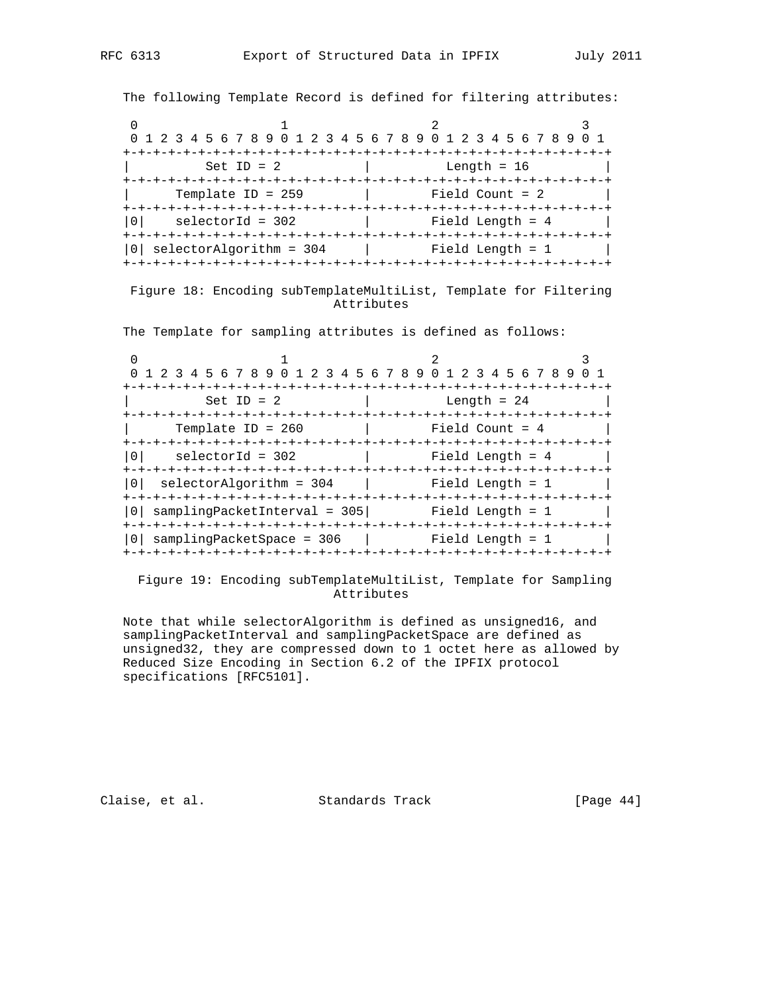The following Template Record is defined for filtering attributes:

| 0 1 2 3 4 5 6 7 8 9 0 1 2 3 4 5 6 7 8 9 0 1 2 3 4 5 6 7 8 9 |                   |
|-------------------------------------------------------------|-------------------|
| $Set ID = 2$                                                | Length = $16$     |
|                                                             |                   |
| Template ID = $259$                                         | Field Count = $2$ |
| selectorId = 302                                            | Field Length = 4  |
| selectorAlgorithm = 304                                     | Field Length = 1  |
|                                                             |                   |

 Figure 18: Encoding subTemplateMultiList, Template for Filtering Attributes

The Template for sampling attributes is defined as follows:

| 1 2 3 4 5 6 7 8 9 0 1 2 3 4 5 6 7 8 9 0 1 2 3 4 5 6 7 8 9 |                                                       |
|-----------------------------------------------------------|-------------------------------------------------------|
| -+-+-+-+-+-+-+-+-+<br>Set ID = $2$<br>-+-+-+-+-+-+-+      | Length = $24$<br>-+-+-+-+-+-+-+-+-+-+-+-+-+-+-+-+-+-+ |
| Template ID = $260$                                       | Field Count = $4$                                     |
| $\Omega$<br>$selected = 302$                              | Field Length = 4                                      |
| 0 <sup>1</sup><br>selectorAlgorithm = 304                 | Field Length = 1                                      |
| samplingPacketInterval = 305                              | Field Length = 1                                      |
| samplingPacketSpace = 306                                 | Field Length = 1                                      |

 Figure 19: Encoding subTemplateMultiList, Template for Sampling Attributes

 Note that while selectorAlgorithm is defined as unsigned16, and samplingPacketInterval and samplingPacketSpace are defined as unsigned32, they are compressed down to 1 octet here as allowed by Reduced Size Encoding in Section 6.2 of the IPFIX protocol specifications [RFC5101].

Claise, et al. Standards Track [Page 44]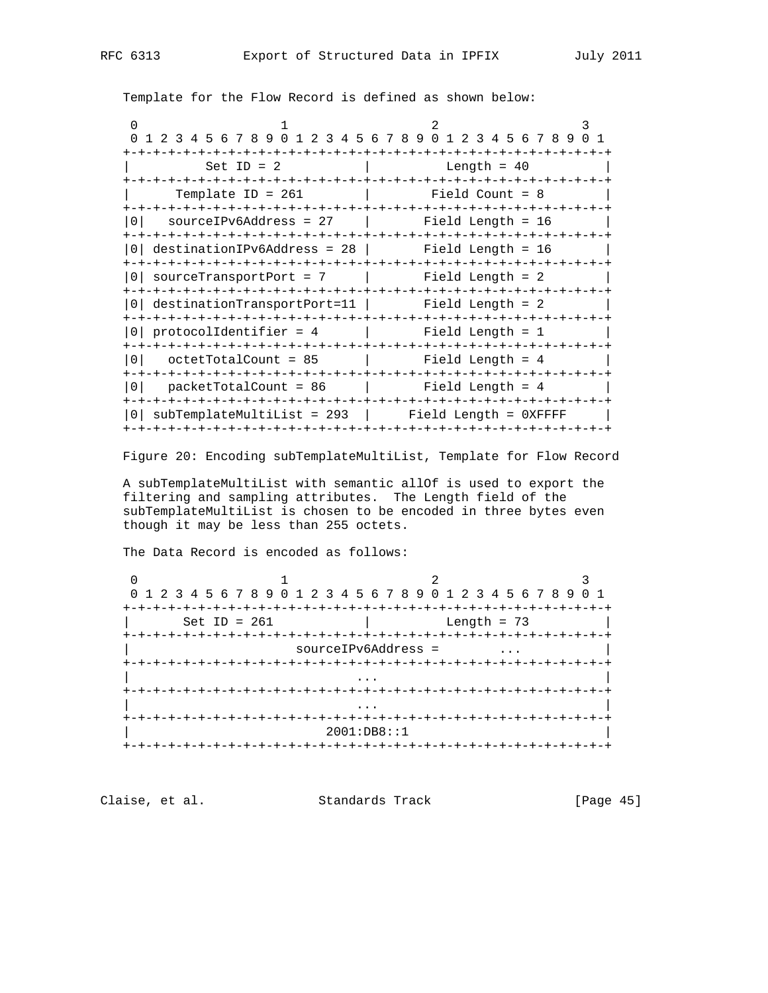Template for the Flow Record is defined as shown below:

|           | 0 1 2 3 4 5 6 7 8 9 0 1 2 3 4 5 6 7 8 9 0 1 2 3 4 5 6 7 8 9 0 1 |                     |  |                                                                                                                 |  |                 |  |  |  |  |  |  |
|-----------|-----------------------------------------------------------------|---------------------|--|-----------------------------------------------------------------------------------------------------------------|--|-----------------|--|--|--|--|--|--|
|           |                                                                 | $Set ID = 2$        |  | a brand and the series of the series of the series of the series of the series of the series of the series of t |  |                 |  |  |  |  |  |  |
|           |                                                                 | Template ID = $261$ |  |                                                                                                                 |  | Field Count = 8 |  |  |  |  |  |  |
| l N I     | $sourceIPv6Address = 27$   Field Length = 16                    |                     |  |                                                                                                                 |  |                 |  |  |  |  |  |  |
|           | $0$ destinationIPv6Address = 28   Field Length = 16             |                     |  |                                                                                                                 |  |                 |  |  |  |  |  |  |
|           | 0  sourceTransportPort = 7            Field Length = 2          |                     |  |                                                                                                                 |  |                 |  |  |  |  |  |  |
|           | 0  destinationTransportPort=11   Field Length = 2               |                     |  |                                                                                                                 |  |                 |  |  |  |  |  |  |
|           | $0  $ protocolidentifier = 4 $ $ Field Length = 1               |                     |  |                                                                                                                 |  |                 |  |  |  |  |  |  |
| $\bigcap$ | $octetTotalCount = 85$   Field Length = 4                       |                     |  |                                                                                                                 |  |                 |  |  |  |  |  |  |
| l 0 l     |                                                                 |                     |  |                                                                                                                 |  |                 |  |  |  |  |  |  |
|           | $subTemplateMultiList = 293$   Field Length = $0XFFFF$          |                     |  |                                                                                                                 |  |                 |  |  |  |  |  |  |

Figure 20: Encoding subTemplateMultiList, Template for Flow Record

 A subTemplateMultiList with semantic allOf is used to export the filtering and sampling attributes. The Length field of the subTemplateMultiList is chosen to be encoded in three bytes even though it may be less than 255 octets.

The Data Record is encoded as follows:

|                |                                     | 0 1 2 3 4 5 6 7 8 9 0 1 2 3 4 5 6 7 8 9 0 1 2 3 4 5 6 7 8 9 0 1 |
|----------------|-------------------------------------|-----------------------------------------------------------------|
|                |                                     |                                                                 |
| Set ID = $261$ |                                     | Length = $73$                                                   |
|                |                                     |                                                                 |
|                | sourceIPv6Address =                 |                                                                 |
|                |                                     |                                                                 |
|                |                                     |                                                                 |
|                |                                     |                                                                 |
|                |                                     |                                                                 |
|                | +-+-+-+-+-+-+-+-+-+-+-+-+-+-+-+-+-+ |                                                                 |
|                | 2001:DB8: :1                        |                                                                 |
|                | +-+-+-+-+-+-+-+-+-+-+-+-+           |                                                                 |

Claise, et al. Standards Track [Page 45]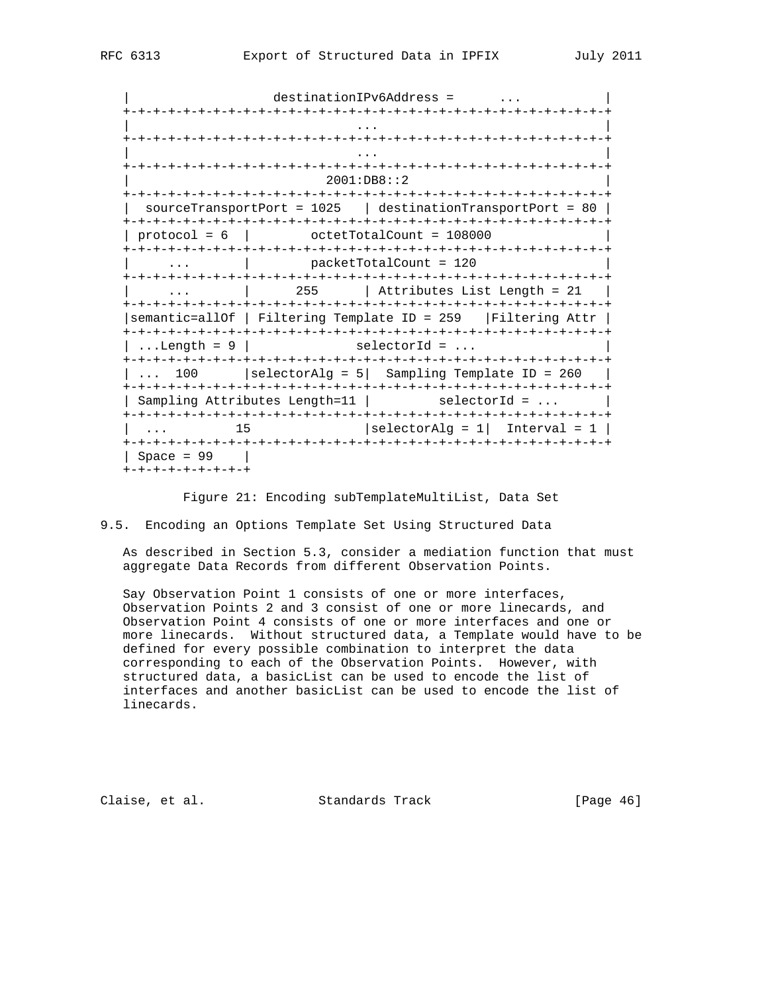destinationIPv6Address = ... +-+-+-+-+-+-+-+-+-+-+-+-+-+-+-+-+-+-+-+-+-+-+-+-+-+-+-+-+-+-+-+-+ | ... | ... | ... | ... | ... | ... | ... | ... | ... | ... | ... | ... | ... | ... | ... | ... | ... | ... | . +-+-+-+-+-+-+-+-+-+-+-+-+-+-+-+-+-+-+-+-+-+-+-+-+-+-+-+-+-+-+-+-+ | ... | ... | ... | ... | ... | ... | ... | ... | ... | ... | ... | ... | ... | ... | ... | ... | ... | ... | . +-+-+-+-+-+-+-+-+-+-+-+-+-+-+-+-+-+-+-+-+-+-+-+-+-+-+-+-+-+-+-+-+ | 2001:DB8::2 | +-+-+-+-+-+-+-+-+-+-+-+-+-+-+-+-+-+-+-+-+-+-+-+-+-+-+-+-+-+-+-+-+ | sourceTransportPort =  $1025$  | destinationTransportPort = 80 | +-+-+-+-+-+-+-+-+-+-+-+-+-+-+-+-+-+-+-+-+-+-+-+-+-+-+-+-+-+-+-+-+  $\vert$  protocol = 6  $\vert$  octetTotalCount = 108000 +-+-+-+-+-+-+-+-+-+-+-+-+-+-+-+-+-+-+-+-+-+-+-+-+-+-+-+-+-+-+-+-+ ... | packetTotalCount = 120 +-+-+-+-+-+-+-+-+-+-+-+-+-+-+-+-+-+-+-+-+-+-+-+-+-+-+-+-+-+-+-+-+ ... | 255 | Attributes List Length = 21 +-+-+-+-+-+-+-+-+-+-+-+-+-+-+-+-+-+-+-+-+-+-+-+-+-+-+-+-+-+-+-+-+ |semantic=allOf | Filtering Template ID = 259 |Filtering Attr | +-+-+-+-+-+-+-+-+-+-+-+-+-+-+-+-+-+-+-+-+-+-+-+-+-+-+-+-+-+-+-+-+  $\vert$  ...Length = 9  $\vert$  selectorId = ... +-+-+-+-+-+-+-+-+-+-+-+-+-+-+-+-+-+-+-+-+-+-+-+-+-+-+-+-+-+-+-+-+  $\vert$  ... 100  $\vert$  selectorAlg = 5 $\vert$  Sampling Template ID = 260  $\vert$  +-+-+-+-+-+-+-+-+-+-+-+-+-+-+-+-+-+-+-+-+-+-+-+-+-+-+-+-+-+-+-+-+ | Sampling Attributes Length=11 | selectorId = ... | +-+-+-+-+-+-+-+-+-+-+-+-+-+-+-+-+-+-+-+-+-+-+-+-+-+-+-+-+-+-+-+-+  $\vert$  ... 15  $\vert$  selectorAlg = 1| Interval = 1 | +-+-+-+-+-+-+-+-+-+-+-+-+-+-+-+-+-+-+-+-+-+-+-+-+-+-+-+-+-+-+-+-+ | Space = 99 | +-+-+-+-+-+-+-+-+

Figure 21: Encoding subTemplateMultiList, Data Set

9.5. Encoding an Options Template Set Using Structured Data

 As described in Section 5.3, consider a mediation function that must aggregate Data Records from different Observation Points.

 Say Observation Point 1 consists of one or more interfaces, Observation Points 2 and 3 consist of one or more linecards, and Observation Point 4 consists of one or more interfaces and one or more linecards. Without structured data, a Template would have to be defined for every possible combination to interpret the data corresponding to each of the Observation Points. However, with structured data, a basicList can be used to encode the list of interfaces and another basicList can be used to encode the list of linecards.

Claise, et al. Standards Track [Page 46]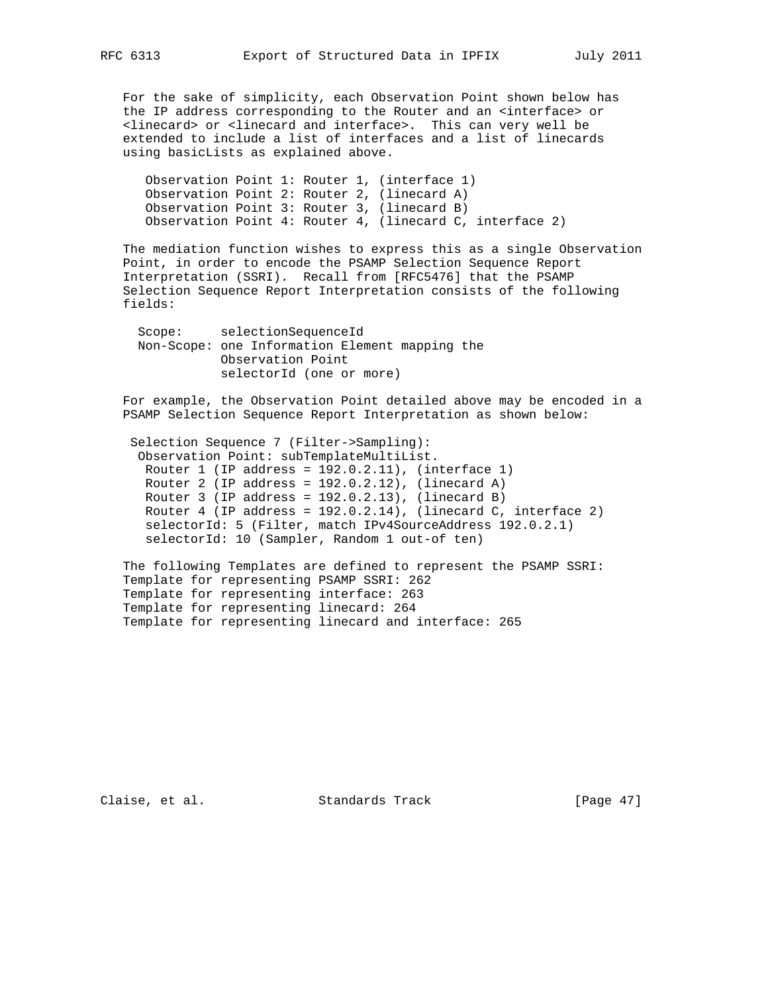For the sake of simplicity, each Observation Point shown below has the IP address corresponding to the Router and an <interface> or <linecard> or <linecard and interface>. This can very well be extended to include a list of interfaces and a list of linecards using basicLists as explained above.

 Observation Point 1: Router 1, (interface 1) Observation Point 2: Router 2, (linecard A) Observation Point 3: Router 3, (linecard B) Observation Point 4: Router 4, (linecard C, interface 2)

 The mediation function wishes to express this as a single Observation Point, in order to encode the PSAMP Selection Sequence Report Interpretation (SSRI). Recall from [RFC5476] that the PSAMP Selection Sequence Report Interpretation consists of the following fields:

 Scope: selectionSequenceId Non-Scope: one Information Element mapping the Observation Point selectorId (one or more)

 For example, the Observation Point detailed above may be encoded in a PSAMP Selection Sequence Report Interpretation as shown below:

 Selection Sequence 7 (Filter->Sampling): Observation Point: subTemplateMultiList. Router 1 (IP address = 192.0.2.11), (interface 1) Router 2 (IP address = 192.0.2.12), (linecard A) Router 3 (IP address = 192.0.2.13), (linecard B) Router 4 (IP address =  $192.0.2.14$ ), (linecard C, interface 2) selectorId: 5 (Filter, match IPv4SourceAddress 192.0.2.1) selectorId: 10 (Sampler, Random 1 out-of ten)

 The following Templates are defined to represent the PSAMP SSRI: Template for representing PSAMP SSRI: 262 Template for representing interface: 263 Template for representing linecard: 264 Template for representing linecard and interface: 265

Claise, et al. Standards Track [Page 47]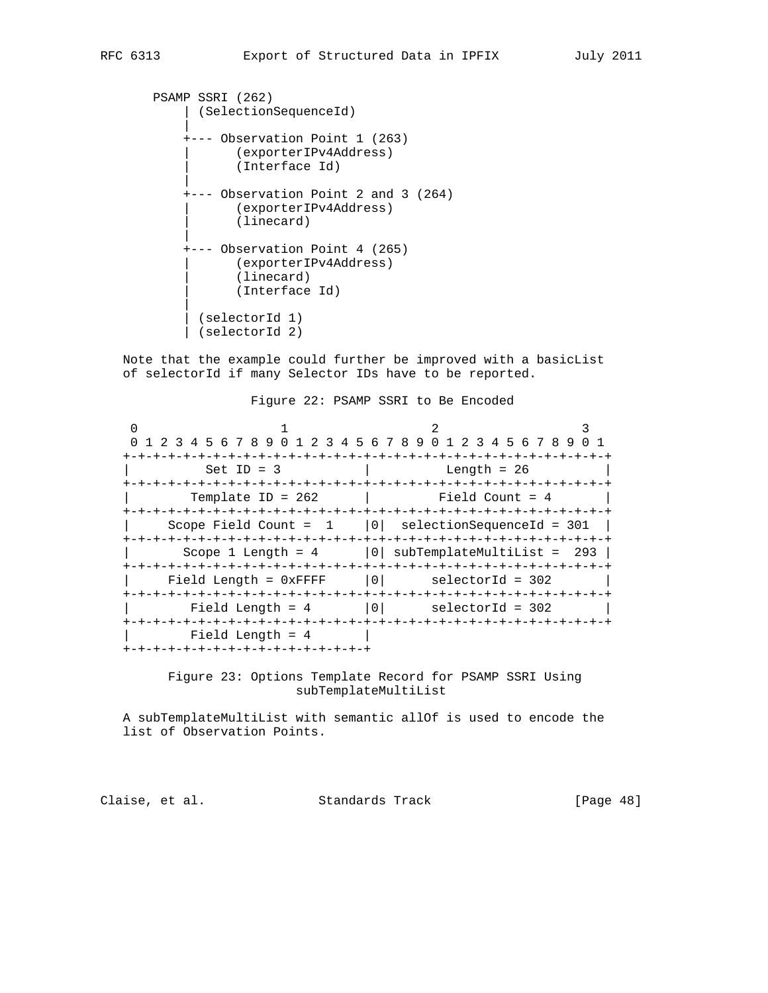```
 PSAMP SSRI (262)
           | (SelectionSequenceId)
 |
           +--- Observation Point 1 (263)
                 | (exporterIPv4Address)
                  | (Interface Id)
 |
           +--- Observation Point 2 and 3 (264)
                  | (exporterIPv4Address)
                 (linecard)
 |
           +--- Observation Point 4 (265)
                 | (exporterIPv4Address)
                 (linecard)
                 | (Interface Id)
 |
             | (selectorId 1)
             | (selectorId 2)
```
 Note that the example could further be improved with a basicList of selectorId if many Selector IDs have to be reported.

0  $1$  2 3 0 1 2 3 4 5 6 7 8 9 0 1 2 3 4 5 6 7 8 9 0 1 2 3 4 5 6 7 8 9 0 1 +-+-+-+-+-+-+-+-+-+-+-+-+-+-+-+-+-+-+-+-+-+-+-+-+-+-+-+-+-+-+-+-+  $\text{Set ID} = 3$  | Length = 26 +-+-+-+-+-+-+-+-+-+-+-+-+-+-+-+-+-+-+-+-+-+-+-+-+-+-+-+-+-+-+-+-+  $Template ID = 262$  | Field Count = 4 +-+-+-+-+-+-+-+-+-+-+-+-+-+-+-+-+-+-+-+-+-+-+-+-+-+-+-+-+-+-+-+-+ | Scope Field Count = 1 |0| selectionSequenceId = 301 | +-+-+-+-+-+-+-+-+-+-+-+-+-+-+-+-+-+-+-+-+-+-+-+-+-+-+-+-+-+-+-+-+  $\text{Scope } 1 \text{ Length } = 4$  |0| subTemplateMultiList = 293 | +-+-+-+-+-+-+-+-+-+-+-+-+-+-+-+-+-+-+-+-+-+-+-+-+-+-+-+-+-+-+-+-+  $Field Length = 0xFFFF$   $|0|$  +-+-+-+-+-+-+-+-+-+-+-+-+-+-+-+-+-+-+-+-+-+-+-+-+-+-+-+-+-+-+-+-+  $Field Length = 4$  |0| selectorId = 302 +-+-+-+-+-+-+-+-+-+-+-+-+-+-+-+-+-+-+-+-+-+-+-+-+-+-+-+-+-+-+-+-+ | Field Length = 4 | +-+-+-+-+-+-+-+-+-+-+-+-+-+-+-+-+

> Figure 23: Options Template Record for PSAMP SSRI Using subTemplateMultiList

 A subTemplateMultiList with semantic allOf is used to encode the list of Observation Points.

Claise, et al. Standards Track [Page 48]

## Figure 22: PSAMP SSRI to Be Encoded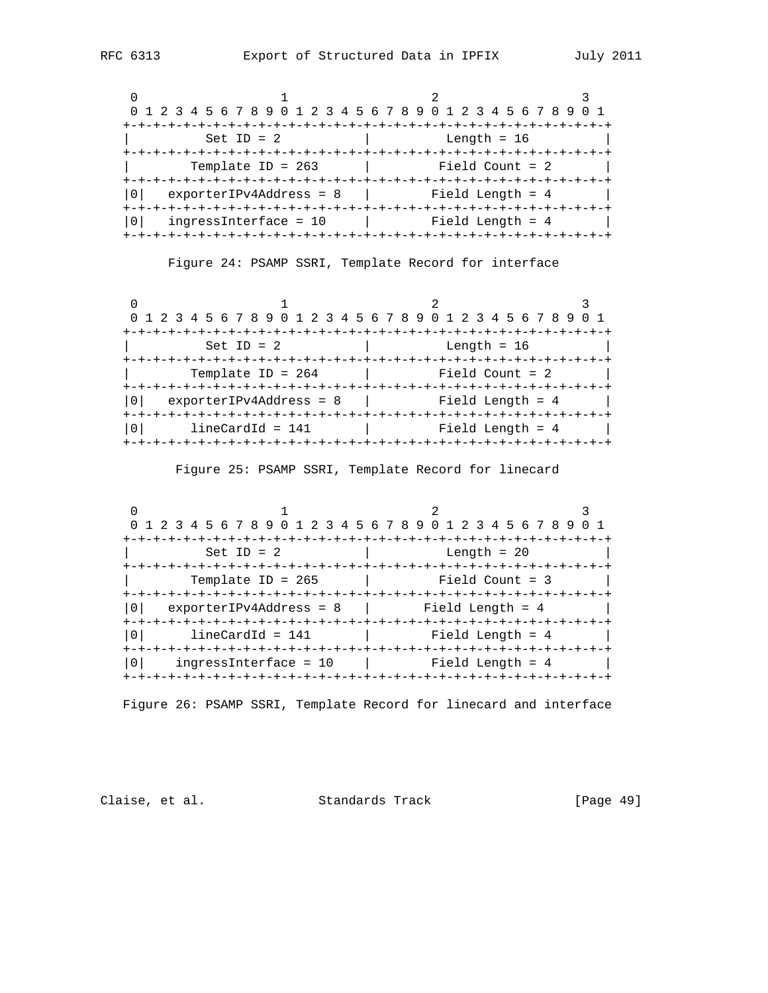| 0 1 2 3 4 5 6 7 8 9 0 1 2 3 4 5 6 7 8 9 0 1 2 3 4 5 6 7 8 9 0 1 |                    |
|-----------------------------------------------------------------|--------------------|
| -+-+-+-+-+-+-+-+-+-+                                            |                    |
| Set ID = $2$                                                    | Length = $16$      |
|                                                                 |                    |
| Template ID = $263$                                             | Field Count = $2$  |
|                                                                 |                    |
| $exporterIPv4Address = 8$                                       | Field Length = $4$ |
|                                                                 |                    |
| $inqressInterface = 10$                                         | Field Length = $4$ |
|                                                                 |                    |

Figure 24: PSAMP SSRI, Template Record for interface

| 0 1 2 3 4 5 6 7 8 9 0 1 2 3 4 5 6 7 8 9 0 1 2 3 4 5 6 7 8 9 0 1 |                     |                  |  |
|-----------------------------------------------------------------|---------------------|------------------|--|
|                                                                 | +-+-+-+-+-+-+-+-+-+ |                  |  |
| Set ID = $2$                                                    |                     | Length = $16$    |  |
|                                                                 |                     |                  |  |
| Template ID = $264$                                             |                     | Field Count = 2  |  |
|                                                                 |                     |                  |  |
| $exporterIPv4Address = 8$                                       |                     | Field Length = 4 |  |
|                                                                 |                     |                  |  |
| $lineCardId = 141$                                              |                     | Field Length = 4 |  |
|                                                                 |                     |                  |  |

Figure 25: PSAMP SSRI, Template Record for linecard

| 0 1 2 3 4 5 6 7 8 9 0 1 2 3 4 5 6 7 8 9 0 1 2 3 4 5 6 7 8 9 |                  |
|-------------------------------------------------------------|------------------|
| Set ID = $2$                                                | Length = $20$    |
| Template ID = $265$                                         | Field Count = 3  |
| $exporterIPv4Address = 8$   Field Length = 4                |                  |
| $lineCardId = 141$                                          | Field Length = 4 |
| $inqressInterface = 10$                                     | Field Length = 4 |

Figure 26: PSAMP SSRI, Template Record for linecard and interface

Claise, et al. Standards Track [Page 49]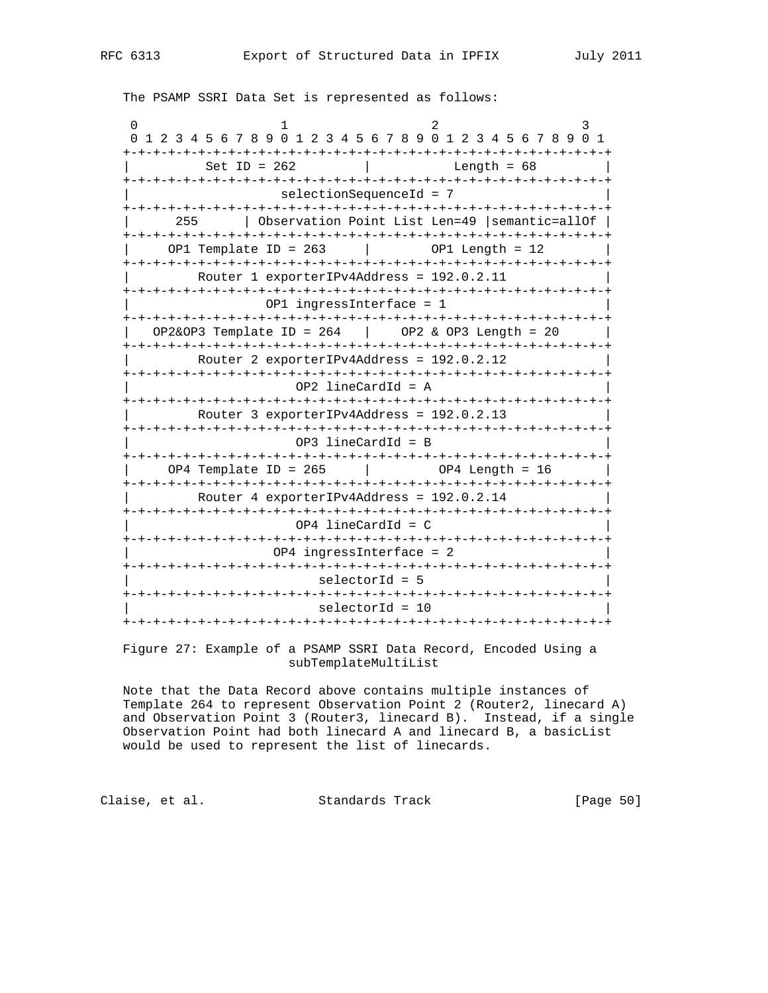The PSAMP SSRI Data Set is represented as follows:

0  $1$  2 3 0 1 2 3 4 5 6 7 8 9 0 1 2 3 4 5 6 7 8 9 0 1 2 3 4 5 6 7 8 9 0 1 +-+-+-+-+-+-+-+-+-+-+-+-+-+-+-+-+-+-+-+-+-+-+-+-+-+-+-+-+-+-+-+-+ | Set ID = 262 | Length = 68 | +-+-+-+-+-+-+-+-+-+-+-+-+-+-+-+-+-+-+-+-+-+-+-+-+-+-+-+-+-+-+-+-+ | selectionSequenceId = 7 | +-+-+-+-+-+-+-+-+-+-+-+-+-+-+-+-+-+-+-+-+-+-+-+-+-+-+-+-+-+-+-+-+ | 255 | Observation Point List Len=49 |semantic=allOf | +-+-+-+-+-+-+-+-+-+-+-+-+-+-+-+-+-+-+-+-+-+-+-+-+-+-+-+-+-+-+-+-+ | OP1 Template ID = 263 | OP1 Length = 12 | +-+-+-+-+-+-+-+-+-+-+-+-+-+-+-+-+-+-+-+-+-+-+-+-+-+-+-+-+-+-+-+-+ Router 1 exporterIPv4Address = 192.0.2.11 +-+-+-+-+-+-+-+-+-+-+-+-+-+-+-+-+-+-+-+-+-+-+-+-+-+-+-+-+-+-+-+-+ | OP1 ingressInterface = 1 | +-+-+-+-+-+-+-+-+-+-+-+-+-+-+-+-+-+-+-+-+-+-+-+-+-+-+-+-+-+-+-+-+ | OP2&OP3 Template ID = 264 | OP2 & OP3 Length = 20 | +-+-+-+-+-+-+-+-+-+-+-+-+-+-+-+-+-+-+-+-+-+-+-+-+-+-+-+-+-+-+-+-+ Router 2 exporterIPv4Address = 192.0.2.12 +-+-+-+-+-+-+-+-+-+-+-+-+-+-+-+-+-+-+-+-+-+-+-+-+-+-+-+-+-+-+-+-+ | OP2 lineCardId = A | +-+-+-+-+-+-+-+-+-+-+-+-+-+-+-+-+-+-+-+-+-+-+-+-+-+-+-+-+-+-+-+-+ Router 3 exporterIPv4Address = 192.0.2.13 +-+-+-+-+-+-+-+-+-+-+-+-+-+-+-+-+-+-+-+-+-+-+-+-+-+-+-+-+-+-+-+-+ | OP3 lineCardId = B | +-+-+-+-+-+-+-+-+-+-+-+-+-+-+-+-+-+-+-+-+-+-+-+-+-+-+-+-+-+-+-+-+  $OP4$  Template ID = 265 | OP4 Length = 16 +-+-+-+-+-+-+-+-+-+-+-+-+-+-+-+-+-+-+-+-+-+-+-+-+-+-+-+-+-+-+-+-+ Router 4 exporterIPv4Address = 192.0.2.14 +-+-+-+-+-+-+-+-+-+-+-+-+-+-+-+-+-+-+-+-+-+-+-+-+-+-+-+-+-+-+-+-+  $OP4$  lineCardId = C +-+-+-+-+-+-+-+-+-+-+-+-+-+-+-+-+-+-+-+-+-+-+-+-+-+-+-+-+-+-+-+-+ 0P4 ingressInterface = 2 +-+-+-+-+-+-+-+-+-+-+-+-+-+-+-+-+-+-+-+-+-+-+-+-+-+-+-+-+-+-+-+-+ | selectorId = 5 | +-+-+-+-+-+-+-+-+-+-+-+-+-+-+-+-+-+-+-+-+-+-+-+-+-+-+-+-+-+-+-+-+ | selectorId = 10 | +-+-+-+-+-+-+-+-+-+-+-+-+-+-+-+-+-+-+-+-+-+-+-+-+-+-+-+-+-+-+-+-+

 Figure 27: Example of a PSAMP SSRI Data Record, Encoded Using a subTemplateMultiList

 Note that the Data Record above contains multiple instances of Template 264 to represent Observation Point 2 (Router2, linecard A) and Observation Point 3 (Router3, linecard B). Instead, if a single Observation Point had both linecard A and linecard B, a basicList would be used to represent the list of linecards.

Claise, et al. Standards Track [Page 50]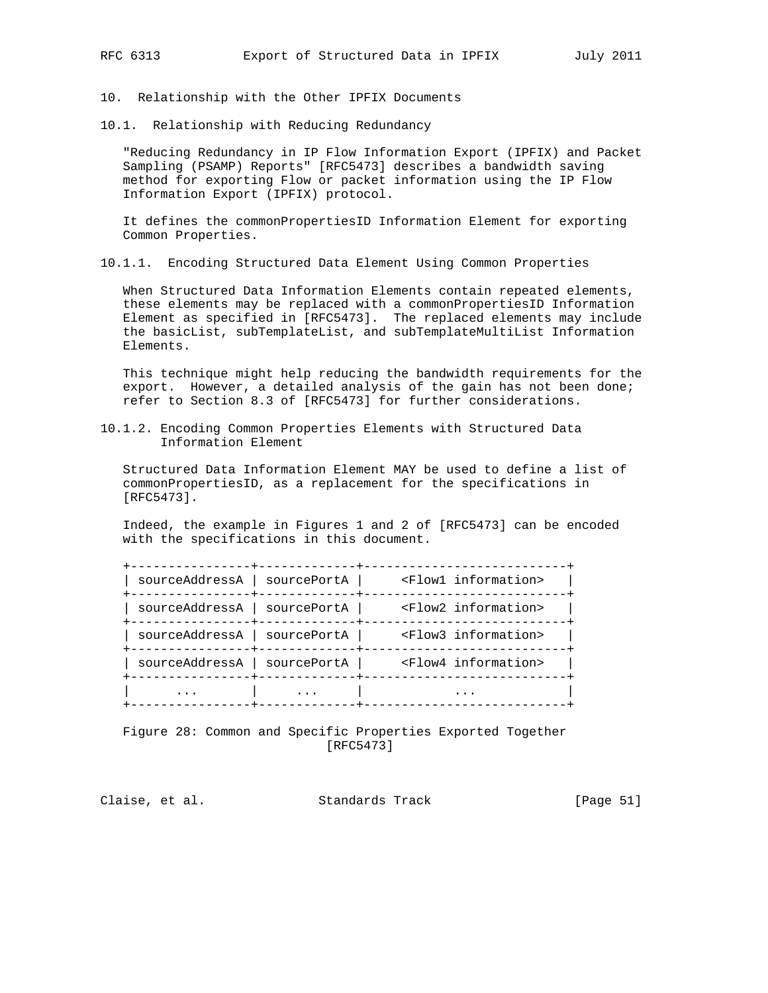10. Relationship with the Other IPFIX Documents

10.1. Relationship with Reducing Redundancy

 "Reducing Redundancy in IP Flow Information Export (IPFIX) and Packet Sampling (PSAMP) Reports" [RFC5473] describes a bandwidth saving method for exporting Flow or packet information using the IP Flow Information Export (IPFIX) protocol.

 It defines the commonPropertiesID Information Element for exporting Common Properties.

10.1.1. Encoding Structured Data Element Using Common Properties

 When Structured Data Information Elements contain repeated elements, these elements may be replaced with a commonPropertiesID Information Element as specified in [RFC5473]. The replaced elements may include the basicList, subTemplateList, and subTemplateMultiList Information Elements.

 This technique might help reducing the bandwidth requirements for the export. However, a detailed analysis of the gain has not been done; refer to Section 8.3 of [RFC5473] for further considerations.

10.1.2. Encoding Common Properties Elements with Structured Data Information Element

 Structured Data Information Element MAY be used to define a list of commonPropertiesID, as a replacement for the specifications in [RFC5473].

 Indeed, the example in Figures 1 and 2 of [RFC5473] can be encoded with the specifications in this document.

|             | <flow1 information=""></flow1>                |
|-------------|-----------------------------------------------|
|             | <flow2 information=""></flow2>                |
|             | <flow3 information=""></flow3>                |
| sourcePortA | <flow4 information=""></flow4>                |
|             |                                               |
|             | sourcePortA<br>  sourcePortA<br>  sourcePortA |

 Figure 28: Common and Specific Properties Exported Together [RFC5473]

Claise, et al. Standards Track [Page 51]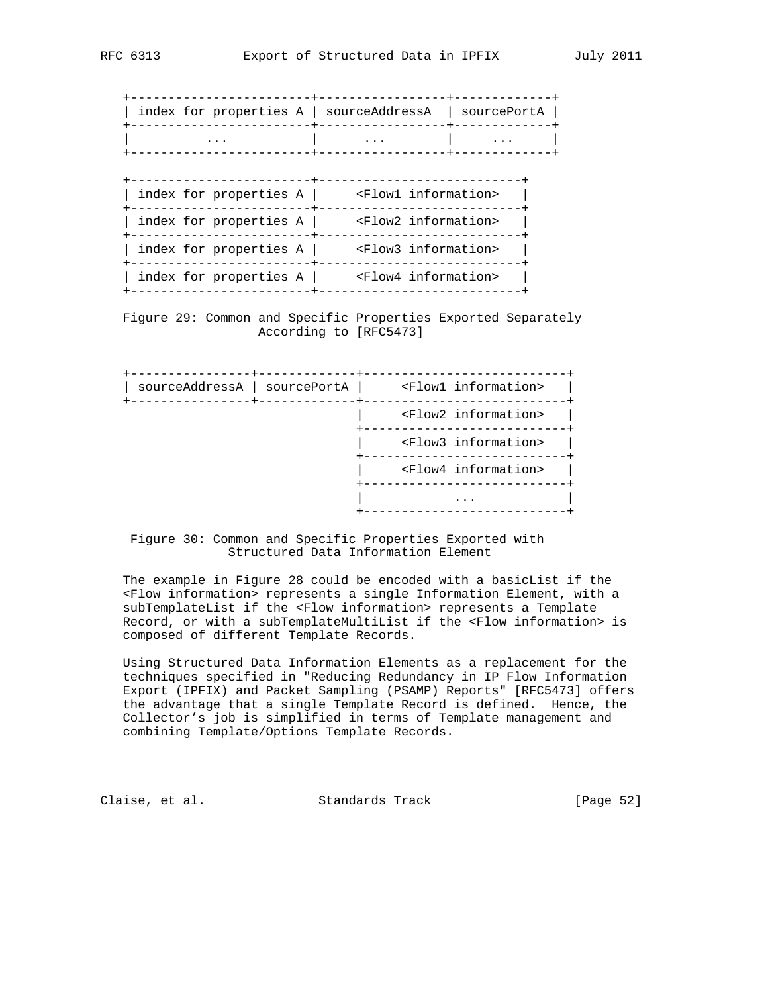| index for properties A   sourceAddressA |                                | sourcePortA |
|-----------------------------------------|--------------------------------|-------------|
|                                         |                                |             |
|                                         |                                |             |
| index for properties $A$                | <flow1 information=""></flow1> |             |
| index for properties A                  | <flow2 information=""></flow2> |             |
| index for properties A                  | <flow3 information=""></flow3> |             |
| index for properties A                  | <flow4 information=""></flow4> |             |

 Figure 29: Common and Specific Properties Exported Separately According to [RFC5473]

| sourceAddressA   sourcePortA | <flow1 information=""></flow1> |
|------------------------------|--------------------------------|
|                              | <flow2 information=""></flow2> |
|                              | <flow3 information=""></flow3> |
|                              | <flow4 information=""></flow4> |
|                              |                                |

 Figure 30: Common and Specific Properties Exported with Structured Data Information Element

The example in Figure 28 could be encoded with a basicList if the <Flow information> represents a single Information Element, with a subTemplateList if the <Flow information> represents a Template Record, or with a subTemplateMultiList if the <Flow information> is composed of different Template Records.

 Using Structured Data Information Elements as a replacement for the techniques specified in "Reducing Redundancy in IP Flow Information Export (IPFIX) and Packet Sampling (PSAMP) Reports" [RFC5473] offers the advantage that a single Template Record is defined. Hence, the Collector's job is simplified in terms of Template management and combining Template/Options Template Records.

Claise, et al. Standards Track [Page 52]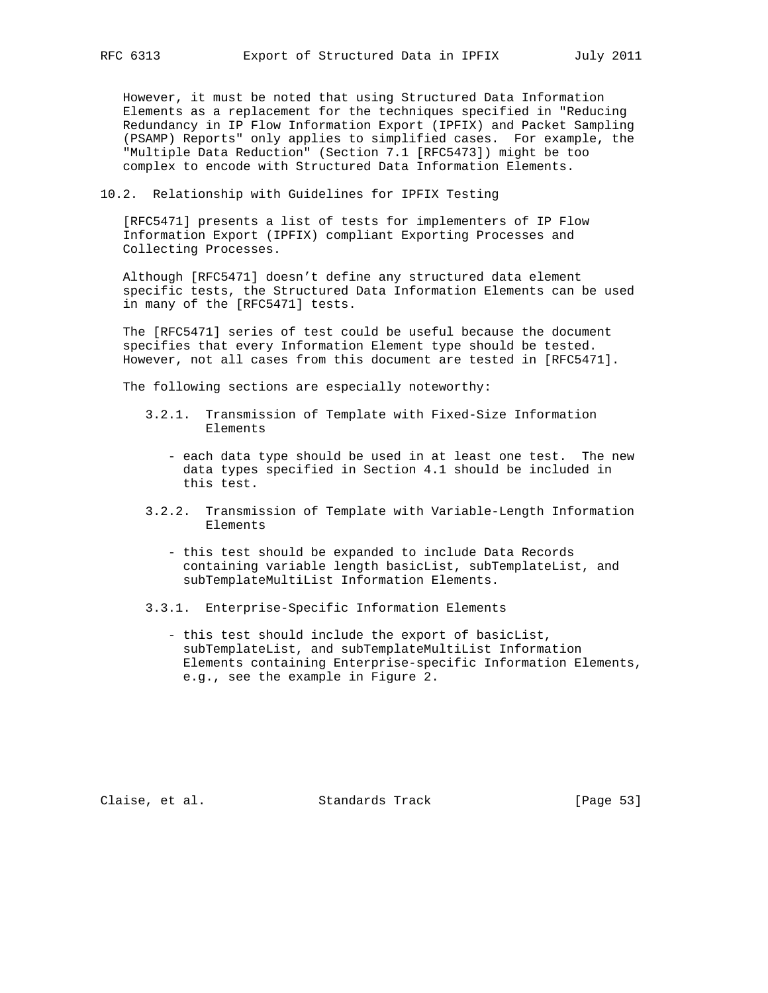However, it must be noted that using Structured Data Information Elements as a replacement for the techniques specified in "Reducing Redundancy in IP Flow Information Export (IPFIX) and Packet Sampling (PSAMP) Reports" only applies to simplified cases. For example, the "Multiple Data Reduction" (Section 7.1 [RFC5473]) might be too complex to encode with Structured Data Information Elements.

10.2. Relationship with Guidelines for IPFIX Testing

 [RFC5471] presents a list of tests for implementers of IP Flow Information Export (IPFIX) compliant Exporting Processes and Collecting Processes.

 Although [RFC5471] doesn't define any structured data element specific tests, the Structured Data Information Elements can be used in many of the [RFC5471] tests.

 The [RFC5471] series of test could be useful because the document specifies that every Information Element type should be tested. However, not all cases from this document are tested in [RFC5471].

The following sections are especially noteworthy:

- 3.2.1. Transmission of Template with Fixed-Size Information Elements
	- each data type should be used in at least one test. The new data types specified in Section 4.1 should be included in this test.
- 3.2.2. Transmission of Template with Variable-Length Information Elements
	- this test should be expanded to include Data Records containing variable length basicList, subTemplateList, and subTemplateMultiList Information Elements.
- 3.3.1. Enterprise-Specific Information Elements
	- this test should include the export of basicList, subTemplateList, and subTemplateMultiList Information Elements containing Enterprise-specific Information Elements, e.g., see the example in Figure 2.

Claise, et al. Standards Track [Page 53]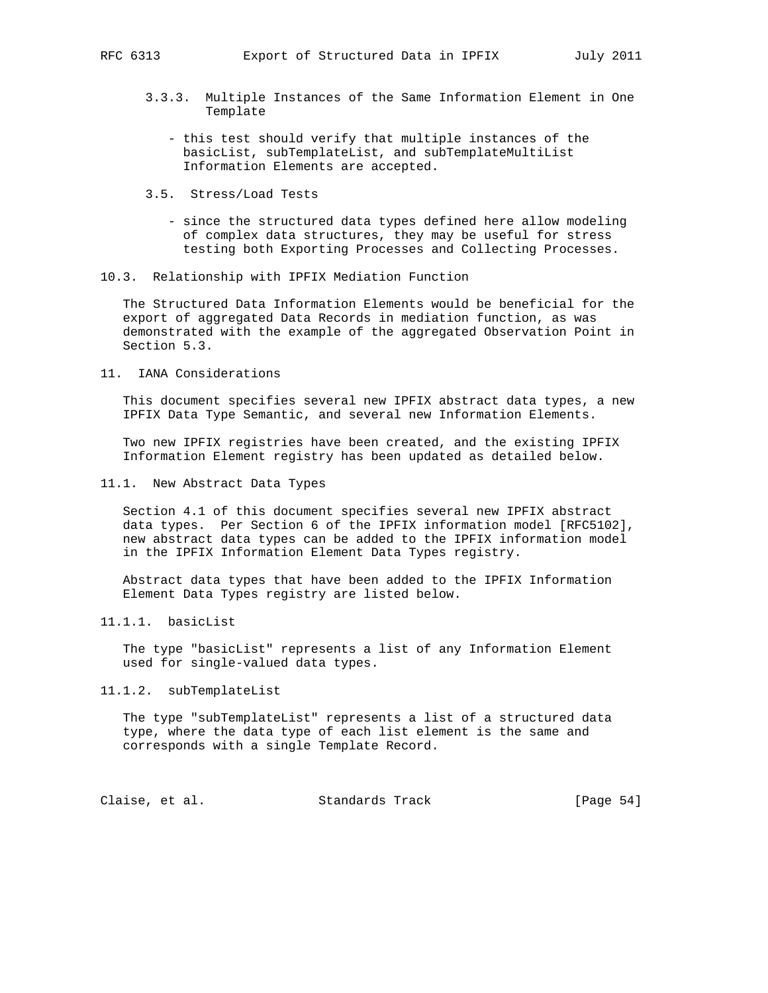- 3.3.3. Multiple Instances of the Same Information Element in One Template
	- this test should verify that multiple instances of the basicList, subTemplateList, and subTemplateMultiList Information Elements are accepted.
- 3.5. Stress/Load Tests
	- since the structured data types defined here allow modeling of complex data structures, they may be useful for stress testing both Exporting Processes and Collecting Processes.
- 10.3. Relationship with IPFIX Mediation Function

 The Structured Data Information Elements would be beneficial for the export of aggregated Data Records in mediation function, as was demonstrated with the example of the aggregated Observation Point in Section 5.3.

11. IANA Considerations

 This document specifies several new IPFIX abstract data types, a new IPFIX Data Type Semantic, and several new Information Elements.

 Two new IPFIX registries have been created, and the existing IPFIX Information Element registry has been updated as detailed below.

11.1. New Abstract Data Types

 Section 4.1 of this document specifies several new IPFIX abstract data types. Per Section 6 of the IPFIX information model [RFC5102], new abstract data types can be added to the IPFIX information model in the IPFIX Information Element Data Types registry.

 Abstract data types that have been added to the IPFIX Information Element Data Types registry are listed below.

11.1.1. basicList

 The type "basicList" represents a list of any Information Element used for single-valued data types.

11.1.2. subTemplateList

 The type "subTemplateList" represents a list of a structured data type, where the data type of each list element is the same and corresponds with a single Template Record.

Claise, et al. Standards Track [Page 54]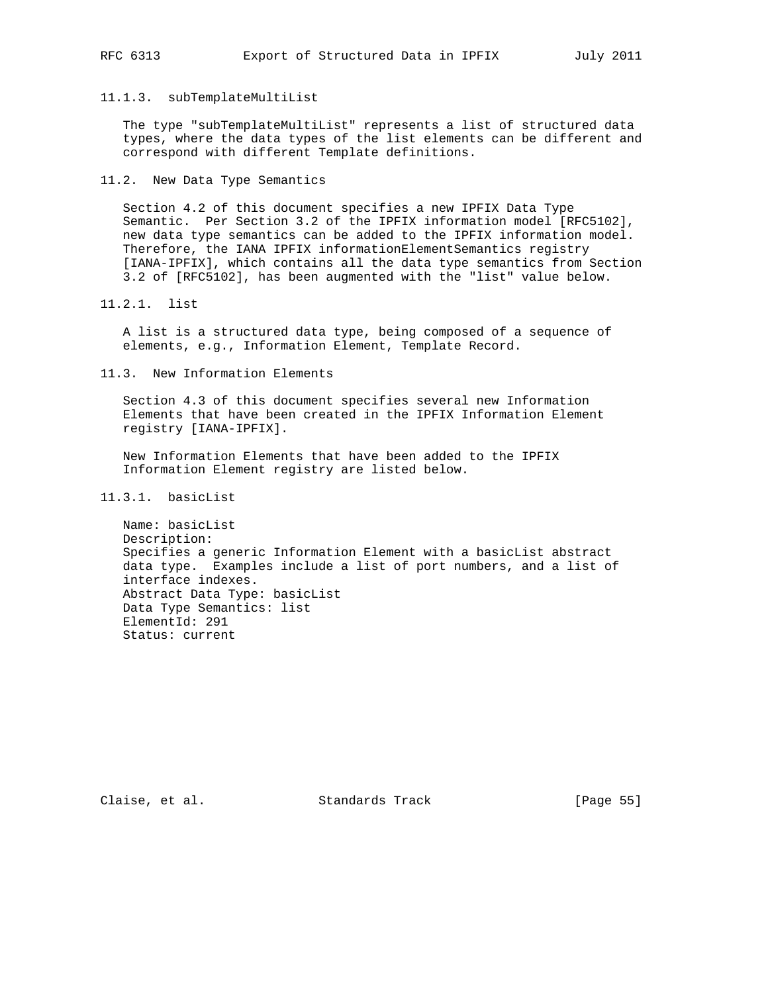## 11.1.3. subTemplateMultiList

The type "subTemplateMultiList" represents a list of structured data types, where the data types of the list elements can be different and correspond with different Template definitions.

11.2. New Data Type Semantics

 Section 4.2 of this document specifies a new IPFIX Data Type Semantic. Per Section 3.2 of the IPFIX information model [RFC5102], new data type semantics can be added to the IPFIX information model. Therefore, the IANA IPFIX informationElementSemantics registry [IANA-IPFIX], which contains all the data type semantics from Section 3.2 of [RFC5102], has been augmented with the "list" value below.

11.2.1. list

 A list is a structured data type, being composed of a sequence of elements, e.g., Information Element, Template Record.

11.3. New Information Elements

 Section 4.3 of this document specifies several new Information Elements that have been created in the IPFIX Information Element registry [IANA-IPFIX].

 New Information Elements that have been added to the IPFIX Information Element registry are listed below.

# 11.3.1. basicList

 Name: basicList Description: Specifies a generic Information Element with a basicList abstract data type. Examples include a list of port numbers, and a list of interface indexes. Abstract Data Type: basicList Data Type Semantics: list ElementId: 291 Status: current

Claise, et al. Standards Track [Page 55]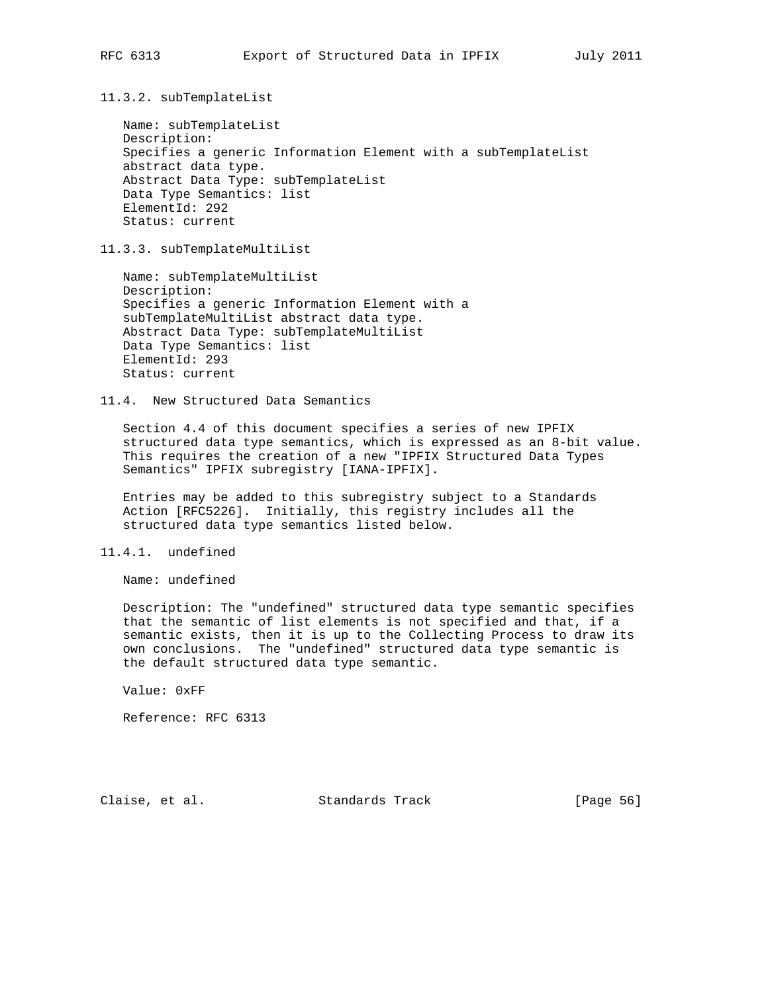11.3.2. subTemplateList

 Name: subTemplateList Description: Specifies a generic Information Element with a subTemplateList abstract data type. Abstract Data Type: subTemplateList Data Type Semantics: list ElementId: 292 Status: current

11.3.3. subTemplateMultiList

 Name: subTemplateMultiList Description: Specifies a generic Information Element with a subTemplateMultiList abstract data type. Abstract Data Type: subTemplateMultiList Data Type Semantics: list ElementId: 293 Status: current

11.4. New Structured Data Semantics

 Section 4.4 of this document specifies a series of new IPFIX structured data type semantics, which is expressed as an 8-bit value. This requires the creation of a new "IPFIX Structured Data Types Semantics" IPFIX subregistry [IANA-IPFIX].

 Entries may be added to this subregistry subject to a Standards Action [RFC5226]. Initially, this registry includes all the structured data type semantics listed below.

11.4.1. undefined

Name: undefined

 Description: The "undefined" structured data type semantic specifies that the semantic of list elements is not specified and that, if a semantic exists, then it is up to the Collecting Process to draw its own conclusions. The "undefined" structured data type semantic is the default structured data type semantic.

Value: 0xFF

Reference: RFC 6313

Claise, et al. Standards Track [Page 56]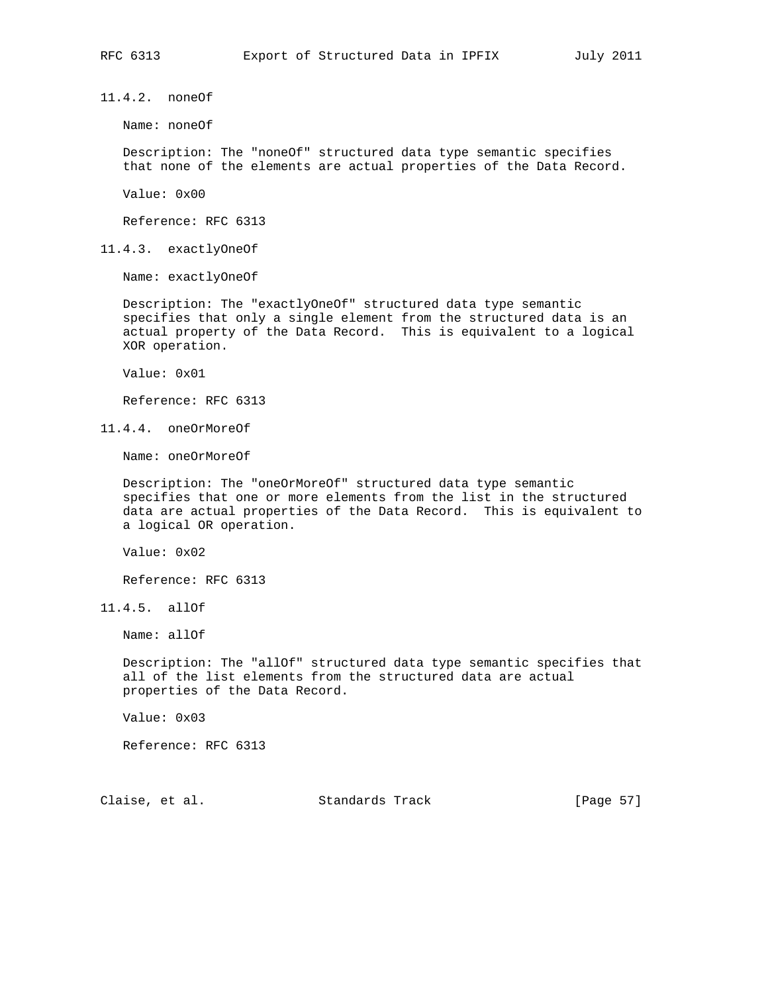11.4.2. noneOf

Name: noneOf

 Description: The "noneOf" structured data type semantic specifies that none of the elements are actual properties of the Data Record.

Value: 0x00

Reference: RFC 6313

11.4.3. exactlyOneOf

Name: exactlyOneOf

 Description: The "exactlyOneOf" structured data type semantic specifies that only a single element from the structured data is an actual property of the Data Record. This is equivalent to a logical XOR operation.

Value: 0x01

Reference: RFC 6313

11.4.4. oneOrMoreOf

Name: oneOrMoreOf

 Description: The "oneOrMoreOf" structured data type semantic specifies that one or more elements from the list in the structured data are actual properties of the Data Record. This is equivalent to a logical OR operation.

Value: 0x02

Reference: RFC 6313

11.4.5. allOf

Name: allOf

 Description: The "allOf" structured data type semantic specifies that all of the list elements from the structured data are actual properties of the Data Record.

Value: 0x03

Reference: RFC 6313

Claise, et al. Standards Track [Page 57]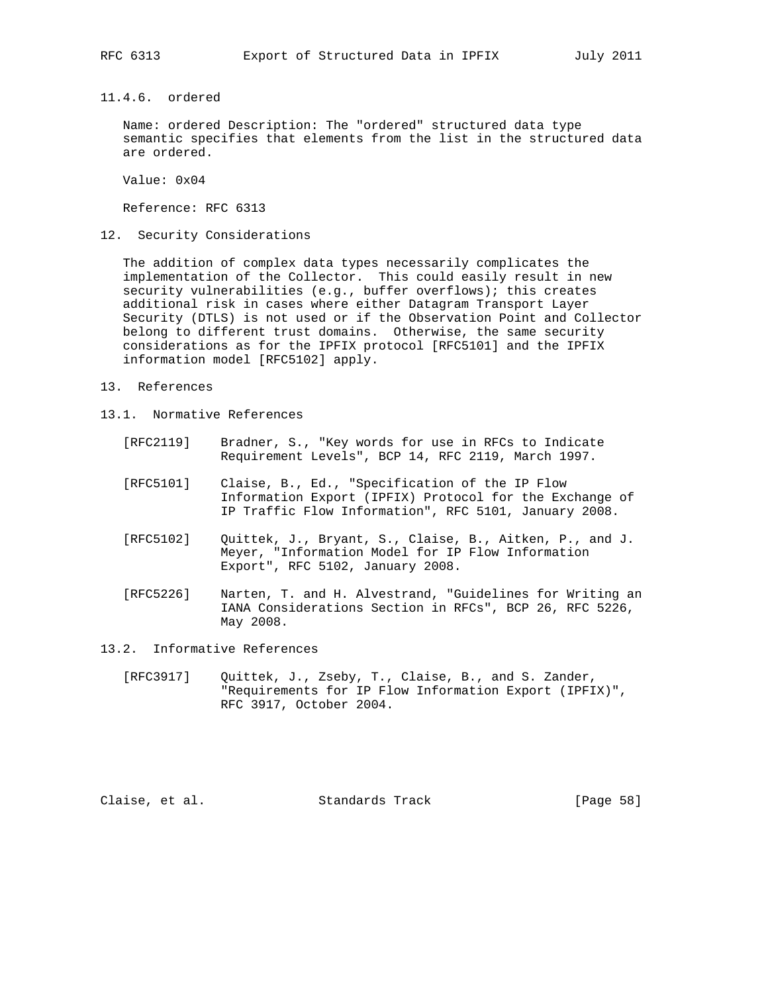11.4.6. ordered

 Name: ordered Description: The "ordered" structured data type semantic specifies that elements from the list in the structured data are ordered.

Value: 0x04

Reference: RFC 6313

12. Security Considerations

 The addition of complex data types necessarily complicates the implementation of the Collector. This could easily result in new security vulnerabilities (e.g., buffer overflows); this creates additional risk in cases where either Datagram Transport Layer Security (DTLS) is not used or if the Observation Point and Collector belong to different trust domains. Otherwise, the same security considerations as for the IPFIX protocol [RFC5101] and the IPFIX information model [RFC5102] apply.

- 13. References
- 13.1. Normative References
	- [RFC2119] Bradner, S., "Key words for use in RFCs to Indicate Requirement Levels", BCP 14, RFC 2119, March 1997.
	- [RFC5101] Claise, B., Ed., "Specification of the IP Flow Information Export (IPFIX) Protocol for the Exchange of IP Traffic Flow Information", RFC 5101, January 2008.
	- [RFC5102] Quittek, J., Bryant, S., Claise, B., Aitken, P., and J. Meyer, "Information Model for IP Flow Information Export", RFC 5102, January 2008.
	- [RFC5226] Narten, T. and H. Alvestrand, "Guidelines for Writing an IANA Considerations Section in RFCs", BCP 26, RFC 5226, May 2008.
- 13.2. Informative References
	- [RFC3917] Quittek, J., Zseby, T., Claise, B., and S. Zander, "Requirements for IP Flow Information Export (IPFIX)", RFC 3917, October 2004.

Claise, et al. Standards Track [Page 58]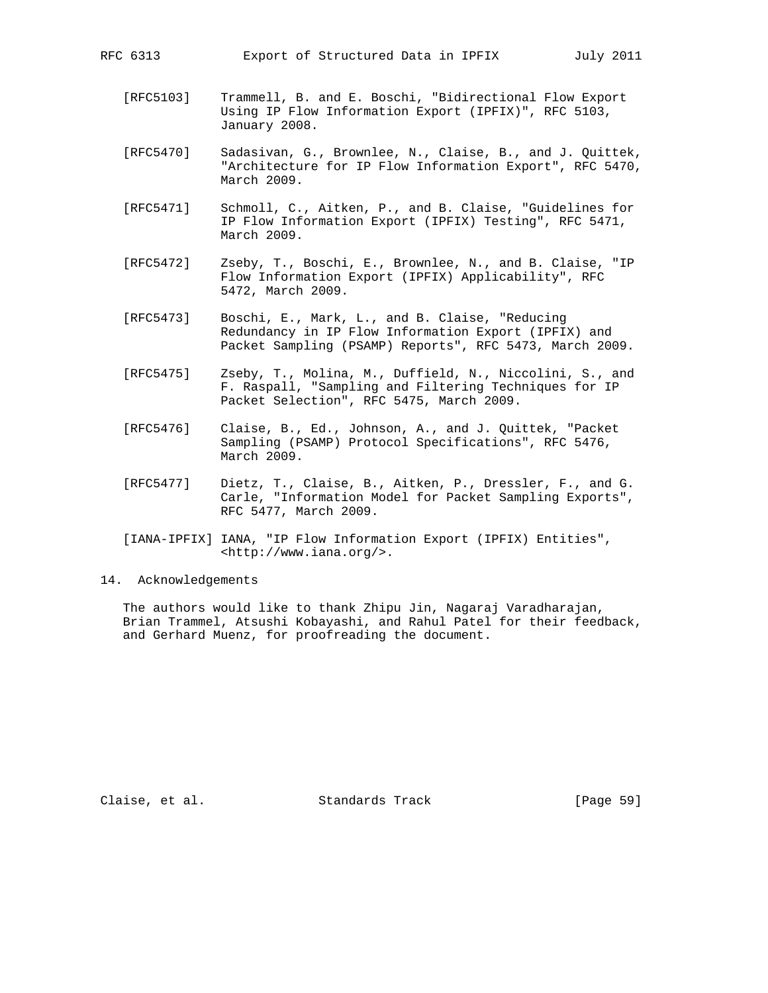- [RFC5103] Trammell, B. and E. Boschi, "Bidirectional Flow Export Using IP Flow Information Export (IPFIX)", RFC 5103, January 2008.
- [RFC5470] Sadasivan, G., Brownlee, N., Claise, B., and J. Quittek, "Architecture for IP Flow Information Export", RFC 5470, March 2009.
- [RFC5471] Schmoll, C., Aitken, P., and B. Claise, "Guidelines for IP Flow Information Export (IPFIX) Testing", RFC 5471, March 2009.
- [RFC5472] Zseby, T., Boschi, E., Brownlee, N., and B. Claise, "IP Flow Information Export (IPFIX) Applicability", RFC 5472, March 2009.
- [RFC5473] Boschi, E., Mark, L., and B. Claise, "Reducing Redundancy in IP Flow Information Export (IPFIX) and Packet Sampling (PSAMP) Reports", RFC 5473, March 2009.
- [RFC5475] Zseby, T., Molina, M., Duffield, N., Niccolini, S., and F. Raspall, "Sampling and Filtering Techniques for IP Packet Selection", RFC 5475, March 2009.
- [RFC5476] Claise, B., Ed., Johnson, A., and J. Quittek, "Packet Sampling (PSAMP) Protocol Specifications", RFC 5476, March 2009.
- [RFC5477] Dietz, T., Claise, B., Aitken, P., Dressler, F., and G. Carle, "Information Model for Packet Sampling Exports", RFC 5477, March 2009.
- [IANA-IPFIX] IANA, "IP Flow Information Export (IPFIX) Entities", <http://www.iana.org/>.
- 14. Acknowledgements

 The authors would like to thank Zhipu Jin, Nagaraj Varadharajan, Brian Trammel, Atsushi Kobayashi, and Rahul Patel for their feedback, and Gerhard Muenz, for proofreading the document.

Claise, et al. Standards Track [Page 59]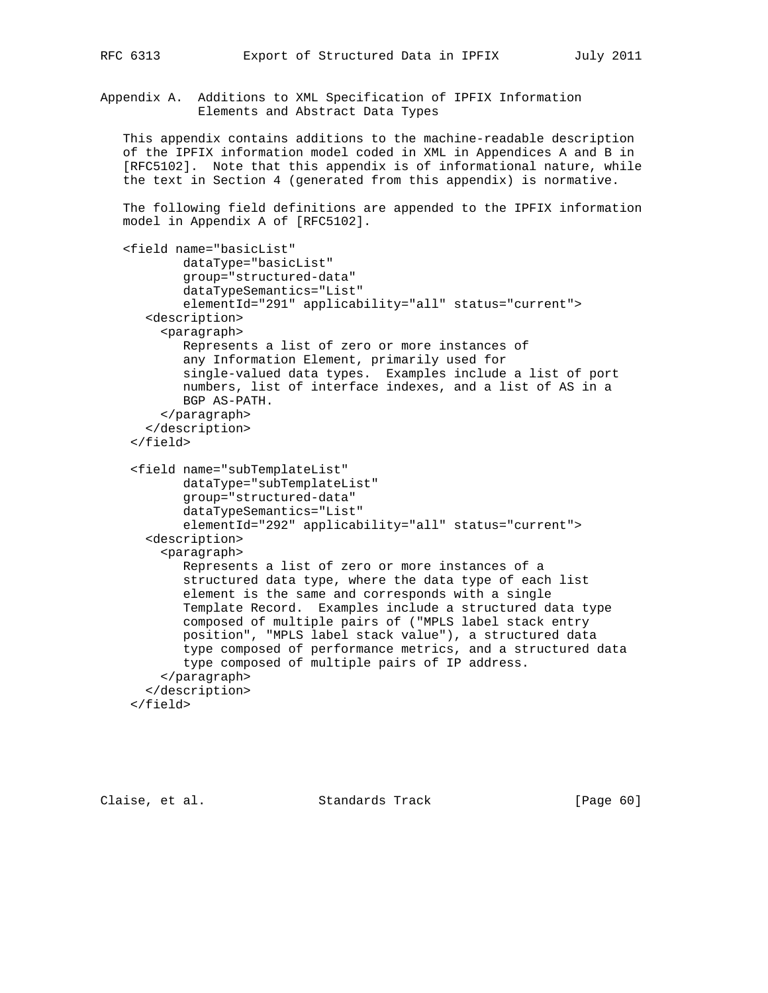Appendix A. Additions to XML Specification of IPFIX Information Elements and Abstract Data Types

 This appendix contains additions to the machine-readable description of the IPFIX information model coded in XML in Appendices A and B in [RFC5102]. Note that this appendix is of informational nature, while the text in Section 4 (generated from this appendix) is normative.

 The following field definitions are appended to the IPFIX information model in Appendix A of [RFC5102].

```
 <field name="basicList"
         dataType="basicList"
         group="structured-data"
         dataTypeSemantics="List"
         elementId="291" applicability="all" status="current">
    <description>
      <paragraph>
         Represents a list of zero or more instances of
         any Information Element, primarily used for
         single-valued data types. Examples include a list of port
         numbers, list of interface indexes, and a list of AS in a
         BGP AS-PATH.
      </paragraph>
    </description>
  </field>
  <field name="subTemplateList"
         dataType="subTemplateList"
         group="structured-data"
         dataTypeSemantics="List"
         elementId="292" applicability="all" status="current">
    <description>
      <paragraph>
         Represents a list of zero or more instances of a
         structured data type, where the data type of each list
         element is the same and corresponds with a single
         Template Record. Examples include a structured data type
         composed of multiple pairs of ("MPLS label stack entry
         position", "MPLS label stack value"), a structured data
         type composed of performance metrics, and a structured data
         type composed of multiple pairs of IP address.
      </paragraph>
    </description>
  </field>
```
Claise, et al. Standards Track [Page 60]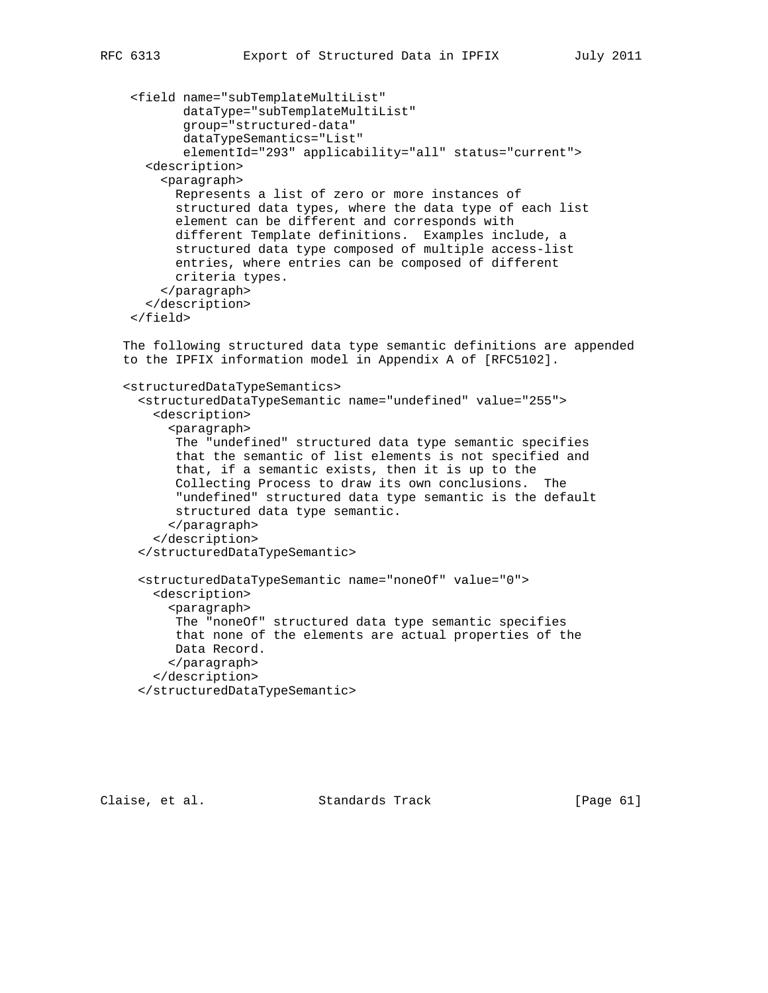```
 <field name="subTemplateMultiList"
         dataType="subTemplateMultiList"
         group="structured-data"
         dataTypeSemantics="List"
         elementId="293" applicability="all" status="current">
    <description>
      <paragraph>
        Represents a list of zero or more instances of
        structured data types, where the data type of each list
        element can be different and corresponds with
        different Template definitions. Examples include, a
        structured data type composed of multiple access-list
        entries, where entries can be composed of different
        criteria types.
      </paragraph>
    </description>
  </field>
 The following structured data type semantic definitions are appended
 to the IPFIX information model in Appendix A of [RFC5102].
 <structuredDataTypeSemantics>
   <structuredDataTypeSemantic name="undefined" value="255">
     <description>
       <paragraph>
        The "undefined" structured data type semantic specifies
        that the semantic of list elements is not specified and
        that, if a semantic exists, then it is up to the
        Collecting Process to draw its own conclusions. The
        "undefined" structured data type semantic is the default
        structured data type semantic.
       </paragraph>
     </description>
   </structuredDataTypeSemantic>
   <structuredDataTypeSemantic name="noneOf" value="0">
     <description>
       <paragraph>
        The "noneOf" structured data type semantic specifies
        that none of the elements are actual properties of the
       Data Record.
       </paragraph>
     </description>
   </structuredDataTypeSemantic>
```
Claise, et al. Standards Track [Page 61]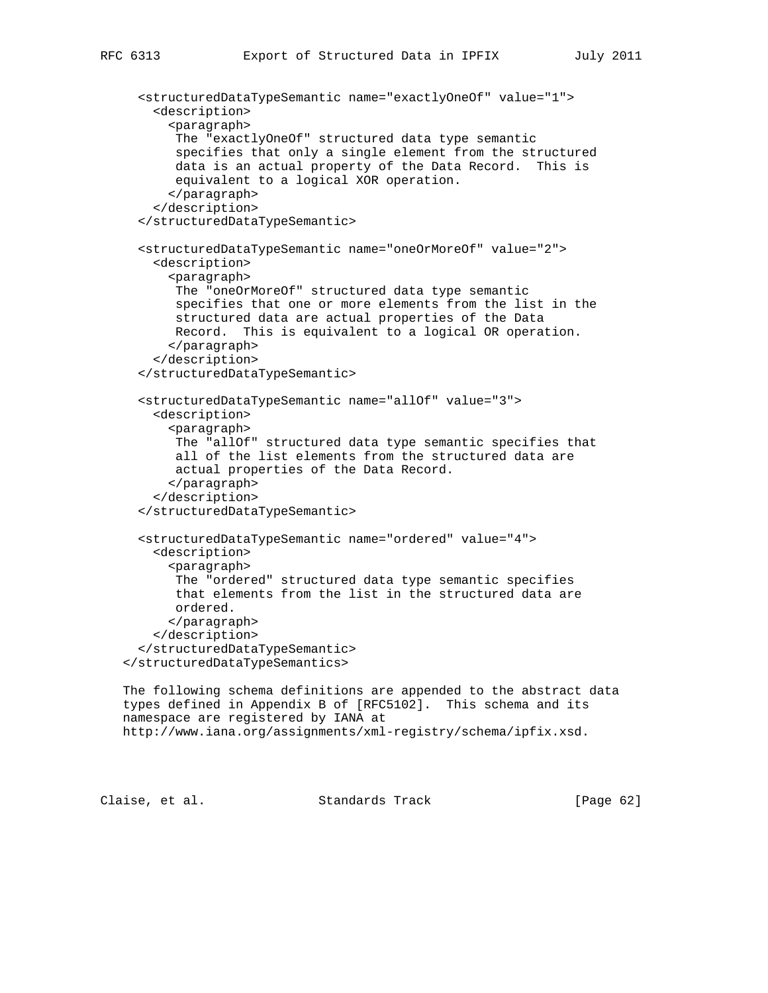```
 <structuredDataTypeSemantic name="exactlyOneOf" value="1">
     <description>
       <paragraph>
        The "exactlyOneOf" structured data type semantic
        specifies that only a single element from the structured
        data is an actual property of the Data Record. This is
        equivalent to a logical XOR operation.
       </paragraph>
     </description>
   </structuredDataTypeSemantic>
   <structuredDataTypeSemantic name="oneOrMoreOf" value="2">
     <description>
       <paragraph>
        The "oneOrMoreOf" structured data type semantic
        specifies that one or more elements from the list in the
        structured data are actual properties of the Data
        Record. This is equivalent to a logical OR operation.
       </paragraph>
     </description>
   </structuredDataTypeSemantic>
   <structuredDataTypeSemantic name="allOf" value="3">
     <description>
       <paragraph>
        The "allOf" structured data type semantic specifies that
        all of the list elements from the structured data are
        actual properties of the Data Record.
       </paragraph>
     </description>
   </structuredDataTypeSemantic>
   <structuredDataTypeSemantic name="ordered" value="4">
     <description>
       <paragraph>
        The "ordered" structured data type semantic specifies
        that elements from the list in the structured data are
        ordered.
       </paragraph>
     </description>
   </structuredDataTypeSemantic>
 </structuredDataTypeSemantics>
 The following schema definitions are appended to the abstract data
 types defined in Appendix B of [RFC5102]. This schema and its
 namespace are registered by IANA at
 http://www.iana.org/assignments/xml-registry/schema/ipfix.xsd.
```
Claise, et al. Standards Track [Page 62]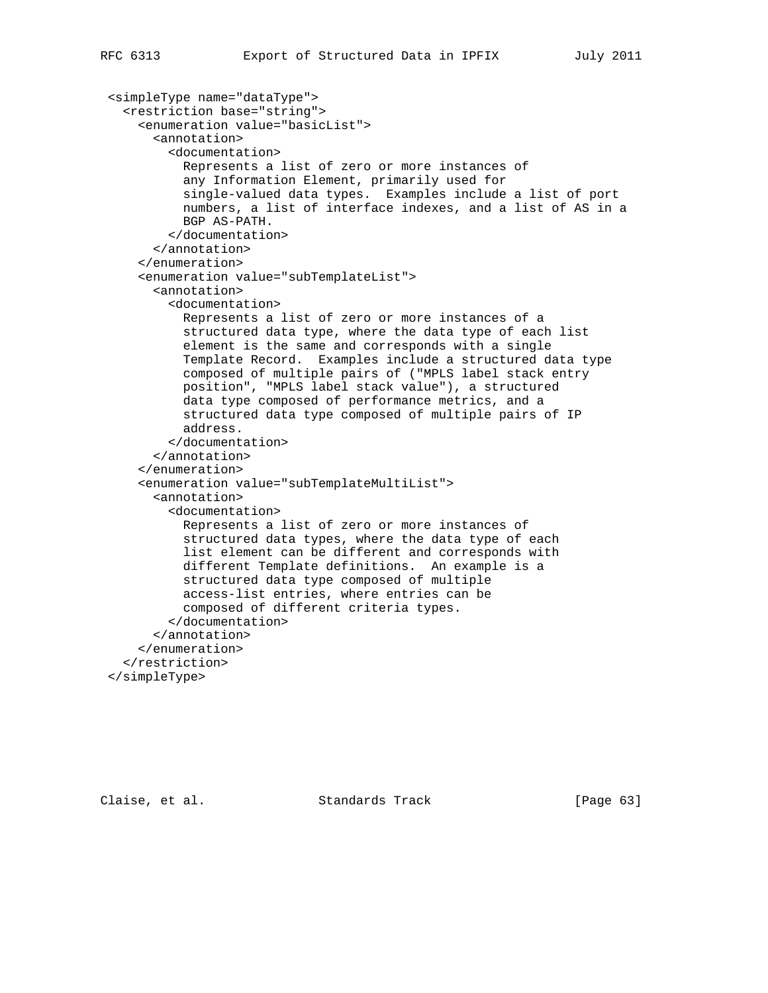```
 <simpleType name="dataType">
   <restriction base="string">
     <enumeration value="basicList">
       <annotation>
         <documentation>
           Represents a list of zero or more instances of
           any Information Element, primarily used for
           single-valued data types. Examples include a list of port
           numbers, a list of interface indexes, and a list of AS in a
           BGP AS-PATH.
         </documentation>
       </annotation>
     </enumeration>
     <enumeration value="subTemplateList">
       <annotation>
         <documentation>
           Represents a list of zero or more instances of a
           structured data type, where the data type of each list
           element is the same and corresponds with a single
           Template Record. Examples include a structured data type
           composed of multiple pairs of ("MPLS label stack entry
           position", "MPLS label stack value"), a structured
           data type composed of performance metrics, and a
           structured data type composed of multiple pairs of IP
           address.
         </documentation>
       </annotation>
     </enumeration>
     <enumeration value="subTemplateMultiList">
       <annotation>
         <documentation>
           Represents a list of zero or more instances of
           structured data types, where the data type of each
           list element can be different and corresponds with
           different Template definitions. An example is a
           structured data type composed of multiple
           access-list entries, where entries can be
           composed of different criteria types.
         </documentation>
       </annotation>
     </enumeration>
   </restriction>
 </simpleType>
```
Claise, et al. Standards Track [Page 63]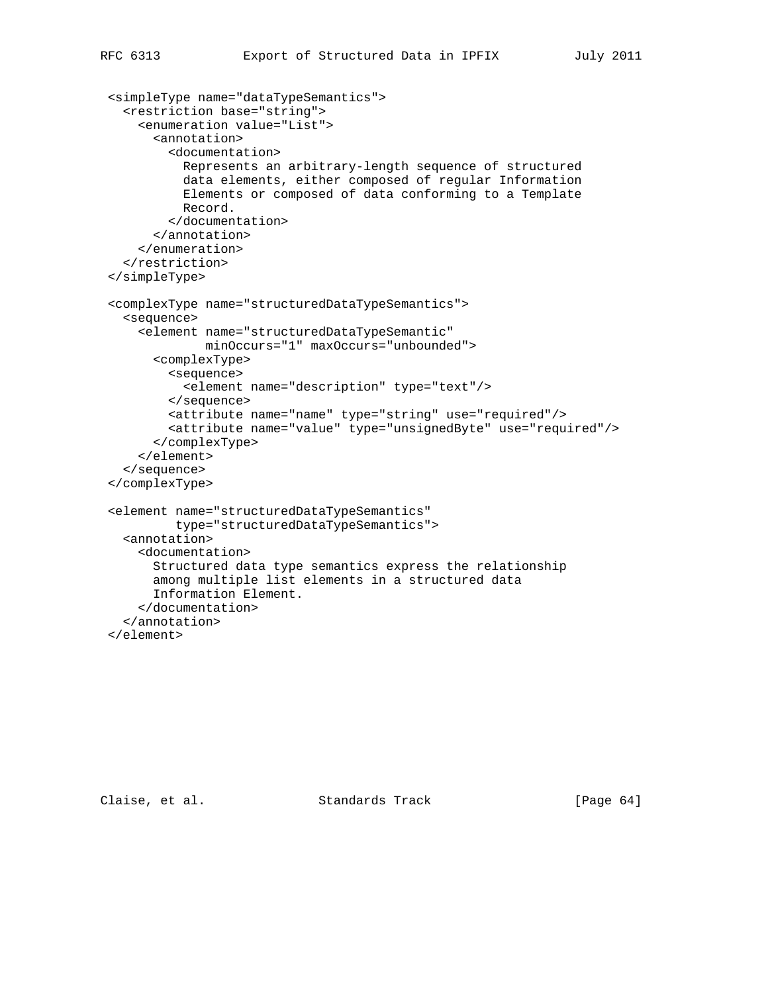```
 <simpleType name="dataTypeSemantics">
   <restriction base="string">
     <enumeration value="List">
       <annotation>
         <documentation>
           Represents an arbitrary-length sequence of structured
           data elements, either composed of regular Information
           Elements or composed of data conforming to a Template
           Record.
         </documentation>
       </annotation>
     </enumeration>
   </restriction>
 </simpleType>
 <complexType name="structuredDataTypeSemantics">
   <sequence>
     <element name="structuredDataTypeSemantic"
              minOccurs="1" maxOccurs="unbounded">
       <complexType>
         <sequence>
           <element name="description" type="text"/>
         </sequence>
         <attribute name="name" type="string" use="required"/>
         <attribute name="value" type="unsignedByte" use="required"/>
       </complexType>
     </element>
   </sequence>
 </complexType>
 <element name="structuredDataTypeSemantics"
          type="structuredDataTypeSemantics">
   <annotation>
     <documentation>
       Structured data type semantics express the relationship
       among multiple list elements in a structured data
       Information Element.
     </documentation>
   </annotation>
 </element>
```
Claise, et al. Standards Track [Page 64]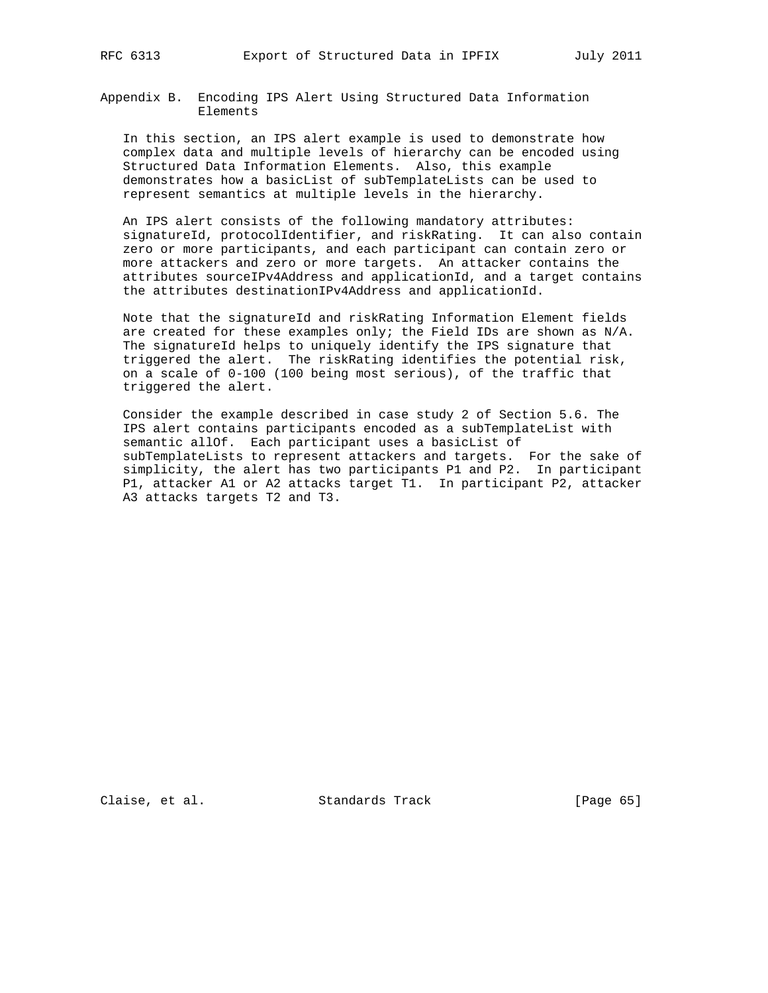Appendix B. Encoding IPS Alert Using Structured Data Information Elements

 In this section, an IPS alert example is used to demonstrate how complex data and multiple levels of hierarchy can be encoded using Structured Data Information Elements. Also, this example demonstrates how a basicList of subTemplateLists can be used to represent semantics at multiple levels in the hierarchy.

 An IPS alert consists of the following mandatory attributes: signatureId, protocolIdentifier, and riskRating. It can also contain zero or more participants, and each participant can contain zero or more attackers and zero or more targets. An attacker contains the attributes sourceIPv4Address and applicationId, and a target contains the attributes destinationIPv4Address and applicationId.

 Note that the signatureId and riskRating Information Element fields are created for these examples only; the Field IDs are shown as N/A. The signatureId helps to uniquely identify the IPS signature that triggered the alert. The riskRating identifies the potential risk, on a scale of 0-100 (100 being most serious), of the traffic that triggered the alert.

 Consider the example described in case study 2 of Section 5.6. The IPS alert contains participants encoded as a subTemplateList with semantic allOf. Each participant uses a basicList of subTemplateLists to represent attackers and targets. For the sake of simplicity, the alert has two participants P1 and P2. In participant P1, attacker A1 or A2 attacks target T1. In participant P2, attacker A3 attacks targets T2 and T3.

Claise, et al. Standards Track [Page 65]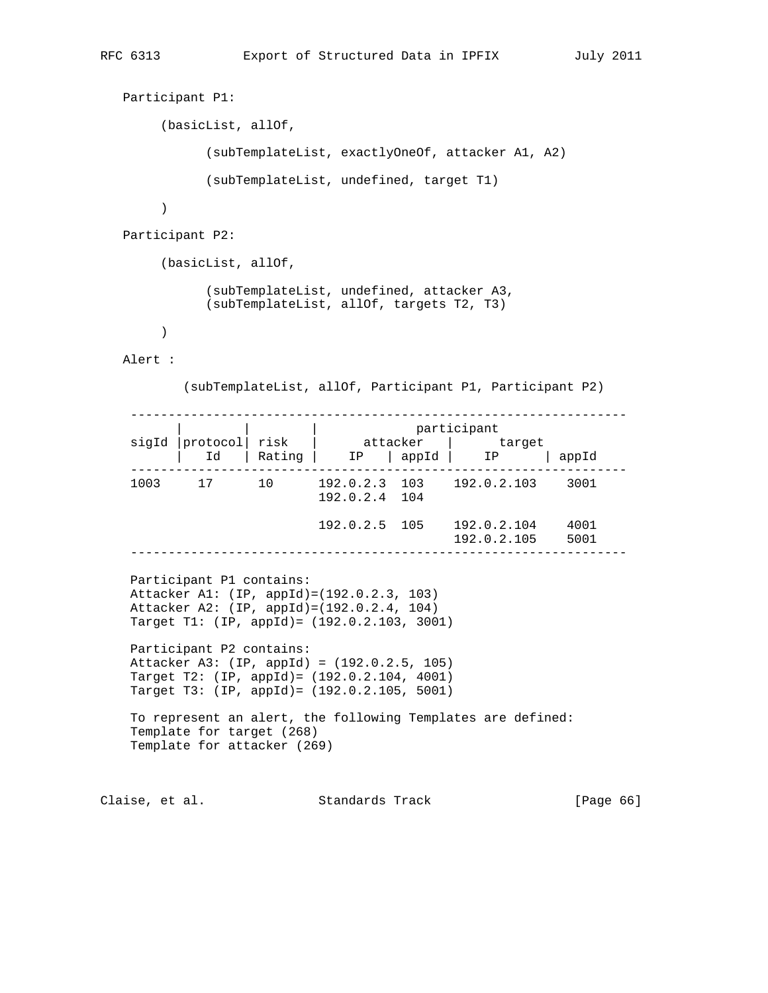```
 Participant P1:
         (basicList, allOf,
                (subTemplateList, exactlyOneOf, attacker A1, A2)
                (subTemplateList, undefined, target T1)
\overline{\phantom{a}} Participant P2:
         (basicList, allOf,
                (subTemplateList, undefined, attacker A3,
                (subTemplateList, allOf, targets T2, T3)
         )
```
Alert :

(subTemplateList, allOf, Participant P1, Participant P2)

 ------------------------------------------------------------------ | | | | | | participant sigId |protocol| risk | attacker | target | Id | Rating | IP | appId | IP | appId ------------------------------------------------------------------ 1003 17 10 192.0.2.3 103 192.0.2.103 3001 192.0.2.4 104 192.0.2.5 105 192.0.2.104 4001 192.0.2.105 5001 ------------------------------------------------------------------ Participant P1 contains: Attacker A1: (IP, appId)=(192.0.2.3, 103) Attacker A2: (IP, appId)=(192.0.2.4, 104) Target T1: (IP, appId)= (192.0.2.103, 3001) Participant P2 contains: Attacker A3: (IP, appId) = (192.0.2.5, 105) Target T2: (IP, appId)= (192.0.2.104, 4001) Target T3: (IP, appId)= (192.0.2.105, 5001) To represent an alert, the following Templates are defined: Template for target (268) Template for attacker (269)

Claise, et al. Standards Track [Page 66]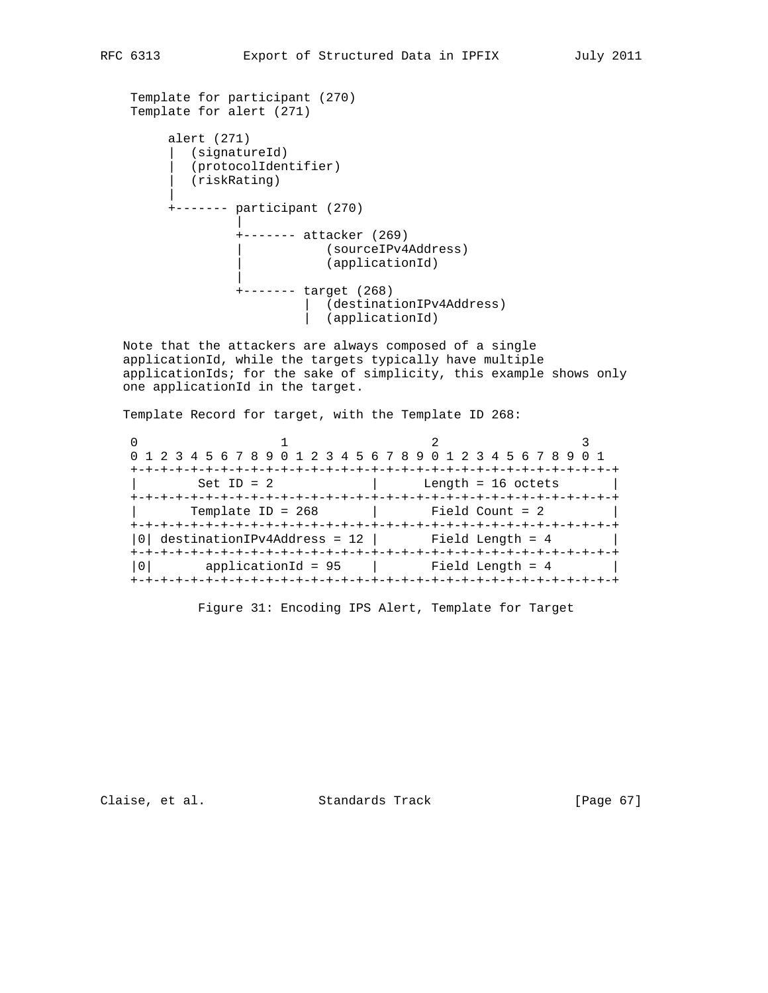```
 Template for participant (270)
    Template for alert (271)
        alert (271)
         | (signatureId)
           | (protocolIdentifier)
         (riskRating)
 |
         +------- participant (270)
 |
                 +------- attacker (269)
                         | (sourceIPv4Address)
                          (applicationId)
 |
                 +------- target (268)
                         | (destinationIPv4Address)
                          (applicationId)
```
 Note that the attackers are always composed of a single applicationId, while the targets typically have multiple applicationIds; for the sake of simplicity, this example shows only one applicationId in the target.

Template Record for target, with the Template ID 268:

0  $1$  2 3 0 1 2 3 4 5 6 7 8 9 0 1 2 3 4 5 6 7 8 9 0 1 2 3 4 5 6 7 8 9 0 1 +-+-+-+-+-+-+-+-+-+-+-+-+-+-+-+-+-+-+-+-+-+-+-+-+-+-+-+-+-+-+-+-+  $\text{Set ID} = 2$  | Length = 16 octets | +-+-+-+-+-+-+-+-+-+-+-+-+-+-+-+-+-+-+-+-+-+-+-+-+-+-+-+-+-+-+-+-+ | Template ID = 268 | Field Count = 2 | +-+-+-+-+-+-+-+-+-+-+-+-+-+-+-+-+-+-+-+-+-+-+-+-+-+-+-+-+-+-+-+-+  $|0|$  destinationIPv4Address = 12 | Field Length = 4 +-+-+-+-+-+-+-+-+-+-+-+-+-+-+-+-+-+-+-+-+-+-+-+-+-+-+-+-+-+-+-+-+ |0| applicationId = 95 | Field Length = 4 | +-+-+-+-+-+-+-+-+-+-+-+-+-+-+-+-+-+-+-+-+-+-+-+-+-+-+-+-+-+-+-+-+

Figure 31: Encoding IPS Alert, Template for Target

Claise, et al. Standards Track [Page 67]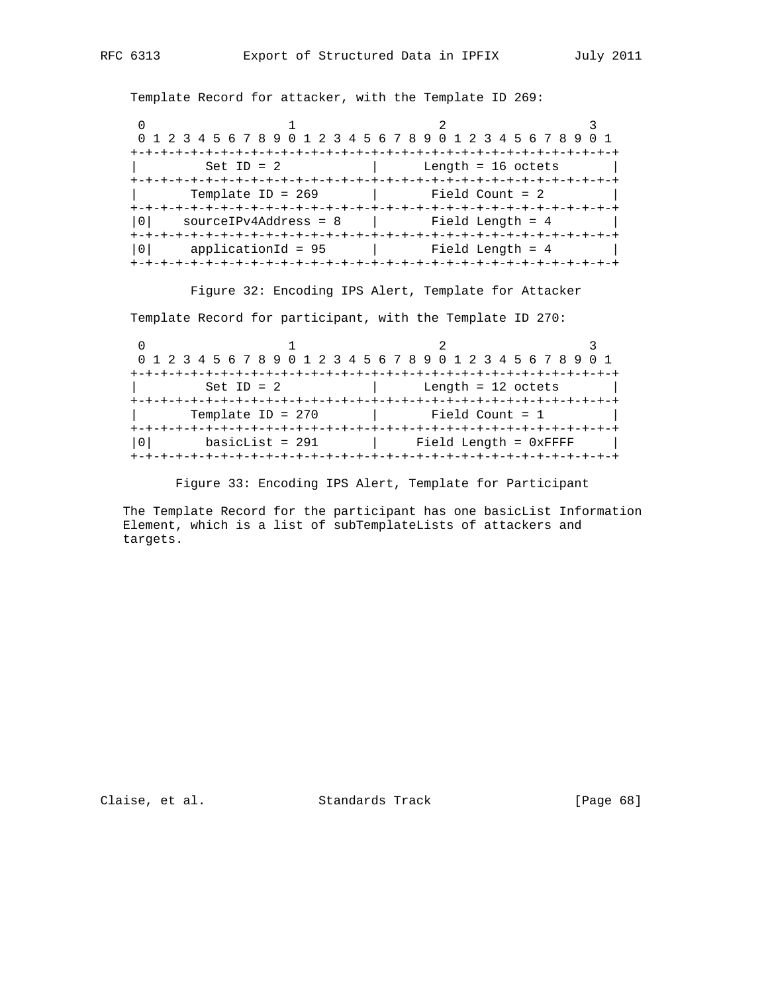Template Record for attacker, with the Template ID 269:

| 0 1 2 3 4 5 6 7 8 9 0 1 2 3 4 5 6 7 8 9 0 1 2 3 4 5 6 7 8 9 |                                    |  |
|-------------------------------------------------------------|------------------------------------|--|
|                                                             |                                    |  |
| $Set ID = 2$                                                | Length = $16$ octets               |  |
|                                                             |                                    |  |
| Template ID = $269$                                         | Field Count = $2$                  |  |
|                                                             |                                    |  |
| $sourceIPv4Address = 8$                                     | Field Length = 4                   |  |
| +-+-+-+-+-+-+-+-+-+-+-+-+-+                                 | +-+-+-+-+-+-+-+-+-+-+-+-+-+-+-+-+- |  |
| $applicational = 95$                                        | Field Length = $4$                 |  |
|                                                             |                                    |  |

Figure 32: Encoding IPS Alert, Template for Attacker

Template Record for participant, with the Template ID 270:

| 0 1 2 3 4 5 6 7 8 9 0 1 2 3 4 5 6 7 8 9 0 1 2 3 4 5 6 7 8 9 0 1 |                            |  |
|-----------------------------------------------------------------|----------------------------|--|
|                                                                 |                            |  |
| Set ID = $2$                                                    | Length = $12$ octets       |  |
|                                                                 |                            |  |
| Template ID = $270$                                             | Field Count $= 1$          |  |
|                                                                 |                            |  |
| $basicList = 291$                                               | $Field$ Length = $0x$ FFFF |  |
|                                                                 |                            |  |

Figure 33: Encoding IPS Alert, Template for Participant

 The Template Record for the participant has one basicList Information Element, which is a list of subTemplateLists of attackers and targets.

Claise, et al. Standards Track [Page 68]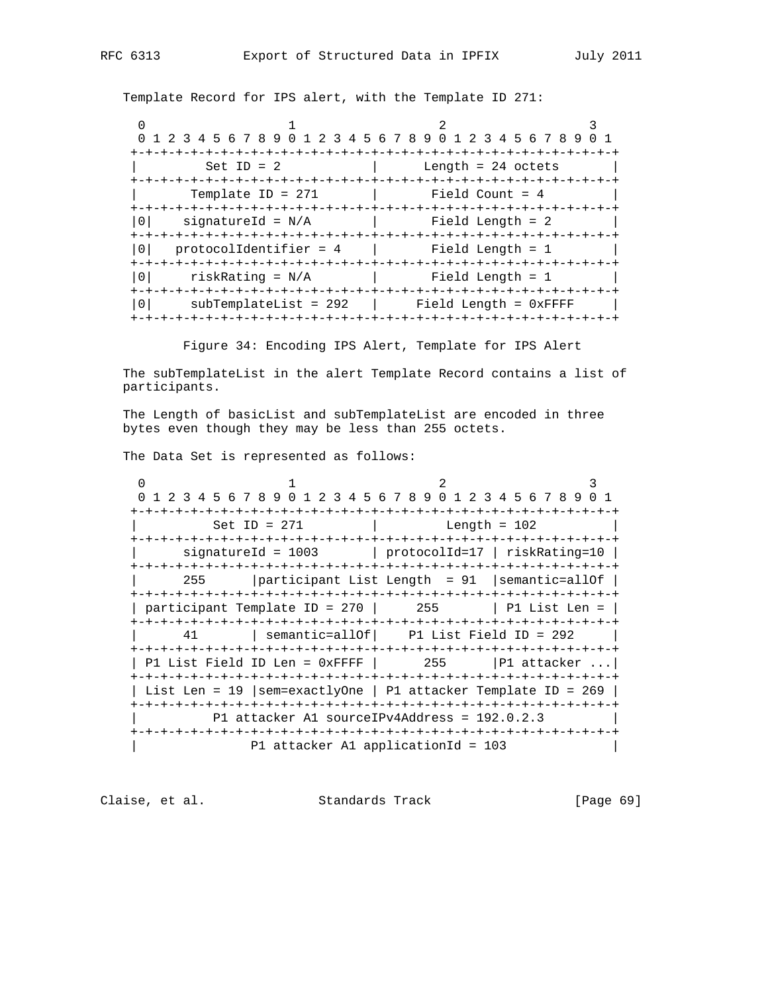Template Record for IPS alert, with the Template ID 271:

|                                           | 1 2 3 4 5 6 7 8 9 0 1 2 3 4 5 6 7 8 9 0 1 2 3 4 5 6 7 8 9                            |
|-------------------------------------------|--------------------------------------------------------------------------------------|
|                                           | -+-+-+-+-+-+-+-+-+-+-+-+-+-+-+-                                                      |
| Set ID = $2$                              | Length = $24$ octets                                                                 |
| +-+-+-+-+-+-+-+-+<br>Template ID = $271$  | -+-+-+-+-+-+-+-+-+-+-+-+-+-+<br>Field Count = 4<br>-+-+-+-+-+-+-+-+-+-+-+-+-+-+-+-+- |
| 0 I<br>signatureId = $N/A$                | Field Length = 2                                                                     |
| $protocolIdentifier = 4$                  |                                                                                      |
| 0 <sup>1</sup><br>risk $Rational = N/A$   | Field Length = 1                                                                     |
| 0 <sup>1</sup><br>$subTemplateList = 292$ | Field Length = OxFFFF                                                                |

Figure 34: Encoding IPS Alert, Template for IPS Alert

 The subTemplateList in the alert Template Record contains a list of participants.

 The Length of basicList and subTemplateList are encoded in three bytes even though they may be less than 255 octets.

The Data Set is represented as follows:

 $0$  1 2 3 0 1 2 3 4 5 6 7 8 9 0 1 2 3 4 5 6 7 8 9 0 1 2 3 4 5 6 7 8 9 0 1 +-+-+-+-+-+-+-+-+-+-+-+-+-+-+-+-+-+-+-+-+-+-+-+-+-+-+-+-+-+-+-+-+ | Set ID = 271 | Length = 102 +-+-+-+-+-+-+-+-+-+-+-+-+-+-+-+-+-+-+-+-+-+-+-+-+-+-+-+-+-+-+-+-+ | signatureId = 1003 | protocolId=17 | riskRating=10 | +-+-+-+-+-+-+-+-+-+-+-+-+-+-+-+-+-+-+-+-+-+-+-+-+-+-+-+-+-+-+-+-+ | 255 |participant List Length = 91 |semantic=allOf | +-+-+-+-+-+-+-+-+-+-+-+-+-+-+-+-+-+-+-+-+-+-+-+-+-+-+-+-+-+-+-+-+ | participant Template ID = 270 | 255 | P1 List Len = | +-+-+-+-+-+-+-+-+-+-+-+-+-+-+-+-+-+-+-+-+-+-+-+-+-+-+-+-+-+-+-+-+ | 41 | semantic=allOf| P1 List Field ID = 292 | +-+-+-+-+-+-+-+-+-+-+-+-+-+-+-+-+-+-+-+-+-+-+-+-+-+-+-+-+-+-+-+-+ | P1 List Field ID Len =  $0x$ FFFF | 255 | P1 attacker ... +-+-+-+-+-+-+-+-+-+-+-+-+-+-+-+-+-+-+-+-+-+-+-+-+-+-+-+-+-+-+-+-+ | List Len = 19 |sem=exactlyOne | P1 attacker Template ID = 269 | +-+-+-+-+-+-+-+-+-+-+-+-+-+-+-+-+-+-+-+-+-+-+-+-+-+-+-+-+-+-+-+-+ | P1 attacker A1 sourceIPv4Address = 192.0.2.3 | +-+-+-+-+-+-+-+-+-+-+-+-+-+-+-+-+-+-+-+-+-+-+-+-+-+-+-+-+-+-+-+-+ P1 attacker A1 applicationId = 103

Claise, et al. Standards Track [Page 69]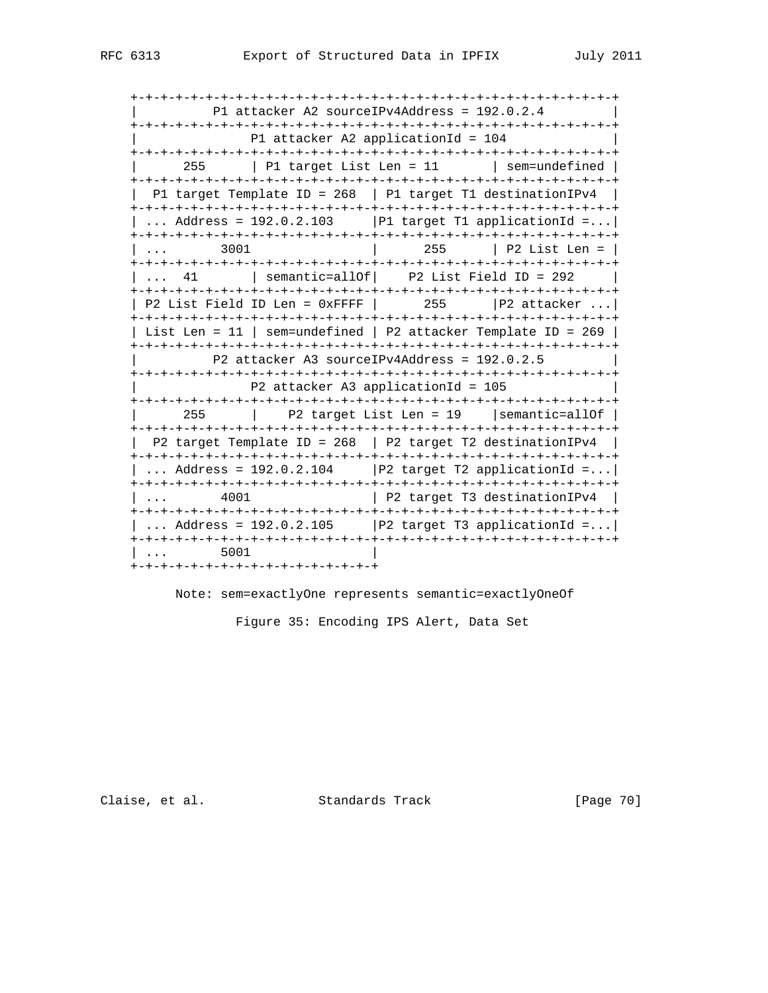+-+-+-+-+-+-+-+-+-+-+-+-+-+-+-+-+-+-+-+-+-+-+-+-+-+-+-+-+-+-+-+-+ | P1 attacker A2 sourceIPv4Address = 192.0.2.4 | +-+-+-+-+-+-+-+-+-+-+-+-+-+-+-+-+-+-+-+-+-+-+-+-+-+-+-+-+-+-+-+-+ P1 attacker A2 applicationId = 104 +-+-+-+-+-+-+-+-+-+-+-+-+-+-+-+-+-+-+-+-+-+-+-+-+-+-+-+-+-+-+-+-+ | 255 | P1 target List Len = 11 | sem=undefined | +-+-+-+-+-+-+-+-+-+-+-+-+-+-+-+-+-+-+-+-+-+-+-+-+-+-+-+-+-+-+-+-+ | P1 target Template ID = 268 | P1 target T1 destinationIPv4 | +-+-+-+-+-+-+-+-+-+-+-+-+-+-+-+-+-+-+-+-+-+-+-+-+-+-+-+-+-+-+-+-+ | ... Address =  $192.0.2.103$  | P1 target T1 applicationId =... +-+-+-+-+-+-+-+-+-+-+-+-+-+-+-+-+-+-+-+-+-+-+-+-+-+-+-+-+-+-+-+-+ | ... 3001 | 255 | P2 List Len = | +-+-+-+-+-+-+-+-+-+-+-+-+-+-+-+-+-+-+-+-+-+-+-+-+-+-+-+-+-+-+-+-+  $\vert$  ... 41  $\vert$  semantic=allOf $\vert$  +-+-+-+-+-+-+-+-+-+-+-+-+-+-+-+-+-+-+-+-+-+-+-+-+-+-+-+-+-+-+-+-+ | P2 List Field ID Len = 0xFFFF | 255 |P2 attacker ...| +-+-+-+-+-+-+-+-+-+-+-+-+-+-+-+-+-+-+-+-+-+-+-+-+-+-+-+-+-+-+-+-+ | List Len = 11 | sem=undefined | P2 attacker Template ID = 269 | +-+-+-+-+-+-+-+-+-+-+-+-+-+-+-+-+-+-+-+-+-+-+-+-+-+-+-+-+-+-+-+-+ | P2 attacker A3 sourceIPv4Address = 192.0.2.5 | +-+-+-+-+-+-+-+-+-+-+-+-+-+-+-+-+-+-+-+-+-+-+-+-+-+-+-+-+-+-+-+-+ | P2 attacker A3 applicationId = 105 | +-+-+-+-+-+-+-+-+-+-+-+-+-+-+-+-+-+-+-+-+-+-+-+-+-+-+-+-+-+-+-+-+ | 255 | P2 target List Len = 19 |semantic=allOf | +-+-+-+-+-+-+-+-+-+-+-+-+-+-+-+-+-+-+-+-+-+-+-+-+-+-+-+-+-+-+-+-+  $P2$  target Template ID = 268 | P2 target T2 destinationIPv4 | +-+-+-+-+-+-+-+-+-+-+-+-+-+-+-+-+-+-+-+-+-+-+-+-+-+-+-+-+-+-+-+-+ | ... Address =  $192.0.2.104$  | P2 target T2 applicationId =...| +-+-+-+-+-+-+-+-+-+-+-+-+-+-+-+-+-+-+-+-+-+-+-+-+-+-+-+-+-+-+-+-+  $\vert$  ... 4001  $\vert$  P2 target T3 destinationIPv4  $\vert$  +-+-+-+-+-+-+-+-+-+-+-+-+-+-+-+-+-+-+-+-+-+-+-+-+-+-+-+-+-+-+-+-+ | ... Address =  $192.0.2.105$  | P2 target T3 applicationId =... +-+-+-+-+-+-+-+-+-+-+-+-+-+-+-+-+-+-+-+-+-+-+-+-+-+-+-+-+-+-+-+-+ | ... 5001 | +-+-+-+-+-+-+-+-+-+-+-+-+-+-+-+-+

Note: sem=exactlyOne represents semantic=exactlyOneOf

Figure 35: Encoding IPS Alert, Data Set

Claise, et al. Standards Track [Page 70]